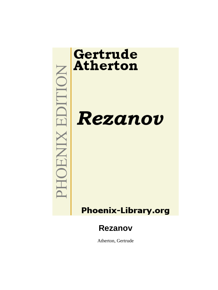

Atherton, Gertrude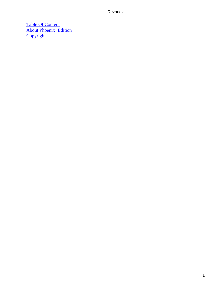[Table Of Content](#page-140-0) [About Phoenix−Edition](#page-142-0) **[Copyright](#page-143-0)**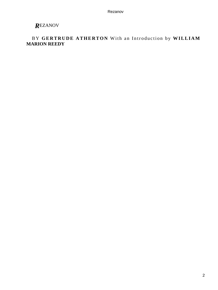# *R*EZANOV

### BY **GERTRUDE ATHERTON** With an Introduction by **WILLIAM MARION REEDY**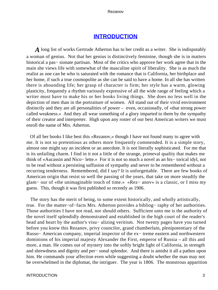### **[INTRODUCTION](#page-140-0)**

*A* long list of works Gertrude Atherton has to her credit as a writer. She is indisputably a woman of genius. Not that her genius is distinctively feminine, though she is in matters historical a pas− sionate partisan. Most of the critics who approve her work agree that in the main she views life with somewhat of the masculine spirit of liberality. She is as much the realist as one can be who is saturated with the romance that is California, her birthplace and her home, if such a true cosmopolite as she can be said to have a home. In all she has written there is abounding life; her grasp of character is firm; her style has a warm, glowing plasticity, frequently a rhythm variously expressive of all the wide range of feeling which a writer must have to make his or her books living things. She does no less well in the depiction of men than in the portraiture of women. All stand out of their vivid environment distinctly and they are all personalities of power – even, occasionally, of «that strong power called weakness.» And they all wear something of a glory imparted to them by the sympathy of their creator and interpreter. High upon any roster of our best American writers we must enroll the name of Mrs. Atherton.

 Of all her books I like best this «Rezanov,» though I have not found many to agree with me. It is not so pretentious as others more frequently commended. It is a simple story, almost one might say an incident or an anecdote. It is not literally sophisticated. For me that is its unfailing charm. I find in it not a little of the strange, primeval quality that makes me think of «Aucassin and Nico− lette.» For it is not so much a novel as an his− torical idyl, not to be read without a persisting suffusion of sympathy and never to be remembered without a recurring tenderness. Remembered, did I say? It is unforgettable. There are few books of American origin that resist so well the passing of the years, that take on more steadily the glam− our of «the unimaginable touch of time.» «Rez− anov» is a classic, or I miss my guess. This, though it was first published so recently as 1906.

 The story has the merit of being, to some extent historically, and wholly artistically, true. For the matter−of−facts Mrs. Atherton provides a bibliog− raphy of her authorities. Those authorities I have not read, nor should others. Sufficient unto me is the authority of the novel itself splendidly demonstrated and established in the high court of the reader's head and heart by the author's visu– alizing veritism. Not twenty pages have you turned before you know this Rezanov, privy councilor, grand chamberlain, plenipotentiary of the Russo− American company, imperial inspector of the ex− treme eastern and northwestern dominions of his imperial majesty Alexander the First, emperor of Russia – all this and more, a man. He comes out of mystery into the softly bright light of California, in strength and shrewdness and dignity and per− sonal splendor. And there is amidst it all a pathos upon him. He commands your affection even while suggesting a doubt whether the man may not be overwhelmed in the diplomat, the intriguer. The year is 1806. The monstrous apparition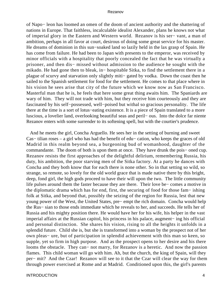of Napo− leon has loomed an omen of the doom of ancient authority and the shattering of nations in Europe. That faithless, incalculable idealist Alexander, plans he knows not what of imperial glory in the Eastern and Western world. Rezanov is his ser− vant, a man of ambition, perhaps in all favor at court, desirous of doing some great service for his master. He dreams of dominion in this sun−soaked land so lazily held in the lax grasp of Spain. He has come from failure. He had been to Japan with presents to the emperor, was received by minor officials with a hospitality that poorly concealed the fact that he was virtually a prisoner, and then dis− missed without admission to the audience he sought with the mikado. He had gone then to bleak, in− hospitable Sitka, to find the settlement there in a plague of scurvy and starvation only slightly miti− gated by vodka. Down the coast then he sailed to the Spanish settlement for food for the settlement. He comes to that place where in his vision he sees arise that city of the future which we know now as San Francisco. Masterful man that he is, he feels that here some great thing awaits him. The Spaniards are wary of him. They will not trade with him, but they receive him courteously and they are fascinated by his self−possessed, well−poised but withal so gracious personality. The life there at the time is a sort of lotus−eating existence. It is a piece of Spain translated to a more luscious, a lovelier land, overlooking beautiful seas and peril− ous. Into the dolce far niente Rezanov enters with some surrender to its softening spell, but with the courtier's prudence.

 And he meets the girl, Concha Arguello. He sees her in the setting of burning and sweet Cas− tilian roses – a girl who has had the benefit of edu− cation, who keeps the graces of old Madrid in this realm beyond sea, a burgeoning bud of womanhood, daughter of the commandante. The doom of both is upon them at once. They have drunk the pois− oned cup. Rezanov resists the first approaches of the delightful delirium, remembering Russia, his duty, his ambition, the poor starving men of the Sitka factory. At a party he dances with Concha and they both know that for each there is none other. So in that setting so wild, so strange, so remote, so lovely for the old world grace that is made native there by this bright, deep, fond girl, the high gods proceed to have their will upon the two. The little community life pulses around them the faster because they are there. Their love be− comes a motive in the diplomatic drama which has for end, first, the securing of food for those fam− ishing folk at Sitka, and beyond that, possibly the seizing of the region for Russia, lest that new young power of the West, the United States, pre− empt the rich domain. Concha would help the Rus− sian to those ends immediate which he reveals to her, and succeeds. He tells her of Russia and his mighty position there. He would have her for his wife, his helper in the vast imperial affairs at the Russian capitol, his princess in his palace, augment− ing his official and personal distinction. She shares his vision, rising to all the heights it unfolds in a splendid future. Child she is, but she is transformed into a woman by the prospect not of her own pleas− ure, but of participation in splendid achievement with this man so keen, so supple, yet so firm in high purpose. And as the prospect opens to her desire and his there looms the obstacle. They can− not marry, for Rezanov is a heretic. And now the passion flames. This child woman will go with him. Ah, but the church, the king of Spain, will they per− mit? And the Czar! Rezanov will see to it that the Czar will clear the way for them through power exercised at Rome and at Madrid. Conditioned upon this, the girl's parents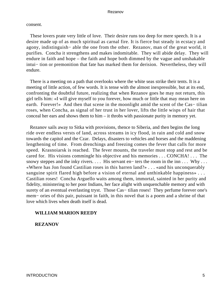consent.

 These lovers prate very little of love. Their desire runs too deep for mere speech. It is a desire made up of as much spiritual as carnal fire. It is fierce but steady in ecstacy and agony, indistinguish− able the one from the other. Rezanov, man of the great world, it purifies. Concha it strengthens and makes indomitable. They will abide delay. They will endure in faith and hope – the faith and hope both dimmed by the vague and unshakable intui− tion or premonition that fate has marked them for derision. Nevertheless, they will endure.

 There is a meeting on a path that overlooks where the white seas strike their tents. It is a meeting of little action, of few words. It is tense with the almost inexpressible, but at its end, confronting the doubtful future, realizing that when Rezanov goes he may not return, this girl tells him: «I will give myself to you forever, how much or little that may mean here on earth. Forever!» And then that scene in the moonlight amid the scent of the Cas– tilian roses, when Concha, as signal of her trust in her lover, lifts the little wisps of hair that conceal her ears and shows them to him – it throbs with passionate purity in memory yet.

 Rezanov sails away to Sitka with provisions, thence to Siberia, and then begins the long ride over endless versts of land, across streams in icy flood, in rain and cold and snow towards the capitol and the Czar. Delays, disasters to vehicles and horses and the maddening lengthening of time. From drenchings and freezing comes the fever that calls for more speed. Krasnoiarsk is reached. The fever mounts, the traveler must stop and rest and be cared for. His visions commingle his objective and his memories . . . CONCHA! . . . The snowy steppes and the inky rivers. . . . His servant en− ters the room in the inn . . . Why . . . «Where has Jon found Castilian roses in this barren land?» . . . «and his unconquerably sanguine spirit flared high before a vision of eternal and unthinkable happiness» . . . Castilian roses! Concha Arguello waits among them, immortal, sainted in her purity and fidelity, ministering to her poor Indians, her face alight with unquenchable memory and with surety of an eventual everlasting tryst. Those Cas– tilian roses! They perfume forever one's mem– ories of this pair, puissant in faith, in this novel that is a poem and a shrine of that love which lives when death itself is dead.

### **WILLIAM MARION REEDY**

**REZANOV**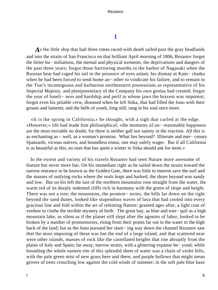# **[I](#page-140-0)**

*A*s the little ship that had three times raced with death sailed past the gray headlands and into the straits of San Francisco on that brilliant April morning of 1806, Rezanov forgot the bitter hu− miliations, the mental and physical torments, the deprivations and dangers of the past three years; forgot those harrowing months in the harbor of Nagasaki when the Russian bear had caged his tail in the presence of eyes aslant; his dismay at Kam− chatka when he had been forced to send home an− other to vindicate his failure, and to remain in the Tsar's incontiguous and barbarous northeastern possessions as representative of his Imperial Majesty, and plenipotentiary of the Company his own genius had created; forgot the year of loneli− ness and hardship and peril in whose jaws the bravest was impotent; forgot even his pitiable crew, diseased when he left Sitka, that had filled the Juno with their groans and laments; and the bells of youth, long still, rang in his soul once more.

 «It is the spring in California,» he thought, with a sigh that curled at the edge. «However,» life had made him philosophical; «the moments of un− reasonable happiness are the most enviable no doubt, for there is neither gall nor satiety in the reaction. All this is as enchanting as – well, as a woman's promise. What lies beyond? Illiterate and mer− cenary Spaniards, vicious natives, and boundless ennui, one may safely wager. But if all California is as beautiful as this, no man that has spent a winter in Sitka should ask for more.»

 In the extent and variety of his travels Rezanov had seen Nature more awesome of feature but never more fair. On his immediate right as he sailed down the straits toward the narrow entrance to be known as the Golden Gate, there was little to interest save the surf and the masses of outlying rocks where the seals leapt and barked; the shore beyond was sandy and low. But on his left the last of the northern mountains rose straight from the water, the warm red of its deeply indented cliffs rich in harmony with the green of slope and height. There was not a tree; the mountains, the promon– tories, the hills far down on the right beyond the sand dunes, looked like stupendous waves of lava that had cooled into every gracious line and fold within the art of relenting Nature; granted ages after, a light coat of verdure to clothe the terrible mystery of birth. The great bay, as blue and tran− quil as a high mountain lake, as silent as if the planet still slept after the agonies of labor, looked to be broken by a number of promontories, rising from their points far out in the water to the high back of the land; but as the Juno pursued her slant− ing way down the channel Rezanov saw that the most imposing of these was but the end of a large island, and that scattered near were other islands, masses of rock like the castellated heights that rise abruptly from the plains of Italy and Spain; far away, narrow straits, with a glittering expanse be− yond; while bounding the whole eastern rim of this splendid sheet of water was a chain of violet hills, with the pale green mist of new grass here and there, and purple hollows that might mean groves of trees crouching low against the cold winds of summer; in the soft pale blue haze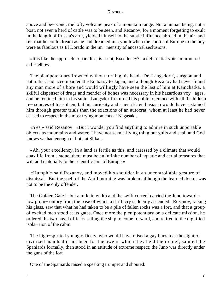above and be− yond, the lofty volcanic peak of a mountain range. Not a human being, not a boat, not even a herd of cattle was to be seen, and Rezanov, for a moment forgetting to exult in the length of Russia's arm, yielded himself to the subtle influence abroad in the air, and felt that he could dream as he had dreamed in a youth when the courts of Europe to the boy were as fabulous as El Dorado in the im− mensity of ancestral seclusions.

 «It is like the approach to paradise, is it not, Excellency?» a deferential voice murmured at his elbow.

 The plenipotentiary frowned without turning his head. Dr. Langsdorff, surgeon and naturalist, had accompanied the Embassy to Japan, and although Rezanov had never found any man more of a bore and would willingly have seen the last of him at Kamchatka, a skilful dispenser of drugs and mender of bones was necessary in his hazardous voy− ages, and he retained him in his suite. Langsdorff returned his polite tolerance with all the hidden re− sources of his spleen; but his curiosity and scientific enthusiasm would have sustained him through greater trials than the exactions of an autocrat, whom at least he had never ceased to respect in the most trying moments at Nagasaki.

 «Yes,» said Rezanov. «But I wonder you find anything to admire in such unportable objects as mountains and water. I have not seen a living thing but gulls and seal, and God knows we had enough of both at Sitka.»

 «Ah, your excellency, in a land as fertile as this, and caressed by a climate that would coax life from a stone, there must be an infinite number of aquatic and aerial treasures that will add materially to the scientific lore of Europe.»

 «Humph!» said Rezanov, and moved his shoulder in an uncontrollable gesture of dismissal. But the spell of the April morning was broken, although the learned doctor was not to be the only offender.

 The Golden Gate is but a mile in width and the swift current carried the Juno toward a low prom− ontory from the base of which a shrill cry suddenly ascended. Rezanov, raising his glass, saw that what he had taken to be a pile of fallen rocks was a fort, and that a group of excited men stood at its gates. Once more the plenipotentiary on a delicate mission, he ordered the two naval officers sailing the ship to come forward, and retired to the dignified isola− tion of the cabin.

 The high−spirited young officers, who would have raised a gay hurrah at the sight of civilized man had it not been for the awe in which they held their chief, saluted the Spaniards formally, then stood in an attitude of extreme respect; the Juno was directly under the guns of the fort.

One of the Spaniards raised a speaking trumpet and shouted: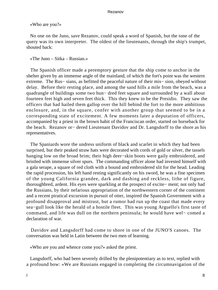«Who are you?»

 No one on the Juno, save Rezanov, could speak a word of Spanish, but the tone of the query was its own interpreter. The oldest of the lieutenants, through the ship's trumpet, shouted back:

«The Juno – Sitka – Russian.»

 The Spanish officer made a peremptory gesture that the ship come to anchor in the shelter given by an immense angle of the mainland, of which the fort's point was the western extreme. The Rus− sians, as befitted the peaceful nature of their mis− sion, obeyed without delay. Before their resting place, and among the sand hills a mile from the beach, was a quadrangle of buildings some two hun− dred feet square and surrounded by a wall about fourteen feet high and seven feet thick. This they knew to be the Presidio. They saw the officers that had hailed them gallop over the hill behind the fort to the more ambitious enclosure, and, in the square, confer with another group that seemed to be in a corresponding state of excitement. A few moments later a deputation of officers, accompanied by a priest in the brown habit of the Franciscan order, started on horseback for the beach. Rezanov or− dered Lieutenant Davidov and Dr. Langsdorff to the shore as his representatives.

 The Spaniards wore the undress uniform of black and scarlet in which they had been surprised, but their peaked straw hats were decorated with cords of gold or silver, the tassels hanging low on the broad brim; their high deer−skin boots were gaily embroidered, and bristled with immense silver spurs. The commanding officer alone had invested himself with a gala serape, a square of red cloth with a bound and embroidered slit for the head. Leading the rapid procession, his left hand resting significantly on his sword, he was a fine specimen of the young California grandee, dark and dashing and reckless, lithe of figure, thoroughbred, ardent. His eyes were sparkling at the prospect of excite− ment; not only had the Russians, by their nefarious appropriation of the northwestern corner of the continent and a recent piratical excursion in pursuit of otter, inspired the Spanish Government with a profound disapproval and mistrust, but a rumor had run up the coast that made every sea−gull look like the herald of a hostile fleet. This was young Arguello's first taste of command, and life was dull on the northern peninsula; he would have wel− comed a declaration of war.

 Davidov and Langsdorff had come to shore in one of the JUNO'S canoes. The conversation was held in Latin between the two men of learning.

«Who are you and whence come you?» asked the priest.

 Langsdorff, who had been severely drilled by the plenipotentiary as to text, replied with a profound bow: «We are Russians engaged in completing the circumnavigation of the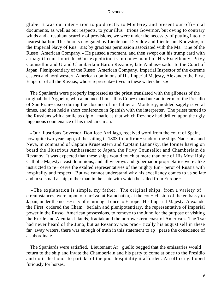globe. It was our inten− tion to go directly to Monterey and present our offi− cial documents, as well as our respects, to your illus− trious Governor, but owing to contrary winds and a resultant scarcity of provisions, we were under the necessity of putting into the nearest harbor. The Juno is navigated by Lieutenant Davidov and Lieutenant Khovstov, of the Imperial Navy of Rus− sia; by gracious permission associated with the Ma− rine of the Russo−American Company.» He paused a moment, and then swept out his trump card with a magnificent flourish: «Our expedition is in com− mand of His Excellency, Privy Counsellor and Grand Chamberlain Baron Rezanov, late Ambas− sador to the Court of Japan, Plenipotentiary of the Russo−American Company, Imperial Inspector of the extreme eastern and northwestern American dominions of His Imperial Majesty, Alexander the First, Emperor of all the Russias, whose representa− tives in these waters he is.»

 The Spaniards were properly impressed as the priest translated with the glibness of the original; but Arguello, who announced himself as Com− mandante ad interim of the Presidio of San Fran− cisco during the absence of his father at Monterey, nodded sagely several times, and then held a short conference in Spanish with the interpreter. The priest turned to the Russians with a smile as diplo− matic as that which Rezanov had drilled upon the ugly ingenuous countenance of his medicine man.

 «Our illustrious Governor, Don Jose Arrillaga, received word from the court of Spain, now quite two years ago, of the sailing in 1803 from Kron− stadt of the ships Nadeshda and Neva, in command of Captain Krusenstern and Captain Lisiansky, the former having on board the illustrious Ambassador to Japan, the Privy Counsellor and Chamberlain de Rezanov. It was expected that these ships would touch at more than one of His Most Holy Catholic Majesty's vast dominions, and all viceroys and gobernador proprietarios were alike instructed to re− ceive the exalted representatives of the mighty Em− peror of Russia with hospitality and respect. But we cannot understand why his excellency comes to us so late and in so small a ship, rather than in the state with which he sailed from Europe.»

 «The explanation is simple, my father. The original ships, from a variety of circumstances, were, upon our arrival at Kamchatka, at the con− clusion of the embassy to Japan, under the neces− sity of returning at once to Europe. His Imperial Majesty, Alexander the First, ordered the Cham− berlain and plenipotentiary, the representative of imperial power in the Russo−American possessions, to remove to the Juno for the purpose of visiting the Kurile and Aleutian Islands, Kadiak and the northwestern coast of America.» The Tsar had never heard of the Juno, but as Rezanov was prac− tically his august self in these far−away waters, there was enough of truth in this statement to ap− pease the conscience of a subordinate.

 The Spaniards were satisfied. Lieutenant Ar− guello begged that the emissaries would return to the ship and invite the Chamberlain and his party to come at once to the Presidio and do it the honor to partake of the poor hospitality it afforded. An officer galloped furiously for horses.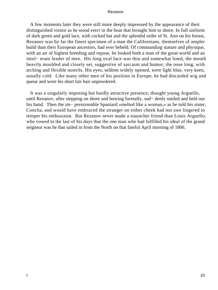A few moments later they were still more deeply impressed by the appearance of their distinguished visitor as he stood erect in the boat that brought him to shore. In full uniform of dark green and gold lace, with cocked hat and the splendid order of St. Ann on his breast, Rezanov was by far the finest specimen of a man the Californians, themselves of ampler build than their European ancestors, had ever beheld. Of commanding stature and physique, with an air of highest breeding and repose, he looked both a man of the great world and an intol− erant leader of men. His long oval face was thin and somewhat lined, the mouth heavily moulded and closely set, suggestive of sarcasm and humor; the nose long, with arching and flexible nostrils. His eyes, seldom widely opened, were light blue, very keen, usually cold. Like many other men of his position in Europe, he had discarded wig and queue and wore his short fair hair unpowdered.

 It was a singularly imposing but hardly attractive presence, thought young Arguello, until Rezanov, after stepping on shore and bowing formally, sud− denly smiled and held out his hand. Then the im− pressionable Spaniard «melted like a woman,» as he told his sister, Concha, and would have embraced the stranger on either cheek had not awe lingered to temper his enthusiasm. But Rezanov never made a stauncher friend than Louis Arguello, who vowed to the last of his days that the one man who had fulfilled his ideal of the grand seigneur was he that sailed in from the North on that fateful April morning of 1806.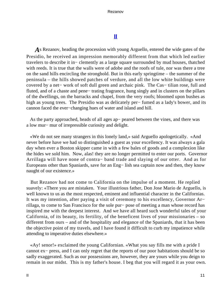# **[II](#page-140-0)**

*A*s Rezanov, heading the procession with young Arguello, entered the wide gates of the Presidio, he received an impression memorably different from that which led earlier travelers to describe it in− clemently as a large square surrounded by mud houses, thatched with reeds. It is true that the walls were of adobe and the roofs of tule, nor was there a tree on the sand hills encircling the stronghold. But in this early springtime – the summer of the peninsula – the hills showed patches of verdure, and all the low white buildings were covered by a net− work of soft dull green and archaic pink. The Cas− tilian rose, full and fluted, and of a chaste and pene− trating fragrance, hung singly and in clusters on the pillars of the dwellings, on the barracks and chapel, from the very roofs; bloomed upon bushes as high as young trees. The Presidio was as delicately per− fumed as a lady's bower, and its cannon faced the ever−changing hues of water and island and hill.

 As the party approached, heads of all ages ap− peared between the vines, and there was a low mur− mur of irrepressible curiosity and delight.

 «We do not see many strangers in this lonely land,» said Arguello apologetically. «And never before have we had so distinguished a guest as your excellency. It was always a gala day when ever a Boston skipper came in with a few bales of goods and a complexion like the hides we sold him. Now, alas! they are no longer permitted to enter our ports. Governor Arrillaga will have none of contra− band trade and slaying of our otter. And as for Europeans other than Spaniards, save for an Eng− lish sea captain now and then, they know naught of our existence.»

 But Rezanov had not come to California on the impulse of a moment. He replied suavely: «There you are mistaken. Your illustrious father, Don Jose Mario de Arguello, is well known to us as the most respected, eminent and influential character in the Californias. It was my intention, after paying a visit of ceremony to his excellency, Governor Ar− rillaga, to come to San Francisco for the sole pur− pose of meeting a man whose record has inspired me with the deepest interest. And we have all heard such wonderful tales of your California, of its beauty, its fertility, of the beneficent lives of your missionaries – so different from ours – and of the hospitality and elegance of the Spaniards, that it has been the objective point of my travels, and I have found it difficult to curb my impatience while attending to imperative duties elsewhere.»

 «Ay! senor!» exclaimed the young Californian. «What you say fills me with a pride I cannot ex− press, and I can only regret that the reports of our poor habitations should be so sadly exaggerated. Such as our possessions are, however, they are yours while you deign to remain in our midst. This is my father's house. I beg that you will regard it as your own.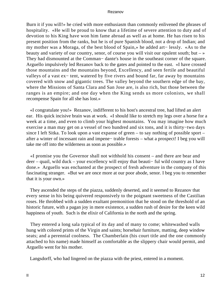Burn it if you will!» he cried with more enthusiasm than commonly enlivened the phrases of hospitality. «He will be proud to know that a lifetime of severe attention to duty and of devotion to his King have won him fame abroad as well as at home. He has risen to his present position from the ranks, but he is of pure Spanish blood, not a drop of Indian; and my mother was a Moraga, of the best blood of Spain,» he added art− lessly. «As to the beauty and variety of our country, senor, of course you will visit our opulent south; but  $-\infty$ They had dismounted at the Comman− dante's house in the southeast corner of the square. Arguello impulsively led Rezanov back to the gates and pointed to the east. «I have crossed those mountains and the mountains beyond, Excellency, and seen fertile and beautiful valleys of a vast ex− tent, watered by five rivers and bound far, far away by mountains covered with snow and gigantic trees. The valley beyond the southern edge of the bay, where the Missions of Santa Clara and San Jose are, is also rich, but those between the ranges is an empire; and one day when the King sends us more colonists, we shall recompense Spain for all she has lost.»

 «I congratulate you!» Rezanov, indifferent to his host's ancestral tree, had lifted an alert ear. His quick incisive brain was at work. «I should like to stretch my legs over a horse for a week at a time, and even to climb your highest mountains. You may imagine how much exercise a man may get on a vessel of two hundred and six tons, and it is thirty−two days since I left Sitka. To look upon a vast expanse of green – to say nothing of possible sport – after a winter of incessant rain and impene− trable forests – what a prospect! I beg you will take me off into the wilderness as soon as possible.»

 «I promise you the Governor shall not withhold his consent – and there are bear and deer – quail, wild duck – your excellency will enjoy that beauti− ful wild country as I have done.» Arguello was enchanted at the prospect of fresh adventure in the company of this fascinating stranger. «But we are once more at our poor abode, senor. I beg you to remember that it is your own.»

 They ascended the steps of the piazza, suddenly deserted, and it seemed to Rezanov that every sense in his being quivered responsively to the poignant sweetness of the Castilian roses. He throbbed with a sudden exultant premonition that he stood on the threshold of an historic future, with a pagan joy in mere existence, a sudden rush of desire for the keen wild happiness of youth. Such is the elixir of California in the north and the spring.

 They entered a long sala typical of its day and of many to come; whitewashed walls hung with colored prints of the Virgin and saints; horsehair furniture, matting, deep window seats; and a perennial coolness. The Chamberlain (his court title and the one commonly attached to his name) made himself as comfortable as the slippery chair would permit, and Arguello went for his mother.

Langsdorff, who had lingered on the piazza with the priest, entered in a moment.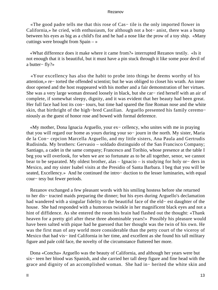«The good padre tells me that this rose of Cas− tile is the only imported flower in California,» he cried, with enthusiasm, for although not a bot− anist, there was a bump between his eyes as big as a child's fist and he had a nose like the prow of a toy ship. «Many cuttings were brought from Spain  $-\infty$ 

 «What difference does it make where it came from?» interrupted Rezanov testily. «Is it not enough that it is beautiful, but it must have a pin stuck through it like some poor devil of a butter− fly?»

 «Your excellency has also the habit to probe into things he deems worthy of his attention,» re− torted the offended scientist; but he was obliged to closet his wrath. An inner door opened and the host reappeared with his mother and a fair demonstration of her virtues. She was a very large woman dressed loosely in black, but she car− ried herself with an air of complete, if somewhat sleepy, dignity, and it was evident that her beauty had been great. Her full face had lost its con– tours, but time had spared the fine Roman nose and the white skin, that birthright of the high−bred Castilian. Arguello presented his family ceremo− niously as the guest of honor rose and bowed with formal deference.

 «My mother, Dona Ignacia Arguello, your ex− cellency, who unites with me in praying that you will regard our home as yours during your so− journ in the north. My sister, Maria de la Con− cepcion Marcella Arguello, and my little sisters, Ana Paula and Gertrudis Rudisinda. My brothers: Gervasio – soldado distinguido of the San Francisco Company; Santiago, a cadet in the same company; Francesco and Toribio, whose presence at the table I beg you will overlook, for when we are so fortunate as to be all together, senor, we cannot bear to be separated. My oldest brother, alas – Ignacio – is studying for holy or− ders in Mexico, and my sister Isabel visits at the Presidio of Santa Barbara. I beg that you will be seated, Excellency.» And he continued the intro− duction to the lesser luminaries, with equal cour− tesy but fewer periods.

 Rezanov exchanged a few pleasant words with his smiling hostess before she returned to her dis− tracted maids preparing the dinner; but his eyes during Arguello's declamation had wandered with a singular fidelity to the beautiful face of the eld− est daughter of the house. She had responded with a humorous twinkle in her magnificent black eyes and not a hint of diffidence. As she entered the room his brain had flashed out the thought: «Thank heaven for a pretty girl after these three abominable years!» Possibly his pleasure would have been salted with pique had he guessed that her thought was the twin of his own. He was the first man of any world more considerable than the petty court of the viceroy of Mexico that had vis− ited California in her time, and excellent as she found his tall military figure and pale cold face, the novelty of the circumstance fluttered her more.

 Dona «Concha» Arguello was the beauty of California, and although her years were but six− teen her blood was Spanish, and she carried her tall deep figure and fine head with the grace and dignity of an accomplished woman. She had in− herited the white skin and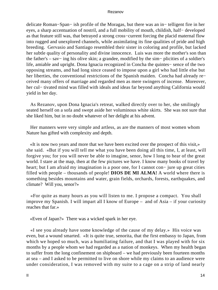delicate Roman−Span− ish profile of the Moragas, but there was an in− telligent fire in her eyes, a sharp accentuation of nostril, and a full mobility of mouth, childish, half− developed as that feature still was, that betrayed a strong cross−current forcing the placid maternal flow into rugged and unexplored channels, while assimilating its fine qualities of pride and high breeding. Gervasio and Santiago resembled their sister in coloring and profile, but lacked her subtle quality of personality and divine innocence. Luis was more the mother's son than the father's – sav− ing his olive skin; a grandee, modified by the sim− plicities of a soldier's life, amiable and upright. Dona Ignacia recognized in Concha the quintes− sence of the two opposing streams, and had long since ceased to impose upon a girl who had little else but her liberties, the conventional restrictions of the Spanish maiden. Concha had already re− ceived many offers of marriage and regarded men as mere swingers of incense. Moreover, her cul− tivated mind was filled with ideals and ideas far beyond anything California would yield in her day.

 As Rezanov, upon Dona Ignacia's retreat, walked directly over to her, she smilingly seated herself on a sofa and swept aside her voluminous white skirts. She was not sure that she liked him, but in no doubt whatever of her delight at his advent.

 Her manners were very simple and artless, as are the manners of most women whom Nature has gifted with complexity and depth.

 «It is now two years and more that we have been excited over the prospect of this visit,» she said. «But if you will tell me what you have been doing all this time, I, at least, will forgive you; for you will never be able to imagine, senor, how I long to hear of the great world. I stare at the map, then at the few pictures we have. I know many books of travel by heart; but I am afraid my imagination is a poor one, for I cannot con− jure up great cities filled with people – thousands of people! **DIOS DE MI ALMA!** A world where there is something besides mountains and water, grain fields, orchards, forests, earthquakes, and climate? Will you, senor?»

 «For quite as many hours as you will listen to me. I propose a compact. You shall improve my Spanish. I will impart all I know of Europe – and of Asia – if your curiosity reaches that far.»

«Even of Japan?» There was a wicked spark in her eye.

 «I see you already have some knowledge of the cause of my delay.» His voice was even, but a wound smarted. «It is quite true, senorita, that the first embassy to Japan, from which we hoped so much, was a humiliating failure, and that I was played with for six months by a people whom we had regarded as a nation of monkeys. When my health began to suffer from the long confinement on shipboard – we had previously been fourteen months at sea – and I asked to be permitted to live on shore while my claims to an audience were under consideration, I was removed with my suite to a cage on a strip of land nearly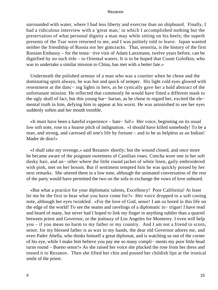surrounded with water, where I had less liberty and exercise than on shipboard. Finally, I had a ridiculous interview with a 'great man,' in which I accomplished nothing but the preservation of what personal dignity a man may while sitting on his heels; the superb presents of the Tsar were returned to me, and I was politely told to leave. Japan wanted neither the friendship of Russia nor her gimcracks. That, senorita, is the history of the first Russian Embassy – for the tenta− tive visit of Adam Lanxmann, twelve years before, can be dignified by no such title – to Oriental waters. It is to be hoped that Count Golofkin, who was to undertake a similar mission to China, has met with a better fate.»

 Underneath the polished armour of a man who was a courtier when he chose and the dominating spirit always, he was hot and quick of temper. His light cold eyes glowed with resentment at the danc− ing lights in hers, as he cynically gave her a bald abstract of the unfortunate mission. He reflected that commonly he would have fitted a different mask to the ugly skull of fact, but this young bar− barian, as he chose to regard her, excited the ele− mental truth in him, defying him to appear at his worst. He was astonished to see her eyes suddenly soften and her mouth tremble.

 «It must have been a hateful experience – hate− ful!» Her voice, beginning on its usual low soft note, rose to a hoarse pitch of indignation. «I should have killed somebody! To be a man, and strong, and caressed all one's life by fortune – and to be as helpless as an Indian! Madre de dios!»

 «I shall take my revenge,» said Rezanov shortly; but the wound closed, and once more he became aware of the poignant sweetness of Castilian roses. Concha wore one in her soft dusky hair, and an− other where the little round jacket of white linen, gaily embroidered with pink, met on her bosom. But if sentiment tempted him he was quickly poised by her next remarks. She uttered them in a low tone, although the animated conversation of the rest of the party would have permitted the two on the sofa to exchange the vows of love unheard.

 «But what a practice for your diplomatic talents, Excellency! Poor California! At least let me be the first to hear what you have come for?» Her voice dropped to a soft cooing note, although her eyes twinkled. «For the love of God, senor! I am so bored in this life on the edge of the world! To see the seams and ravelings of a diplomatic in− trigue! I have read and heard of many, but never had I hoped to link my finger in anything subtler than a quarrel between priest and Governor, or the jealousy of Los Angeles for Monterey. I even will help you – if you mean no harm to my father or my country. And I am not a friend to scorn, senor, for my blessed father is as wax in my hands, the dear old Governor adores me, and even Padre Abella, who thinks himself a great diplomat, and is watching us out of the corner of his eye, while I make him believe you pay me so many compli− ments my poor little head turns round – Bueno senor!» As she raised her voice she plucked the rose from her dress and tossed it to Rezanov. Then she lifted her chin and pouted her childish lips at the ironical smile of the priest.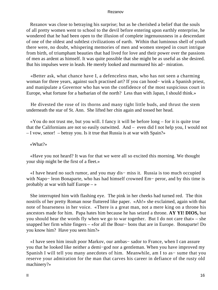Rezanov was close to betraying his surprise; but as he cherished a belief that the souls of all pretty women went to school to the devil before entering upon earthly enterprise, he wondered that he had been open to the illusion of complete ingenuousness in a descendant of one of the oldest and subtlest civilizations of earth. Within that luminous shell of youth there were, no doubt, whispering memories of men and women steeped in court intrigue from birth, of triumphant beauties that had lived for love and their power over the passions of men as ardent as himself. It was quite possible that she might be as useful as she desired. But his impulses were in leash. He merely looked and murmured his ad− miration.

 «Better ask, what chance have I, a defenceless man, who has not seen a charming woman for three years, against such practised art? If you can hood− wink a Spanish priest, and manipulate a Governor who has won the confidence of the most suspicious court in Europe, what fortune for a barbarian of the north? Less than with Japan, I should think.»

 He divested the rose of its thorns and many tight little buds, and thrust the stem underneath the star of St. Ann. She lifted her chin again and tossed her head.

 «You do not trust me, but you will. I fancy it will be before long – for it is quite true that the Californians are not so easily outwitted. And – even did I not help you, I would not  $-$  I vow, senor! – betray you. Is it true that Russia is at war with Spain?»

#### «What?»

 «Have you not heard? It was for that we were all so excited this morning. We thought your ship might be the first of a fleet.»

 «I have heard no such rumor, and you may dis− miss it. Russia is too much occupied with Napo− leon Bonaparte, who has had himself crowned Em− peror, and by this time is probably at war with half Europe – »

 She interrupted him with flashing eye. The pink in her cheeks had turned red. The thin nostrils of her pretty Roman nose fluttered like paper. «Ah!» she exclaimed, again with that note of hoarseness in her voice. «There is a great man, not a mere king on a throne his ancestors made for him. Papa hates him because he has seized a throne. **AY YI! DIOS,** but you should hear the words fly when we go to war together. But I do not care that» – she snapped her firm white fingers – «for all the Bour− bons that are in Europe. Bonaparte! Do you know him? Have you seen him?»

 «I have seen him insult poor Markov, our ambas− sador to France, when I can assure you that he looked like neither a demi−god nor a gentleman. When you have improved my Spanish I will tell you many anecdotes of him. Meanwhile, am I to as− sume that you reserve your admiration for the man that carves his career in defiance of the rusty old machinery?»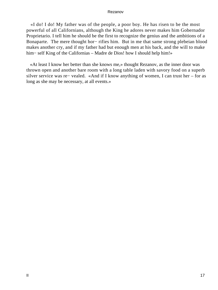«I do! I do! My father was of the people, a poor boy. He has risen to be the most powerful of all Californians, although the King he adores never makes him Gobernador Proprietario. I tell him he should be the first to recognize the genius and the ambitions of a Bonaparte. The mere thought hor− rifies him. But in me that same strong plebeian blood makes another cry, and if my father had but enough men at his back, and the will to make him− self King of the Californias – Madre de Dios! how I should help him!»

 «At least I know her better than she knows me,» thought Rezanov, as the inner door was thrown open and another bare room with a long table laden with savory food on a superb silver service was re− vealed. «And if I know anything of women, I can trust her – for as long as she may be necessary, at all events.»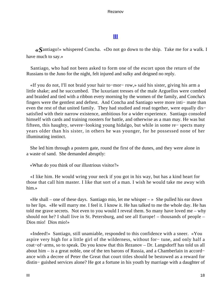# **[III](#page-140-0)**

*«S*antiago!» whispered Concha. «Do not go down to the ship. Take me for a walk. I have much to say.»

 Santiago, who had not been asked to form one of the escort upon the return of the Russians to the Juno for the night, felt injured and sulky and deigned no reply.

 «If you do not, I'll not braid your hair to−mor− row,» said his sister, giving his arm a little shake; and he succumbed. The luxuriant tresses of the male Arguellos were combed and braided and tied with a ribbon every morning by the women of the family, and Concha's fingers were the gentlest and deftest. And Concha and Santiago were more inti− mate than even the rest of that united family. They had studied and read together, were equally dis− satisfied with their narrow existence, ambitious for a wider experience. Santiago consoled himself with cards and training roosters for battle, and otherwise as a man may. He was but fifteen, this haughty, severe−looking young hidalgo, but while in some re− spects many years older than his sister, in others he was younger, for he possessed none of her illuminating instinct.

 She led him through a postern gate, round the first of the dunes, and they were alone in a waste of sand. She demanded abruptly:

«What do you think of our illustrious visitor?»

 «I like him. He would wring your neck if you got in his way, but has a kind heart for those that call him master. I like that sort of a man. I wish he would take me away with him.»

«He shall – one of these days. Santiago mio, let me whisper  $-\infty$  She pulled his ear down to her lips. «He will marry me. I feel it. I know it. He has talked to me the whole day. He has told me grave secrets. Not even to you would I reveal them. So many have loved me – why should not he? I shall live in St. Petersburg, and see all Europe! – thousands of people – Dios mio! Dios mio!»

 «Indeed!» Santiago, still unamiable, responded to this confidence with a sneer. «You aspire very high for a little girl of the wilderness, without for− tune, and only half a coat−of−arms, so to speak. Do you know that this Rezanov – Dr. Langsdorff has told us all about him – is a great noble, one of the ten barons of Russia, and a Chamberlain in accord− ance with a decree of Peter the Great that court titles should be bestowed as a reward for distin− guished services alone? He got a fortune in his youth by marriage with a daughter of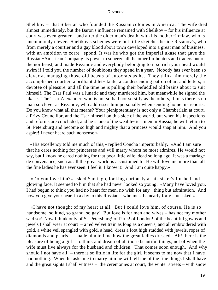Shelikov – that Siberian who founded the Russian colonies in America. The wife died almost immediately, but the Baron's influence remained with Shelikov – for his influence at court was even greater – and after the older man's death, with his mother−in−law, who is uncommonly clever. Shelikov's schemes were but little sketches beside Rezanov's, who from merely a courtier and a gay blood about town developed into a great man of business, with an ambition to corre− spond. It was he who got the Imperial ukase that gave the Russian−American Company its power to squeeze all the other fur hunters and traders out of the northeast, and made Rezanov and everybody belonging to it so rich your head would swim if I told you the number of doubloons they spend in a year. Nobody has ever been so clever at managing those old beasts of autocrats as he. They think him merely the accomplished courtier, a brilliant dilet− tante, a condescending patron of art and letters, a devotee of pleasure, and all the time he is pulling their befuddled old brains about to suit himself. The Tsar Paul was a lunatic and they murdered him, but meanwhile he signed the ukase. The Tsar Alexander, who is not so bad nor so silly as the others, thinks there is no man so clever as Rezanov, who addresses him personally when sending home his reports. Do you know what all that means? Your plenipotentiary is not only a Chamberlain at court, a Privy Councillor, and the Tsar himself on this side of the world, but when his inspections and reforms are concluded, and he is one of the wealth− iest men in Russia, he will return to St. Petersburg and become so high and mighty that a princess would snap at him. And you aspire! I never heard such nonsense.»

 «His excellency told me much of this,» replied Concha imperturbably. «And I am sure that he cares nothing for princesses and will marry whom he most admires. He would not say, but I know he cared nothing for that poor little wife, dead so long ago. It was a mariage de convenance, such as all the great world is accustomed to. He will love me more than all the fine ladies he has ever seen. I feel it. I know it! And I am quite happy.»

 «Do you love him?» asked Santiago, looking curiously at his sister's flushed and glowing face. It seemed to him that she had never looked so young. «Many have loved you. I had begun to think you had no heart for men, no wish for any− thing but admiration. And now you give your heart in a day to this Russian – who must be nearly forty – unasked.»

 «I have not thought of my heart at all. But I could love him, of course. He is so handsome, so kind, so grand, so gay! But love is for men and wives – has not my mother said so? Now I think only of St. Petersburg! of Paris! of London! of the beautiful gowns and jewels I shall wear at court – a red velvet train as long as a queen's, and all embroidered with gold, a white veil spangled with gold, a head−dress a foot high studded with jewels, ropes of diamonds and pearls – I made him tell me how the great ladies dressed. Ah! there is the pleasure of being a girl – to think and dream of all those beautiful things, not of when the wife must live always for the husband and children. That comes soon enough. And why should I not have all! – there is so little in life for the girl. It seems to me now that I have had nothing. When he asks me to marry him he will tell me of the fine things I shall have and the great sights I shall witness – the ceremonies at court, the winter streets – with snow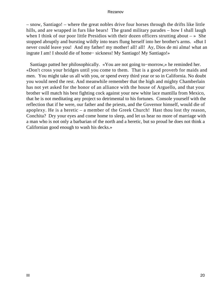– snow, Santiago! – where the great nobles drive four horses through the drifts like little hills, and are wrapped in furs like bears! The grand military parades – how I shall laugh when I think of our poor little Presidios with their dozen officers strutting about  $-$  » She stopped abruptly and bursting wildly into tears flung herself into her brother's arms. «But I never could leave you! And my father! my mother! all! all! Ay, Dios de mi alma! what an ingrate I am! I should die of home− sickness! My Santiago! My Santiago!»

 Santiago patted her philosophically. «You are not going to−morrow,» he reminded her. «Don't cross your bridges until you come to them. That is a good proverb for maids and men. You might take us all with you, or spend every third year or so in California. No doubt you would need the rest. And meanwhile remember that the high and mighty Chamberlain has not yet asked for the honor of an alliance with the house of Arguello, and that your brother will match his best fighting cock against your new white lace mantilla from Mexico, that he is not meditating any project so detrimental to his fortunes. Console yourself with the reflection that if he were, our father and the priests, and the Governor himself, would die of apoplexy. He is a heretic – a member of the Greek Church! Hast thou lost thy reason, Conchita? Dry your eyes and come home to sleep, and let us hear no more of marriage with a man who is not only a barbarian of the north and a heretic, but so proud he does not think a Californian good enough to wash his decks.»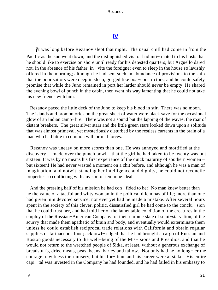# **[IV](#page-140-0)**

*I*t was long before Rezanov slept that night. The usual chill had come in from the Pacific as the sun went down, and the distinguished visitor had inti− mated to his hosts that he should like to exercise on shore until ready for his detested quarters; but Arguello dared not, in the absence of his father, in− vite the foreigner even to sleep in the house so lavishly offered in the morning; although he had sent such an abundance of provisions to the ship that the poor sailors were deep in sleep, gorged like boa−constrictors; and he could safely promise that while the Juno remained in port her larder should never be empty. He shared the evening bowl of punch in the cabin, then went his way lamenting that he could not take his new friends with him.

 Rezanov paced the little deck of the Juno to keep his blood in stir. There was no moon. The islands and promontories on the great sheet of water were black save for the occasional glow of an Indian camp−fire. There was not a sound but the lapping of the waves, the roar of distant breakers. The great silver stars and the little green stars looked down upon a solitude that was almost primeval, yet mysteriously disturbed by the restless currents in the brain of a man who had little in common with primal forces.

 Rezanov was uneasy on more scores than one. He was annoyed and mortified at the discovery – made over the punch bowl – that the girl he had taken to be twenty was but sixteen. It was by no means his first experience of the quick maturity of southern women – but sixteen! He had never wasted a moment on a chit before, and although he was a man of imagination, and notwithstanding her intelligence and dignity, he could not reconcile properties so conflicting with any sort of feminine ideal.

 And the pressing half of his mission he had con− fided to her! No man knew better than he the value of a tactful and witty woman in the political dilemmas of life; more than one had given him devoted service, nor ever yet had he made a mistake. After several hours spent in the society of this clever, politic, dissatisfied girl he had come to the conclu− sion that he could trust her, and had told her of the lamentable condition of the creatures in the employ of the Russian−American Company; of their chronic state of semi−starvation, of the scurvy that made them apathetic of brain and body, and eventually would exterminate them unless he could establish reciprocal trade relations with California and obtain regular supplies of farinaceous food; acknowl− edged that he had brought a cargo of Russian and Boston goods necessary to the well−being of the Mis− sions and Presidios, and that he would not return to the wretched people of Sitka, at least, without a generous exchange of breadstuffs, dried meats, peas, beans, barley and tallow. Not only had he no long− er the courage to witness their misery, but his for− tune and his career were at stake. His entire capi− tal was invested in the Company he had founded, and he had failed in his embassy to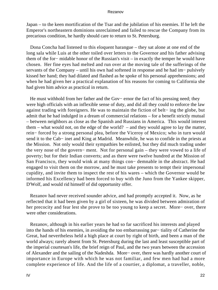Japan – to the keen mortification of the Tsar and the jubilation of his enemies. If he left the Emperor's northeastern dominions unreclaimed and failed to rescue the Company from its precarious condition, he hardly should care to return to St. Petersburg.

 Dona Concha had listened to this eloquent harangue – they sat alone at one end of the long sala while Luis at the other toiled over letters to the Governor and his father advising them of the for− midable honor of the Russian's visit – in exactly the temper he would have chosen. Her fine eyes had melted and run over at the moving tale of the sufferings of the servants of the Company – until his own had softened in response and he had im− pulsively kissed her hand; they had dilated and flashed as he spoke of his personal apprehensions; and when he had given her a practical explanation of his reasons for coming to California she had given him advice as practical in return.

He must withhold from her father and the Gov– ernor the fact of his pressing need; they were high officials with an inflexible sense of duty, and did all they could to enforce the law against trading with foreigners. He was to maintain the fiction of belt− ing the globe, but admit that he had indulged in a dream of commercial relations – for a benefit strictly mutual – between neighbors as close as the Spanish and Russians in America. This would interest them – what would not, on the edge of the world? – and they would agree to lay the matter, rein− forced by a strong personal plea, before the Viceroy of Mexico; who in turn would send it to the Cab− inet and King at Madrid. Meanwhile, he was to confide in the priests at the Mission. Not only would their sympathies be enlisted, but they did much trading under the very nose of the govern− ment. Not for personal gain – they were vowed to a life of poverty; but for their Indian converts; and as there were twelve hundred at the Mission of San Francisco, they would wink at many things con− demnable in the abstract. He had engaged to visit them on the morrow, and he must take presents to tempt their impersonal cupidity, and invite them to inspect the rest of his wares – which the Governor would be informed his Excellency had been forced to buy with the Juno from the Yankee skipper, D'Wolf, and would rid himself of did opportunity offer.

 Rezanov had never received sounder advice, and had promptly accepted it. Now, as he reflected that it had been given by a girl of sixteen, he was divided between admiration of her precocity and fear lest she prove to be too young to keep a secret. More− over, there were other considerations.

 Rezanov, although in his earlier years he had so far sacrificed his interests and played into the hands of his enemies, in avoiding the too embarrassing par− tiality of Catherine the Great, had nevertheless held a high place at court by right of birth, and been a man of the world always; rarely absent from St. Petersburg during the last and least susceptible part of the imperial courtesan's life, the brief reign of Paul, and the two years between the accession of Alexander and the sailing of the Nadeshda. More− over, there was hardly another court of importance in Europe with which he was not familiar, and few men had had a more complete experience of life. And the life of a courtier, a diplomat, a traveller, noble,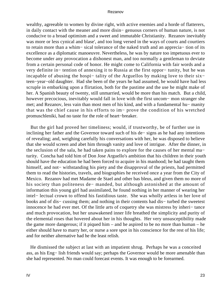wealthy, agreeable to women by divine right, with active enemies and a horde of flatterers, in daily contact with the meaner and more disin− genuous corners of human nature, is not conducive to a broad optimism and a sweet and immutable Christianity. Rezanov inevitably was more or less cynical and blase', and too long versed in the ways of courts and courtiers to retain more than a whim− sical tolerance of the naked truth and an apprecia− tion of its excellence as a diplomatic manoeuvre. Nevertheless, he was by nature too impetuous ever to become under any provocation a dishonest man, and too normally a gentleman to deviate from a certain personal code of honor. He might come to California with fair words and a very definite in− tention of annexing it to Russia at the first oppor− tunity, but he was incapable of abusing the hospi− tality of the Arguellos by making love to their six− teen−year−old daughter. Had she been of the years he had assumed, he would have had less scruple in embarking upon a flirtation, both for the pastime and the use he might make of her. A Spanish beauty of twenty, still unmarried, would be more than his match. But a child, however precocious, inevitably would fall in love with the first uncom− mon stranger she met; and Rezanov, less vain than most men of his kind, and with a fundamental hu− manity that was the chief cause in his efforts to im− prove the condition of his wretched promuschleniki, had no taste for the role of heart−breaker.

 But the girl had proved her timeliness; would, if trustworthy, be of further use in inclining her father and the Governor toward such of his de− signs as he had any intentions of revealing; and, weighing carefully his conversations with her, he was disposed to believe that she would screen and abet him through vanity and love of intrigue. After the dinner, in the seclusion of the sala, he had taken pains to explore for the causes of her mental ma− turity. Concha had told him of Don Jose Arguello's ambition that his children in their youth should have the education he had been forced to acquire in his manhood; he had taught them himself, and not− withstanding his piety and the disapproval of the priests, had permitted them to read the histories, travels, and biographies he received once a year from the City of Mexico. Rezanov had met Madame de Stael and other bas bleus, and given them no more of his society than politeness de− manded, but although astonished at the amount of information this young girl had assimilated, he found nothing in her manner of wearing her intel− lectual crown to offend his fastidious taste. She was wholly artless in her love of books and of dis− cussing them; and nothing in their contents had dis− turbed the sweetest innocence he had ever met. Of the little arts of coquetry she was mistress by inheri− tance and much provocation, but her unawakened inner life breathed the simplicity and purity of the elemental roses that hovered about her in his thoughts. Her very unsusceptibility made the game more dangerous; if it piqued him – and he aspired to be no more than human – he either should have to marry her, or nurse a sore spot in his conscience for the rest of his life; and for neither alternative had he the least relish.

 He dismissed the subject at last with an impatient shrug. Perhaps he was a conceited ass, as his Eng− lish friends would say; perhaps the Governor would be more amenable than she had represented. No man could forecast events. It was enough to be forearmed.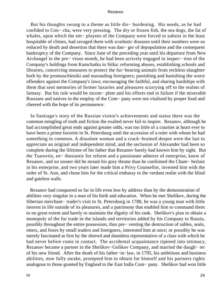But his thoughts swung to a theme as little dis− burdening. His needs, as he had confided to Con− cha, were very pressing. The dry or frozen fish, the sea dogs, the fat of whales, upon which the em− ployees of the Company were forced to subsist in the least hospitable of climes, had ravaged them with scorbutic diseases until their numbers were so reduced by death and desertion that there was dan− ger of depopulation and the consequent bankruptcy of the Company. Since June of the preceding year until his departure from New Archangel in the pre− vious month, he had been actively engaged in inspec− tion of the Company's holdings from Kamchatka to Sitka: reforming abuses, establishing schools and libraries, conceiving measures to protect the fur−bearing animals from reckless slaughter both by the promuschleniki and marauding foreigners; punishing and banishing the worst offenders against the Company's laws; encouraging the faithful, and sharing hardships with them that sent memories of former luxuries and pleasures scurrying off to the realms of fantasy. But his rule would be incom− plete and his efforts end in failure if the miserable Russians and natives in the employ of the Com− pany were not vitalized by proper food and cheered with the hope of its permanence.

 In Santiago's story of the Russian visitor's achievements and status there was the common mingling of truth and fiction the exalted never fail to inspire. Rezanov, although he had accomplished great ends against greater odds, was too little of a courtier at heart ever to have been a prime favorite in St. Petersburg until the accession of a ruler with whom he had something in common. A dissolute woman and a crack−brained despot were the last to appreciate an original and independent mind, and the seclusion of Alexander had been so complete during the lifetime of his father that Rezanov barely had known him by sight. But the Tsarovitz, en− thusiastic for reform and a passionate admirer of enterprise, knew of Rezanov, and no sooner did he mount his gory throne than he confirmed the Cham− berlain in his enterprise, and two years later made him a Privy Counsellor, invested him with the order of St. Ann, and chose him for the critical embassy to the verdant realm with the blind and gateless walls.

 Rezanov had conquered so far in life even less by address than by the demonstration of abilities very singular in a man of his birth and education. When he met Shelikov, during the Siberian merchant− trader's visit to St. Petersburg in 1788, he was a young man with little interest in life outside of its pleasures, and a patrimony that enabled him to command them to no great extent and barely to maintain the dignity of his rank. Shelikov's plan to obtain a monopoly of the fur trade in the islands and territories added by his Company to Russia, possibly throughout the entire possession, thus pre− venting the destruction of sables, seals, otters, and foxes by small traders and foreigners, interested him at once; or possibly he was merely fascinated at first by the shrewd and dauntless representative of a class with which he had never before come in contact. The accidental acquaintance ripened into intimacy, Rezanov became a partner in the Shelikov−Golikov Company, and married the daugh− ter of his new friend. After the death of his father−in−law, in 1795, his ambitions and business abilities, now fully awake, prompted him to obtain for himself and his partners rights analogous to those granted by England to the East India Com− pany. Shelikov had won little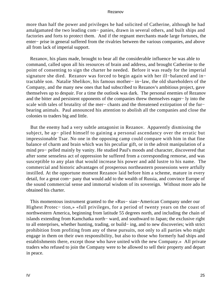more than half the power and privileges he had solicited of Catherine, although he had amalgamated the two leading com− panies, drawn in several others, and built ships and factories and forts to protect them. And if the regnant merchants made large fortunes, the enter− prise in general suffered from the rivalries between the various companies, and above all from lack of imperial support.

 Rezanov, his plans made, brought to bear all the considerable influence he was able to command, called upon all his resources of brain and address, and brought Catherine to the point of consenting to sign the charter he needed. Before it was ready for the imperial signature she died. Rezanov was forced to begin again with her ill−balanced and in− tractable son. Natalie Shelikov, his famous mother− in−law, the old shareholders of the Company, and the many new ones that had subscribed to Rezanov's ambitious project, gave themselves up to despair. For a time the outlook was dark. The personal enemies of Rezanov and the bitter and persistent opponents of the companies threw themselves eager− ly into the scale with tales of brutality of the mer– chants and the threatened extirpation of the fur– bearing animals. Paul announced his attention to abolish all the companies and close the colonies to traders big and little.

 But the enemy had a very subtle antagonist in Rezanov. Apparently dismissing the subject, he ap− plied himself to gaining a personal ascendancy over the erratic but impressionable Tsar. No one in the opposing camp could compare with him in that fine balance of charm and brain which was his peculiar gift, or in the adroit manipulation of a mind pro− pelled mainly by vanity. He studied Paul's moods and character, discovered that after some senseless act of oppression he suffered from a corresponding remorse, and was susceptible to any plan that would increase his power and add lustre to his name. The commercial and historic advantages of prosperous northeastern possessions were artfully instilled. At the opportune moment Rezanov laid before him a scheme, mature in every detail, for a great com− pany that would add to the wealth of Russia, and convince Europe of the sound commercial sense and immortal wisdom of its sovereign. Without more ado he obtained his charter.

 This momentous instrument granted to the «Rus− sian−American Company under our Highest Protec− tion,» «full privileges, for a period of twenty years on the coast of northwestern America, beginning from latitude 55 degrees north, and including the chain of islands extending from Kamchatka north− ward, and southward to Japan; the exclusive right to all enterprises, whether hunting, trading, or build− ing, and to new discoveries; with strict prohibition from profiting from any of these pursuits, not only to all parties who might engage in them on their own responsibility, but also to those who formerly had ships and establishments there, except those who have united with the new Company.» All private traders who refused to join the Company were to be allowed to sell their property and depart in peace.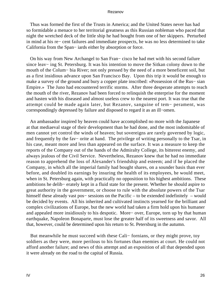Thus was formed the first of the Trusts in America; and the United States never has had so formidable a menace to her territorial greatness as this Russian nobleman who paced that night the wretched deck of the little ship he had bought from one of her skippers. Perturbed in mind at his re− cent failures and immediate prospects, he was no less determined to take California from the Span− iards either by absorption or force.

 On his way from New Archangel to San Fran− cisco he had met with his second failure since leav− ing St. Petersburg. It was his intention to move the Sitkan colony down to the mouth of the Colum− bia River; not only pressed by the need of a more beneficent soil, but as a first insidious advance upon San Francisco Bay. Upon this trip it would be enough to make a survey of the ground and bury a copper plate inscribed: «Possession of the Rus− sian Empire.» The Juno had encountered terrific storms. After three desperate attempts to reach the mouth of the river, Rezanov had been forced to relinquish the enterprise for the moment and hasten with his diseased and almost useless crew to the nearest port. It was true that the attempt could be made again later, but Rezanov, sanguine of tem− perament, was correspondingly depressed by failure and disposed to regard it as an ill−omen.

 An ambassador inspired by heaven could have accomplished no more with the Japanese at that mediaeval stage of their development than he had done, and the most indomitable of men cannot yet control the winds of heaven; but sovereigns are rarely governed by logic, and frequently by the fav− orite at hand. The privilege of writing personally to the Tsar, in his case, meant more and less than appeared on the surface. It was a measure to keep the reports of the Company out of the hands of the Admiralty College, its bitterest enemy, and always jealous of the Civil Service. Nevertheless, Rezanov knew that he had no immediate reason to apprehend the loss of Alexander's friendship and esteem; and if he placed the Company, in which all the imperial family had bought shares, on a sounder basis than ever before, and doubled its earnings by insuring the health of its employees, he would meet, when in St. Petersburg again, with practically no opposition to his highest ambitions. These ambitions he delib− erately kept in a fluid state for the present. Whether he should aspire to great authority in the government, or choose to rule with the absolute powers of the Tsar himself these already vast pos− sessions on the Pacific – to be extended indefinitely – would be decided by events. All his inherited and cultivated instincts yearned for the brilliant and complex civilizations of Europe, but the new world had taken a firm hold upon his humaner and appealed more insidiously to his despotic. More− over, Europe, torn up by that human earthquake, Napoleon Bonaparte, must lose the greater half of its sweetness and savor. All that, however, could be determined upon his return to St. Petersburg in the autumn.

 But meanwhile he must succeed with these Cali− fornians, or they might prove, toy soldiers as they were, more perilous to his fortunes than enemies at court. He could not afford another failure; and news of this attempt and an exposition of all that depended upon it were already on the road to the capital of Russia.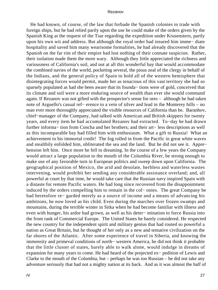He had known, of course, of the law that forbade the Spanish colonies to trade with foreign ships, but he had relied partly upon the use he could make of the orders given by the Spanish King at the request of the Tsar regarding the expedition under Krusenstern, partly upon his own wit and address. But although the royal order had insured him imme− diate hospitality and saved him many wearisome formalities, he had already discovered that the Spanish on the far rim of their empire had lost nothing of their connate suspicion. Rather, their isolation made them the more wary. Although they little appreciated the richness and variousness of California's soil, and not at all this wonderful bay that would accommodate the combined navies of the world, pocketing several, the pious zeal of the clergy in behalf of the Indians, and the general policy of Spain to hold all of the western hemisphere that disintegrating forces would permit, made her as tenacious of this vast territory she had so sparsely populated as had she been aware that its founda− tions were of gold, conceived that its climate and soil were a more enduring source of wealth than ever she would command again. If Rezanov was not gifted with the prospector's sense for ores – although he had taken note of Arguello's casual ref− erence to a vein of silver and lead in the Monterey hills – no man ever more thoroughly appreciated the visible resources of California than he. Baranhov, chief−manager of the Company, had talked with American and British skippers for twenty years, and every item he had accumulated Rezanov had extracted. To−day he had drawn further informa− tion from Concha and her brothers; and their art− less descriptions as well as this incomparable bay had filled him with enthusiasm. What a gift to Russia! What an achievement to his immortal credit! The fog rolled in from the Pacific in great white waves and stealthily enfolded him, obliterated the sea and the land. But he did not see it. Appre− hension left him. Once more he fell to dreaming. In the course of a few years the Company would attract a large population to the mouth of the Columbia River, be strong enough to make use of any favorable turn in European politics and sweep down upon California. The geographical position of Mexico, the arid and desolate, herbless and waterless wastes intervening, would prohibit her sending any considerable assistance overland; and, all powerful at court by that time, he would take care that the Russian navy inspired Spain with a distaste for remote Pacific waters. He had long since recovered from the disappointment induced by the orders compelling him to remain in the col− onies. The great Company he had heretofore re− garded merely as a source of income and a means of advancing his ambitions, he now loved as his child. Even during the marches over frozen swamps and mountains, during the terrible winter in Sitka when he had become familiar with illness and even with hunger, his ardor had grown, as well as his deter− mination to force Russia into the front rank of Commercial Europe. The United States he barely considered. He respected the new country for the independent spirit and military genius that had routed so powerful a nation as Great Britain, but he thought of her only as a new and tentative civilization on the far shores of the Atlantic. After some experience of travel in Siberia, and knowing the immensity and primeval conditions of north− western America, he did not think it probable that the little cluster of states, barely able to walk alone, would indulge in dreams of expansion for many years to come. He had heard of the projected ex− pedition of Lewis and Clarke to the mouth of the Columbia, but – perhaps he was too Russian – he did not take any adventure seriously that had not a mighty nation at its back. And as it was almost the half of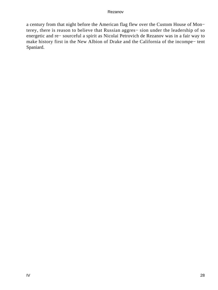a century from that night before the American flag flew over the Custom House of Mon− terey, there is reason to believe that Russian aggres− sion under the leadership of so energetic and re− sourceful a spirit as Nicolai Petrovich de Rezanov was in a fair way to make history first in the New Albion of Drake and the California of the incompe− tent Spaniard.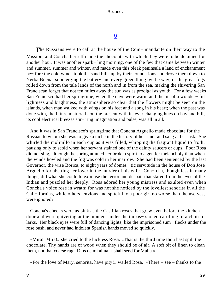### **[V](#page-140-0)**

*T*he Russians were to call at the house of the Com− mandante on their way to the Mission, and Concha herself made the chocolate with which they were to be detained for another hour. It was another spark− ling morning, one of the few that came between winter and summer, summer and winter, and made even this bleak peninsula a land of enchantment be− fore the cold winds took the sand hills up by their foundations and drove them down to Yerba Buena, submerging the battery and every green thing by the way; or the great fogs rolled down from the tule lands of the north and in from the sea, making the shivering San Franciscan forget that not ten miles away the sun was as prodigal as youth. For a few weeks San Francisco had her springtime, when the days were warm and the air of a wonder− ful lightness and brightness, the atmosphere so clear that the flowers might be seen on the islands, when man walked with wings on his feet and a song in his heart; when the past was done with, the future mattered not, the present with its ever changing hues on bay and hill, its cool electrical breezes stir− ring imagination and pulse, was all in all.

 And it was in San Francisco's springtime that Concha Arguello made chocolate for the Russian to whom she was to give a niche in the history of her land; and sang at her task. She whirled the molinillo in each cup as it was filled, whipping the fragrant liquid to froth; pausing only to scold when her servant stained one of the dainty saucers or cups. Poor Rosa did not sing, although the spring attuned her broken spirit to a gentler melancholy than when the winds howled and the fog was cold in her marrow. She had been sentenced by the last Governor, the wise Borica, to eight years of domes− tic servitude in the house of Don Jose Arguello for abetting her lover in the murder of his wife. Con− cha, thoughtless in many things, did what she could to exorcise the terror and despair that stared from the eyes of the Indian and puzzled her deeply. Rosa adored her young mistress and exulted even when Concha's voice rose in wrath; for was not she noticed by the loveliest senorita in all the Cali− fornias, while others, envious and spiteful to a poor girl no worse than themselves, were ignored?

 Concha's cheeks were as pink as the Castilian roses that grew even before the kitchen door and were quivering at the moment under the impas− sioned carolling of a choir of larks. Her black eyes were full of dancing lights, like the imprisoned sum− flecks under the rose bush, and never had indolent Spanish hands moved so quickly.

 «Mira! Mira!» she cried to the luckless Rosa. «That is the third time thou hast spilt the chocolate. Thy hands are of wood when they should be of air. A soft bit of linen to clean them, not that coarse rag. Dios de mi alma! I shall send for Malia.»

«For the love of Mary, senorita, have pity!» wailed Rosa. «There – see – thanks to the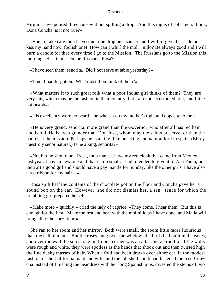Virgin I have poured three cups without spilling a drop. And this rag is of soft linen. Look, Dona Concha, is it not true?»

 «Bueno; take care thou leavest not one drop on a saucer and I will forgive thee – do not kiss my hand now, foolish one! How can I whirl the moli− nillo? Be always good and I will burn a candle for thee every time I go to the Mission. The Russians go to the Mission this morning. Hast thou seen the Russians, Rosa?»

«I have seen them, senorita. Did I not serve at table yesterday?»

«True; I had forgotten. What didst thou think of them?»

 «What matters it to such great folk what a poor Indian girl thinks of them? They are very fair, which may be the fashion in their country; but I am not accustomed to it; and I like not beards.»

«His excellency wore no beard – he who sat on my mother's right and opposite to me.»

 «He is very grand, senorita; more grand than the Governor, who after all has red hair and is old. He is even grander than Don Jose, whom may the saints preserve; or than the padres at the mission. Perhaps he is a king, like our King and natural lord in spain. (El rey nuestro y senor natural.) Is he a king, senorita?»

 «No, but he should be. Rosa, thou mayest have my red cloak that came from Mexico – last year. I have a new one and that is too small. I had intended to give it to Ana Paula, but thou art a good girl and should have a gay mantle for Sunday, like the other girls. I have also a red ribbon for thy hair  $-\infty$ 

 Rosa spilt half the contents of the chocolate pot on the floor and Concha gave her a sound box on the ear. However, she did not dismiss her, a sen− tence for which the trembling girl prepared herself.

 «Make more – quickly!» cried the lady of caprice. «They come. I hear them. But this is enough for the first. Make the rest and beat with the molinillo as I have done, and Malia will bring all to the cor− ridor.»

 She ran to her room and her mirror. Both were small, the room little more luxurious than the cell of a nun. But the roses hung over the window, the birds had built in the eaves, and over the wall the sun shone in. In one corner was an altar and a crucifix. If the walls were rough and white, they were spotless as the hands that shook out and then twisted high the fine dusky masses of hair. When a fold had been drawn over either ear, in the modest fashion of the California maid and wife, and the tall shell comb had fastened the rest, Con− cha instead of finishing the headdress with her long Spanish pins, divested the stems of two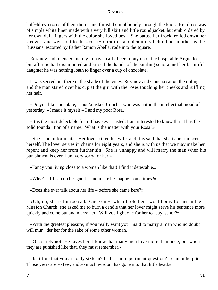half–blown roses of their thorns and thrust them obliquely through the knot. Her dress was of simple white linen made with a very full skirt and little round jacket, but embroidered by her own deft fingers with the color she loved best. She patted her frock, rolled down her sleeves, and went out to the «corri− dor» to stand demurely behind her mother as the Russians, escorted by Father Ramon Abella, rode into the square.

 Rezanov had intended merely to pay a call of ceremony upon the hospitable Arguellos, but after he had dismounted and kissed the hands of the smiling senora and her beautiful daughter he was nothing loath to linger over a cup of chocolate.

 It was served out there in the shade of the vines. Rezanov and Concha sat on the railing, and the man stared over his cup at the girl with the roses touching her cheeks and ruffling her hair.

 «Do you like chocolate, senor?» asked Concha, who was not in the intellectual mood of yesterday. «I made it myself – I and my poor Rosa.»

 «It is the most delectable foam I have ever tasted. I am interested to know that it has the solid founda− tion of a name. What is the matter with your Rosa?»

 «She is an unfortunate. Her lover killed his wife, and it is said that she is not innocent herself. The lover serves in chains for eight years, and she is with us that we may make her repent and keep her from further sin. She is unhappy and will marry the man when his punishment is over. I am very sorry for her.»

«Fancy you living close to a woman like that! I find it detestable.»

 $\langle \text{why?} - \text{if I can do her good} - \text{and make her happy, sometimes?} \rangle$ 

«Does she ever talk about her life – before she came here?»

 «Oh, no; she is far too sad. Once only, when I told her I would pray for her in the Mission Church, she asked me to burn a candle that her lover might serve his sentence more quickly and come out and marry her. Will you light one for her to−day, senor?»

 «With the greatest pleasure; if you really want your maid to marry a man who no doubt will mur− der her for the sake of some other woman.»

 «Oh, surely not! He loves her. I know that many men love more than once, but when they are punished like that, they must remember.»

 «Is it true that you are only sixteen? Is that an impertinent question? I cannot help it. Those years are so few, and so much wisdom has gone into that little head.»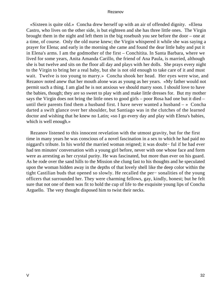«Sixteen is quite old.» Concha drew herself up with an air of offended dignity. «Elena Castro, who lives on the other side, is but eighteen and she has three little ones. The Virgin brought them in the night and left them in the big rosebush you see before the door – one at a time, of course. Only the old nurse knew; the Virgin whispered it while she was saying a prayer for Elena; and early in the morning she came and found the dear little baby and put it in Elena's arms. I am the godmother of the first – Conchitita. In Santa Barbara, where we lived for some years, Anita Amanda Carillo, the friend of Ana Paula, is married, although she is but twelve and sits on the floor all day and plays with her dolls. She prays every night to the Virgin to bring her a real baby, but she is not old enough to take care of it and must wait. Twelve is too young to marry.» Concha shook her head. Her eyes were wise, and Rezanov noted anew that her mouth alone was as young as her years. «My father would not permit such a thing. I am glad he is not anxious we should marry soon. I should love to have the babies, though; they are so sweet to play with and make little dresses for. But my mother says the Virgin does not bring the little ones to good girls – poor Rosa had one but it died – until their parents find them a husband first. I have never wanted a husband  $-\infty$  Concha darted a swift glance over her shoulder, but Santiago was in the clutches of the learned doctor and wishing that he knew no Latin; «so I go every day and play with Elena's babies, which is well enough.»

 Rezanov listened to this innocent revelation with the utmost gravity, but for the first time in many years he was conscious of a novel fascination in a sex to which he had paid no niggard's tribute. In his world the married woman reigned; it was doubt− ful if he had ever had ten minutes' conversation with a young girl before, never with one whose face and form were as arresting as her crystal purity. He was fascinated, but more than ever on his guard. As he rode over the sand hills to the Mission she clung fast to his thoughts and he speculated upon the woman hidden away in the depths of that lovely shell like the deep color within the tight Castilian buds that opened so slowly. He recalled the per− sonalities of the young officers that surrounded her. They were charming fellows, gay, kindly, honest; but he felt sure that not one of them was fit to hold the cup of life to the exquisite young lips of Concha Arguello. The very thought disposed him to twist their necks.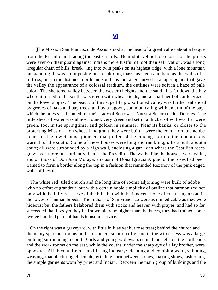### **[VI](#page-140-0)**

**The Mission San Francisco de Assisi stood at the head of a great valley about a league** from the Presidio and facing the eastern hills. Behind it, yet not too close, for the priests were ever on their guard against Indians more lustful of loot than sal− vation, was a long irregular chain of hills, break− ing into twin peaks on its highest ridge, with a lone mountain outstanding. It was an imposing but forbidding mass, as steep and bare as the walls of a fortress; but in the distance, north and south, as the range curved in a tapering arc that gave the valley the appearance of a colossal stadium, the outlines were soft in a haze of pale color. The sheltered valley between the western heights and the sand hills far down the bay where it turned to the south, was green with wheat fields, and a small herd of cattle grazed on the lower slopes. The beauty of this superbly proportioned valley was further enhanced by groves of oaks and bay trees, and by a lagoon, communicating with an arm of the bay, which the priests had named for their Lady of Sorrows – Nuestra Senora de los Dolores. The little sheet of water was almost round, very green and set in a thicket of willows that were green, too, in the springtime, and golden in summer. Near its banks, or closer to the protecting Mission – on whose land grant they were built – were the com− fortable adobe homes of the few Spanish pioneers that preferred the bracing north to the monotonous warmth of the south. Some of these houses were long and rambling, others built about a court; all were surrounded by a high wall, enclosing a gar− den where the Castilian roses grew even more lux− uriantly than at the Presidio. The walls, like the houses, were white, and on those of Don Juan Moraga, a cousin of Dona Ignacia Arguello, the roses had been trained to form a border along the top in a fashion that reminded Rezanov of the pink edged walls of Fiesole.

 The white red−tiled church and the long line of rooms adjoining were built of adobe with no effort at grandeur, but with a certain noble simplicity of outline that harmonized not only with the lofty re− serve of the hills but with the innocent hope of creat− ing a soul in the lowest of human bipeds. The Indians of San Francisco were as immedicable as they were hideous; but the fathers belabored them with sticks and heaven with prayer, and had so far succeeded that if as yet they had sown piety no higher than the knees, they had trained some twelve hundred pairs of hands to useful service.

 On the right was a graveyard, with little in it as yet but rose trees; behind the church and the many spacious rooms built for the consolation of virtue in the wilderness was a large building surrounding a court. Girls and young widows occupied the cells on the north side, and the work rooms on the east, while the youths, under the sharp eye of a lay brother, were opposite. All lived a life of unwill− ing industry: cleaning and combing wool, spinning, weaving, manufacturing chocolate, grinding corn between stones, making shoes, fashioning the simple garments worn by priest and Indian. Between the main group of buildings and the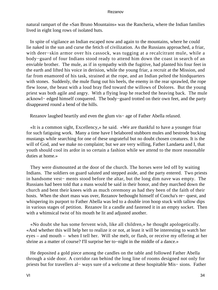natural rampart of the «San Bruno Mountains» was the Rancheria, where the Indian families lived in eight long rows of isolated huts.

 In spite of vigilance an Indian escaped now and again to the mountains, where he could lie naked in the sun and curse the fetich of civilization. As the Russians approached, a friar, with deer−skin armor over his cassock, was tugging at a recalcitrant mule, while a body−guard of four Indians stood ready to attend him down the coast in search of an enviable brother. The mule, as if in sympathy with the fugitive, had planted his four feet in the earth and lifted his voice in derision, while the young friar, a recruit at the Mission, and far from enamored of his task, strained at the rope, and an Indian pelted the hindquarters with stones. Suddenly, the mule flung out his heels, the enemy in the rear sprawled, the rope flew loose, the beast with a loud bray fled toward the willows of Dolores. But the young priest was both agile and angry. With a flying leap he reached the heaving back. The mule acknowl− edged himself conquered. The body−guard trotted on their own feet, and the party disappeared round a bend of the hills.

Rezanov laughed heartily and even the glum vis− age of Father Abella relaxed.

 «It is a common sight, Excellency,» he said. «We are thankful to have a younger friar for such fatiguing work. Many a time have I belabored stubborn mules and bestrode bucking mustangs while searching for one of these ungrateful but no doubt chosen creatures. It is the will of God, and we make no complaint; but we are very willing, Father Landaeta and I, that youth should cool its ardor in so certain a fashion while we attend to the more reasonable duties at home.»

 They were dismounted at the door of the church. The horses were led off by waiting Indians. The soldiers on guard saluted and stepped aside, and the party entered. Two priests in handsome vest− ments stood before the altar, but the long dim nave was empty. The Russians had been told that a mass would be said in their honor, and they marched down the church and bent their knees with as much ceremony as had they been of the faith of their hosts. When the short mass was over, Rezanov bethought himself of Concha's re− quest, and whispering its purport to Father Abella was led to a double iron hoop stuck with tallow dips in various stages of petition. Rezanov lit a candle and fastened it in an empty socket. Then with a whimsical twist of his mouth he lit and adjusted another.

 «No doubt she has some fervent wish, like all children,» he thought apologetically. «And whether this will help her to realize it or not, at least it will be interesting to watch her eyes – and mouth – when I tell her. Will she melt, or flash, or receive my offering at her shrine as a matter of course? I'll surprise her to−night in the middle of a dance.»

 He deposited a gold piece among the candles on the table and followed Father Abella through a side door. A corridor ran behind the long line of rooms designed not only for priests but for travellers al− ways sure of a welcome at these hospitable Mis− sions. Father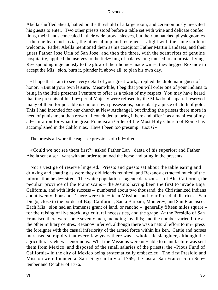Abella shuffled ahead, halted on the threshold of a large room, and ceremoniously in− vited his guests to enter. Two other priests stood before a table set with wine and delicate confec− tions, their hands concealed in their wide brown sleeves, but their unmatched physiognomies – the one lean and jovial, the other plump and resigned – alight with the same smile of welcome. Father Abella mentioned them as his coadjutor Father Martin Landaeta, and their guest Father Jose Uria of San Jose; and then the three, with the scant rites of genuine hospitality, applied themselves to the tick− ling of palates long unused to ambrosial living. Re− sponding ingenuously to the glow of their home− made wines, they begged Rezanov to accept the Mis− sion, burn it, plunder it, above all, to plan his own day.

 «I hope that I am to see every detail of your great work,» replied the diplomatic guest of honor. «But at your own leisure. Meanwhile, I beg that you will order one of your Indians to bring in the little presents I venture to offer as a token of my respect. You may have heard that the presents of his Im− perial Majesty were refused by the Mikado of Japan. I reserved many of them for possible use in our own possessions, particularly a piece of cloth of gold. This I had intended for our church at New Archangel, but finding the priests there more in need of punishment than reward, I concluded to bring it here and offer it as a manifest of my ad− miration for what the great Franciscan Order of the Most Holy Church of Rome has accomplished in the Californias. Have I been too presump− tuous?»

The priests all wore the eager expressions of chil− dren.

 «Could we not see them first?» asked Father Lan− daeta of his superior; and Father Abella sent a ser− vant with an order to unload the horse and bring in the presents.

 Not a vestige of reserve lingered. Priests and guests sat about the table eating and drinking and chatting as were they old friends reunited, and Rezanov extracted much of the information he de− sired. The white population – «gente de razon» – of Alta California, the peculiar province of the Franciscans – the Jesuits having been the first to invade Baja California, and with little success – numbered about two thousand, the Christianized Indians about twenty thousand. There were nine− teen Missions and four Presidial districts – San Diego, close to the border of Baja California, Santa Barbara, Monterey, and San Francisco. Each Mis− sion had an immense grant of land, or rancho – generally fifteen miles square – for the raising of live stock, agricultural necessities, and the grape. At the Presidio of San Francisco there were some seventy men, including invalids; and the number varied little at the other military centres, Rezanov inferred, although there was a natural effort to im− press the foreigner with the casual inferiority of the armed force within his ken. Cattle and horses increased so rapidly that every few years there was a wholesale slaughter, although the agricultural yield was enormous. What the Missions were un− able to manufacture was sent them from Mexico, and disposed of the small salaries of the priests; the «Pious Fund of California» in the city of Mexico being systematically embezzled. The first Presidio and Mission were founded at San Diego in July of 1769; the last at San Francisco in Sep− tember and October of 1776.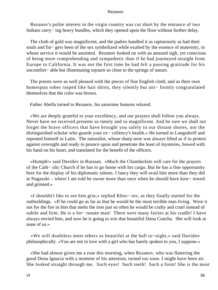Rezanov's polite interest in the virgin country was cut short by the entrance of two Indians carry− ing heavy bundles, which they opened upon the floor without further delay.

 The cloth of gold was magnificent, and the padres handled it as rapturously as had their souls and fin− gers been of the sex symbolized while exalted by the essence of maternity, in whose service it would be anointed. Rezanov looked on with an amused sigh, yet conscious of being more comprehending and sympathetic than if he had journeyed straight from Europe to California. It was not the first time he had felt a passing gratitude for his uncomfort− able but illuminating sojourn so close to the springs of nature.

 The priests were as well pleased with the pieces of fine English cloth; and as their own homespun robes rasped like hair shirts, they silently but uni− formly congratulated themselves that the color was brown.

Father Abella turned to Rezanov, his saturnine features relaxed.

 «We are deeply grateful to your excellency, and our prayers shall follow you always. Never have we received presents so timely and so magnificent. And be sure we shall not forget the brave officers that have brought you safely to our distant shores, nor the distinguished scholar who guards your ex− cellency's health.» He turned to Langsdorff and repeated himself in Latin. The naturalist, whose sharp nose was always lifted as if in protest against oversight and ready to pounce upon and penetrate the least of mysteries, bowed with his hand on his heart, and translated for the benefit of the officers.

 «Humph!» said Davidov in Russian. «Much the Chamberlain will care for the prayers of the Cath− olic Church if he has to go home with his cargo. But he has a fine opportunity here for the display of his diplomatic talents. I fancy they will avail him more than they did at Nagasaki – where I am told he swore more than once when he should have kow− towed and grinned.»

 «I shouldn't like to see him grin,» replied Khos− tov, as they finally started for the outbuildings. «If he could go as far as that he would be the most terrible man living. Were it not for the fire in him that melts the iron just so often he would be crafty and cruel instead of subtle and firm. He is a for− tunate man! There were many fairies at his cradle! I have always envied him, and now he is going to win that beautiful Dona Concha. She will look at none of us.»

 «We will doubtless meet others as beautiful at the ball to−night,» said Davidov philosophically. «You are not in love with a girl who has barely spoken to you, I suppose.»

 «She had almost given me a rose this morning, when Rezanov, who was flattering the good Dona Ignacia with a moment of his attention, turned too soon. I might have been air. She looked straight through me. Such eyes! Such teeth! Such a form! She is the most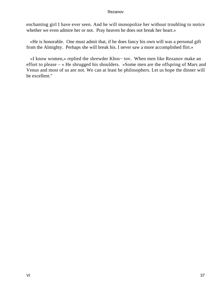enchanting girl I have ever seen. And he will monopolize her without troubling to notice whether we even admire her or not. Pray heaven he does not break her heart.»

 «He is honorable. One must admit that, if he does fancy his own will was a personal gift from the Almighty. Perhaps she will break his. I never saw a more accomplished flirt.»

 «I know women,» replied the shrewder Khos− tov. When men like Rezanov make an effort to please – « He shrugged his shoulders. »Some men are the offspring of Mars and Venus and most of us are not. We can at least be philosophers. Let us hope the dinner will be excellent."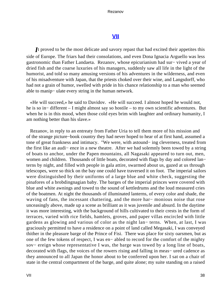# **[VII](#page-140-0)**

*I*t proved to be the most delicate and savory repast that had excited their appetites this side of Europe. The friars had their consolations, and even Dona Ignacia Arguello was less gastronomic than Father Landaeta. Rezanov, whose epicurianism had sur− vived a year of dried fish and the coarse luxuries of his managers, suddenly saw all life in the light of the humorist, and told so many amusing versions of his adventures in the wilderness, and even of his misadventure with Japan, that the priests choked over their wine, and Langsdorff, who had not a grain of humor, swelled with pride in his chance relationship to a man who seemed able to manip− ulate every string in the human network.

 «He will succeed,» he said to Davidov. «He will succeed. I almost hoped he would not, he is so in− different – I might almost say so hostile – to my own scientific adventures. But when he is in this mood, when those cold eyes brim with laughter and ordinary humanity, I am nothing better than his slave.»

 Rezanov, in reply to an entreaty from Father Uria to tell them more of his mission and of the strange picture−book country they had never hoped to hear of at first hand, assumed a tone of great frankness and intimacy. "We were, with astound− ing cleverness, treated from the first like an audi− ence in a new theatre. After we had solemnly been towed by a string of boats to anchor, under the Papen mountains, all Nagasaki appeared to turn out, men, women and children. Thousands of little boats, decorated with flags by day and colored lan− terns by night, and filled with people in gala attire, swarmed about us, gazed at us through telescopes, were so thick on the bay one could have traversed it on foot. The imperial sailors were distinguished by their uniforms of a large blue and white check, suggesting the pinafores of a brobdingnagian baby. The barges of the imperial princes were covered with blue and white awnings and towed to the sound of kettledrums and the loud measured cries of the boatmen. At night the thousands of illuminated lanterns, of every color and shade, the waving of fans, the incessant chattering, and the more har− monious noise that rose unceasingly above, made up a scene as brilliant as it was juvenile and absurd. In the daytime it was more interesting, with the background of hills cultivated to their crests in the form of terraces, varied with rice fields, hamlets, groves, and paper villas encircled with little gardens as glowing and various of color as the night lan− terns. When, at last, I was graciously permitted to have a residence on a point of land called Megasaki, I was conveyed thither in the pleasure barge of the Prince of Fisi. There was place for sixty oarsmen, but as one of the few tokens of respect, I was en− abled to record for the comfort of the mighty sov− ereign whose representative I was, the barge was towed by a long line of boats, decorated with flags, the voices of the rowers rising and falling in meas− ured cadence as they announced to all Japan the honor about to be conferred upon her. I sat on a chair of state in the central compartment of the barge, and quite alone; my suite standing on a raised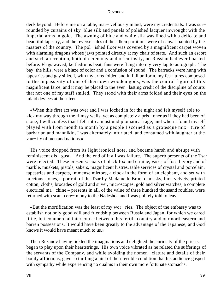deck beyond. Before me on a table, mar− vellously inlaid, were my credentials. I was sur− rounded by curtains of sky−blue silk and panels of polished lacquer inwrought with the Imperial arms in gold. The awning of blue and white silk was lined with a delicate and beautiful tapestry, and the reverse sides of the silken partitions were of canvas painted by the masters of the country. The pol– ished floor was covered by a magnificent carpet woven with alarming dragons whose jaws pointed directly at my chair of state. And such an escort and such a reception, both of ceremony and of curiosity, no Russian had ever boasted before. Flags waved, kettledrums beat, fans were flung into my very lap to autograph. The bay, the hills, were a blaze of color and a confusion of sound. The barracks were hung with tapestries and gay silks. I, with my arms folded and in full uniform, my fea− tures composed to the impassivity of one of their own wooden gods, was the central figure of this magnificent farce; and it may be placed to the ever− lasting credit of the discipline of courts that not one of my staff smiled. They stood with their arms folded and their eyes on the inlaid devices at their feet.

 «When this first act was over and I was locked in for the night and felt myself able to kick my way through the flimsy walls, yet as completely a pris− oner as if they had been of stone, I will confess that I fell into a most undiplomatical rage; and when I found myself played with from month to month by a people I scorned as a grotesque mix− ture of barbarian and mannikin, I was alternately infuriated, and consumed with laughter at the van− ity of men and nations.»

 His voice dropped from its light ironical note, and became harsh and abrupt with reminiscent dis− gust. "And the end of it all was failure. The superb presents of the Tsar were rejected. These presents: coats of black fox and ermine, vases of fossil ivory and of marble, muskets, pistols, sabers, magnificent lustres, table services of crystal and porcelain, tapestries and carpets, immense mirrors, a clock in the form of an elephant, and set with precious stones, a portrait of the Tsar by Madame le Brun, damasks, furs, velvets, printed cotton, cloths, brocades of gold and silver, microscopes, gold and silver watches, a complete electrical ma− chine – presents in all, of the value of three hundred thousand roubles, were returned with scant cere− mony to the Nadeshda and I was politely told to leave.

 «But the mortification was the least of my wor− ries. The object of the embassy was to establish not only good will and friendship between Russia and Japan, for which we cared little, but commercial intercourse between this fertile country and our northeastern and barren possessions. It would have been greatly to the advantage of the Japanese, and God knows it would have meant much to us.»

 Then Rezanov having tickled the imaginations and delighted the curiosity of the priests, began to play upon their heartstrings. His own voice vibrated as he related the sufferings of the servants of the Company, and while avoiding the nomen− clature and details of their bodily afflictions, gave so thrilling a hint of their terrible condition that his audience gasped with sympathy while experiencing no qualms in their own more fortunate stomachs.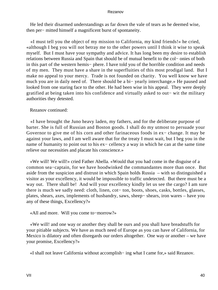He led their disarmed understandings as far down the vale of tears as he deemed wise, then per− mitted himself a magnificent burst of spontaneity.

 «I must tell you the object of my mission to California, my kind friends!» he cried, «although I beg you will not betray me to the other powers until I think it wise to speak myself. But I must have your sympathy and advice. It has long been my desire to establish relations between Russia and Spain that should be of mutual benefit to the col− onies of both in this part of the western hemis− phere. I have told you of the horrible condition and needs of my men. They must have a share in the superfluities of this most prodigal land. But I make no appeal to your mercy. Trade is not founded on charity. You well know we have much you are in daily need of. There should be a bi− yearly interchange.» He paused and looked from one staring face to the other. He had been wise in his appeal. They were deeply gratified at being taken into his confidence and virtually asked to out− wit the military authorities they detested.

Rezanov continued:

 «I have brought the Juno heavy laden, my fathers, and for the deliberate purpose of barter. She is full of Russian and Boston goods. I shall do my utmost to persuade your Governor to give me of his corn and other farinaceous foods in ex− change. It may be against your laws, and I am well aware that for the treaty I must wait, but I beg you in the name of humanity to point out to his ex− cellency a way in which he can at the same time relieve our necessities and placate his conscience.»

 «We will! We will!» cried Father Abella. «Would that you had come in the disguise of a common sea−captain, for we have hoodwinked the commandantes more than once. But aside from the suspicion and distrust in which Spain holds Russia – with so distinguished a visitor as your excellency, it would be impossible to traffic undetected. But there must be a way out. There shall be! And will your excellency kindly let us see the cargo? I am sure there is much we sadly need: cloth, linen, cot− ton, boots, shoes, casks, bottles, glasses, plates, shears, axes, implements of husbandry, saws, sheep− shears, iron wares – have you any of these things, Excellency?»

«All and more. Will you come to−morrow?»

 «We will! and one way or another they shall be ours and you shall have breadstuffs for your pitiable subjects. We have as much need of Europe as you can have of California, for Mexico is dilatory and often disregards our orders altogether. One way or another – we have your promise, Excellency?»

«I shall not leave California without accomplish− ing what I came for,» said Rezanov.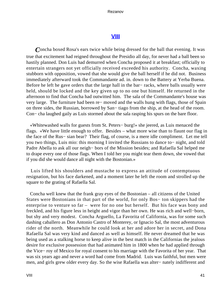# **[VIII](#page-140-0)**

*C*oncha boxed Rosa's ears twice while being dressed for the ball that evening. It was true that excitement had reigned throughout the Presidio all day, for never had a ball been so hastily planned. Don Luis had demurred when Concha proposed it at breakfast; officially to entertain strangers not yet officially received exceeded his authority. Concha, waxing stubborn with opposition, vowed that she would give the ball herself if he did not. Business immediately afterward took the Commandante ad. in. down to the Battery at Yerba Buena. Before he left he gave orders that the large hall in the bar− racks, where balls usually were held, should be locked and the key given up to no one but himself. He returned in the afternoon to find that Concha had outwitted him. The sala of the Commandante's house was very large. The furniture had been re− moved and the walls hung with flags, those of Spain on three sides, the Russian, borrowed by San− tiago from the ship, at the head of the room. Con− cha laughed gaily as Luis stormed about the sala rasping his spurs on the bare floor.

 «Whitewashed walls for guests from St. Peters− burg!» she jeered, as Luis menaced the flags. «We have little enough to offer. Besides – what more wise than to flaunt our flag in the face of the Rus− sian bear? Their flag, of course, is a mere idle compliment. Let me tell you two things, Luis mio: this morning I invited the Russians to dance to− night, and told Padre Abella to ask all our neigh− bors of the Mission besides; and Rafaella Sal helped me to drape every one of those flags. When I told her you might tear them down, she vowed that if you did she would dance all night with the Bostonian.»

 Luis lifted his shoulders and mustache to express an attitude of contemptuous resignation, but his face darkened, and a moment later he left the room and strolled up the square to the grating of Rafaella Sal.

 Concha well knew that the frank gray eyes of the Bostonian – all citizens of the United States were Bostonians in that part of the world, for only Bos− ton skippers had the enterprise to venture so far – were for no one but herself. But his face was bony and freckled, and his figure less in height and vigor than her own. He was rich and well−born, but shy and very modest. Concha Arguello, La Favorita of California, was for some such dashing caballero as Don Antonio Castro of Monterey, or Ignacio Sal, the most adventurous rider of the north. Meanwhile he could look at her and adore her in secret, and Dona Rafaella Sal was very kind and danced as well as himself. He never dreamed that he was being used as a stalking horse to keep alive in the best match in the Californias the jealous desire for exclusive possession that had animated him in 1800 when he had applied through the Vice− roy of Mexico for royal consent to his marriage with the Favorita of her year. That was six years ago and never a word had come from Madrid. Luis was faithful, but men were men, and girls grew older every day. So the wise Rafaella was alter− nately indifferent and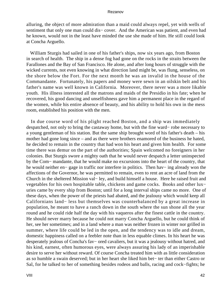alluring, the object of more admiration than a maid could always repel, yet with wells of sentiment that only one man could dis− cover. And the American was patient, and even had he known, would not in the least have minded the use she made of him. He still could look at Concha Arguello.

 William Sturgis had sailed in one of his father's ships, now six years ago, from Boston in search of health. The ship in a dense fog had gone on the rocks in the straits between the Farallones and the Bay of San Francisco. He alone, and after long hours of struggle with the wicked currents, not even knowing in what direction land might be, was flung, senseless, on the shore below the Fort. For the next month he was an invalid in the house of the Commandante. Fortunately, his papers and money were sewn in an oilskin belt and his father's name was well known in California. Moreover, there never was a more likable youth. His illness interested all the matrons and maids of the Presidio in his fate; when he recovered, his good dancing and unselfishness gave him a permanent place in the regard of the women, while his entire absence of beauty, and his ability to hold his own in the mess room, established his position with the men.

 In due course word of his plight reached Boston, and a ship was immediately despatched, not only to bring the castaway home, but with the fine ward− robe necessary to a young gentleman of his station. But the same ship brought word of his father's death – his mother had gone long since – and as there were brothers enamored of the business he hated, he decided to remain in the country that had won his heart and given him health. For some time there was demur on the part of the authorities; Spain welcomed no foreigners in her colonies. But Sturgis swore a mighty oath that he would never despatch a letter uninspected by the Com− mandante, that he would make no excursions into the heart of the country, that he would neither en− gage in traffic nor interfere in politics. Then hav− ing already won the affections of the Governor, he was permitted to remain, even to rent an acre of land from the Church in the sheltered Mission val− ley, and build himself a house. Here he raised fruit and vegetables for his own hospitable table, chickens and game cocks. Books and other lux− uries came by every ship from Boston; until for a long interval ships came no more. One of these days, when the power of the priests had abated, and the jealousy which would keep all Californians land− less but themselves was counterbalanced by a great increase in population, he meant to have a ranch down in the south where the sun shone all the year round and he could ride half the day with his vaqueros after the finest cattle in the country. He should never marry because he could not marry Concha Arguello, but he could think of her, see her sometimes; and in a land where a man was neither frozen in winter nor grilled in summer, where life could be led in the open, and the tendency was to idle and dream, domestic happiness called on a feebler note than in less equable climes. In his heart he was desperately jealous of Concha's fav− ored cavaliers, but it was a jealousy without hatred, and his kind, earnest, often humorous eyes, were always assuring his lady of an imperishable desire to serve her without reward. Of course Concha treated him with as little consideration as so humble a swain deserved; but in her heart she liked him bet− ter than either Castro or Sal, for he talked to her of something besides rodeos and balls, racing and cock−fights; he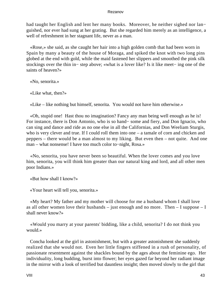had taught her English and lent her many books. Moreover, he neither sighed nor lan− guished, nor ever had sung at her grating. But she regarded him merely as an intelligence, a well of refreshment in her stagnant life, never as a man.

 «Rose,» she said, as she caught her hair into a high golden comb that had been worn in Spain by many a beauty of the house of Moraga, and spiked the knot with two long pins globed at the end with gold, while the maid fastened her slippers and smoothed the pink silk stockings over the thin in− step above; «what is a lover like? Is it like meet− ing one of the saints of heaven?»

«No, senorita.»

«Like what, then?»

«Like – like nothing but himself, senorita. You would not have him otherwise.»

 «Oh, stupid one! Hast thou no imagination? Fancy any man being well enough as he is! For instance, there is Don Antonio, who is so hand− some and fiery, and Don Ignacio, who can sing and dance and ride as no one else in all the Californias, and Don Weeliam Sturgis, who is very clever and true. If I could roll them into one – a tamale of corn and chicken and peppers – there would be a man almost to my liking. But even then – not quite. And one man – what nonsense! I have too much color to−night, Rosa.»

 «No, senorita, you have never been so beautiful. When the lover comes and you love him, senorita, you will think him greater than our natural king and lord, and all other men poor Indians.»

«But how shall I know?»

«Your heart will tell you, senorita.»

 «My heart? My father and my mother will choose for me a husband whom I shall love as all other women love their husbands – just enough and no more. Then – I suppose – I shall never know?»

 «Would you marry at your parents' bidding, like a child, senorita? I do not think you would.»

 Concha looked at the girl in astonishment, but with a greater astonishment she suddenly realized that she would not. Even her little fingers stiffened in a rush of personality, of passionate resentment against the shackles bound by the ages about the feminine ego. Her individuality, long budding, burst into flower; her eyes gazed far beyond her radiant image in the mirror with a look of terrified but dauntless insight; then moved slowly to the girl that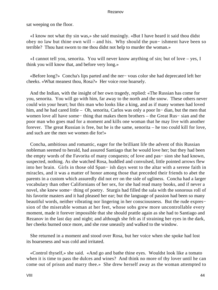sat weeping on the floor.

 «I know not what thy sin was,» she said musingly. «But I have heard it said thou didst obey no law but thine own will – and his. Why should the pun− ishment have been so terrible? Thou hast sworn to me thou didst not help to murder the woman.»

 «I cannot tell you, senorita. You will never know anything of sin; but of love – yes, I think you will know that, and before very long.»

 «Before long?» Concha's lips parted and the ner− vous color she had deprecated left her cheeks. «What meanest thou, Rosa?» Her voice rose hoarsely.

 And the Indian, with the insight of her own tragedy, replied: «The Russian has come for you, senorita. You will go with him, far away to the north and the snow. These others never could win your heart; but this man who looks like a king, and as if many women had loved him, and he had cared little – Oh, senorita, Carlos was only a poor In− dian, but the men that women love all have some− thing that makes them brothers – the Great Rus− sian and the poor man who goes mad for a moment and kills one woman that he may live with another forever. The great Russian is free, but he is the same, senorita – he too could kill for love, and such are the men we women die for!»

 Concha, ambitious and romantic, eager for the brilliant life the advent of this Russian nobleman seemed to herald, had assured Santiago that he would love her; but they had been the empty words of the Favorita of many conquests; of love and pas− sion she had known, suspected, nothing. As she watched Rosa, huddled and convulsed, little pointed arrows flew into her brain. Girls in those old Span− ish days went to the altar with a serene faith in miracles, and it was a matter of honor among those that preceded their friends to abet the parents in a custom which assuredly did not err on the side of ugliness. Concha had a larger vocabulary than other Californians of her sex, for she had read many books, and if never a novel, she knew some− thing of poetry. Sturgis had filled the sala with the sonorous roll of his favorite masters and it had pleased her ear; but the language of passion had been so many beautiful words, neither vibrating nor lingering in her consciousness. But the rude expres− sion of the miserable woman at her feet, whose sobs grew more uncontrollable every moment, made it forever impossible that she should prattle again as she had to Santiago and Rezanov in the last day and night; and although she felt as if straining her eyes in the dark, her cheeks burned once more, and she rose uneasily and walked to the window.

 She returned in a moment and stood over Rosa, but her voice when she spoke had lost its hoarseness and was cold and irritated.

 «Control thyself,» she said. «And go and bathe thine eyes. Wouldst look like a tomato when it is time to pass the dulces and wines? And think no more of thy lover until he can come out of prison and marry thee.» She drew herself away as the woman attempted to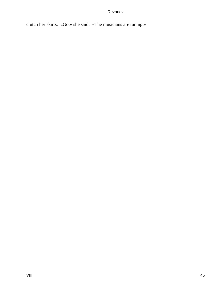clutch her skirts. «Go,» she said. «The musicians are tuning.»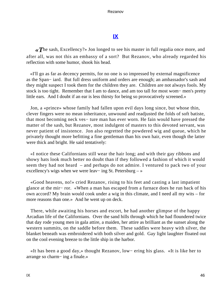# **[IX](#page-140-0)**

*«T*he sash, Excellency?» Jon longed to see his master in full regalia once more, and after all, was not this an embassy of a sort? But Rezanov, who already regarded his reflection with some humor, shook his head.

 «I'll go as far as decency permits, for no one is so impressed by external magnificence as the Span− iard. But full dress uniform and orders are enough; an ambassador's sash and they might suspect I took them for the children they are. Children are not always fools. My stock is too tight. Remember that I am to dance, and am too tall for most wom− men's pretty little ears. And I doubt if an ear is less thirsty for being so provocatively screened.»

 Jon, a «prince» whose family had fallen upon evil days long since, but whose thin, clever fingers were no mean inheritance, unwound and readjusted the folds of soft batiste, that most becoming neck ves− ture man has ever worn. He fain would have pressed the matter of the sash, but Rezanov, most indulgent of masters to this devoted servant, was never patient of insistence. Jon also regretted the powdered wig and queue, which he privately thought more befitting a fine gentleman than his own hair, even though the latter were thick and bright. He said tentatively:

 «I notice these Californians still wear the hair long; and with their gay ribbons and showy hats look much better no doubt than if they followed a fashion of which it would seem they had not heard – and perhaps do not admire. I ventured to pack two of your excellency's wigs when we were leav− ing St. Petersburg – »

 «Good heavens, no!» cried Rezanov, rising to his feet and casting a last impatient glance at the mir− ror. «When a man has escaped from a furnace does he run back of his own accord? My brain would cook under a wig in this climate, and I need all my wits – for more reasons than one.» And he went up on deck.

 There, while awaiting his horses and escort, he had another glimpse of the happy Arcadian life of the Californians. Over the sand hills through which he had floundered twice that day rode young men in gala attire, a maiden, her attire as brilliant as the sunset along the western summits, on the saddle before them. These saddles were heavy with silver, the blanket beneath was embroidered with both silver and gold. Gay light laughter floated out on the cool evening breeze to the little ship in the harbor.

 «It has been a good day,» thought Rezanov, low− ering his glass. «It is like her to arrange so charm− ing a finale.»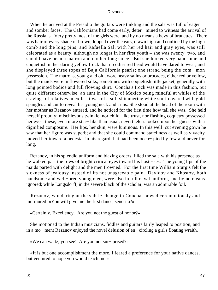When he arrived at the Presidio the guitars were tinkling and the sala was full of eager and somber faces. The Californians had come early, deter− mined to witness the arrival of the Russians. Very pretty most of the girls were, and by no means a bevy of brunettes. There was hair of every shade of brown, looped over the ears, drawn high and confined by the high comb and the long pins; and Rafaella Sal, with her red hair and gray eyes, was still celebrated as a beauty, although no longer in her first youth – she was twenty−two, and should have been a matron and mother long since! But she looked very handsome and coquettish in her daring yellow frock that no other red head would have dared to wear, and she displayed three ropes of Baja California pearls; one strand being the com− mon possession. The matrons, young and old, wore heavy satins or brocades, either red or yellow, but the maids were in flowered silks, sometimes with coquettish little jacket, generally with long pointed bodice and full flowing skirt. Concha's frock was made in this fashion, but quite different otherwise; an aunt in the City of Mexico being mindful at whiles of the cravings of relatives in exile. It was of a soft shimmering white stuff covered with gold spangles and cut to reveal her young neck and arms. She stood at the head of the room with her mother as Rezanov entered, and he noticed for the first time how tall she was. She held herself proudly; mischievous twinkle, nor child−like trust, nor flashing coquetry possessed her eyes; these, even more star− like than usual, nevertheless looked upon her guests with a dignified composure. Her lips, her skin, were luminous. In this well−cut evening gown he saw that her figure was superb; and that she could command stateliness as well as vivacity moved her toward a pedestal in his regard that had been occu− pied by few and never for long.

 Rezanov, in his splendid uniform and blazing orders, filled the sala with his presence as he walked past the rows of bright critical eyes toward his hostesses. The young lips of the maids parted with delight and the men frowned. For the first time William Sturgis felt the sickness of jealousy instead of its not unagreeable pain. Davidov and Khostov, both handsome and well−bred young men, were also in full naval uniform, and by no means ignored; while Langsdorff, in the severe black of the scholar, was an admirable foil.

 Rezanov, wondering at the subtle change in Concha, bowed ceremoniously and murmured: «You will give me the first dance, senorita?»

«Certainly, Excellency. Are you not the guest of honor?»

 She motioned to the Indian musicians, fiddles and guitars fairly leaped to position, and in a mo− ment Rezanov enjoyed the novel delusion of en− circling a girl's floating wraith.

«We can waltz, you see! Are you not sur− prised?»

 «It is but one accomplishment the more. I feared a preference for your native dances, but ventured to hope you would teach me.»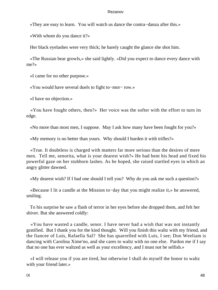«They are easy to learn. You will watch us dance the contra−danza after this.»

«With whom do you dance it?»

Her black eyelashes were very thick; he barely caught the glance she shot him.

 «The Russian bear growls,» she said lightly. «Did you expect to dance every dance with me?»

«I came for no other purpose.»

«You would have several duels to fight to−mor− row.»

«I have no objection.»

 «You have fought others, then?» Her voice was the softer with the effort to turn its edge.

«No more than most men, I suppose. May I ask how many have been fought for you?»

«My memory is no better than yours. Why should I burden it with trifles?»

 «True. It doubtless is charged with matters far more serious than the desires of mere men. Tell me, senorita, what is your dearest wish?» He had bent his head and fixed his powerful gaze on her stubborn lashes. As he hoped, she raised startled eyes in which an angry glitter dawned.

«My dearest wish? If I had one should I tell you? Why do you ask me such a question?»

 «Because I lit a candle at the Mission to−day that you might realize it,» he answered, smiling.

 To his surprise he saw a flash of terror in her eyes before she dropped them, and felt her shiver. But she answered coldly:

 «You have wasted a candle, senor. I have never had a wish that was not instantly gratified. But I thank you for the kind thought. Will you finish this waltz with my friend, and the fiancee of Luis, Rafaella Sal? She has quarrelled with Luis, I see; Don Weeliam is dancing with Carolina Xime'no, and she cares to waltz with no one else. Pardon me if I say that no one has ever waltzed as well as your excellency, and I must not be selfish.»

 «I will release you if you are tired, but otherwise I shall do myself the honor to waltz with your friend later.»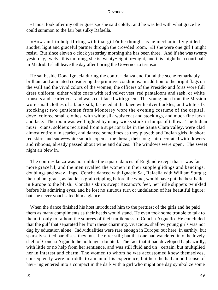«I must look after my other guests,» she said coldly; and he was led with what grace he could summon to the fair but sulky Rafaella.

 «How am I to help flirting with that girl?» he thought as he mechanically guided another light and graceful partner through the crowded room. «If she were one girl I might resist. But since eleven o'clock yesterday morning she has been three. And if she was twenty yesterday, twelve this morning, she is twenty−eight to−night, and this might be a court ball in Madrid. I shall leave the day after I bring the Governor to terms.»

 He sat beside Dona Ignacia during the contra− danza and found the scene remarkably brilliant and animated considering the primitive conditions. In addition to the bright flags on the wall and the vivid colors of the women, the officers of the Presidio and forts wore full dress uniform, either white coats with red velvet vest, red pantaloons and sash, or white trousers and scarlet coat and waistcoat faced with green. The young men from the Mission wore small clothes of a black silk, fastened at the knee with silver buckles, and white silk stockings; two gentlemen from Monterey wore the evening costume of the capital, dove−colored small clothes, with white silk waistcoat and stockings, and much fine lawn and lace. The room was well lighted by many wicks stuck in lumps of tallow. The Indian musi− cians, soldiers recruited from a superior tribe in the Santa Clara valley, were clad almost entirely in scarlet, and danced sometimes as they played; and Indian girls, in short red skirts and snow−white smocks open at the throat, their long hair decorated with flowers and ribbons, already passed about wine and dulces. The windows were open. The sweet night air blew in.

 The contra−danza was not unlike the square dances of England except that it was far more graceful, and the men rivalled the women in their supple glidings and bendings, doublings and sway− ings. Concha danced with Ignacio Sal, Rafaella with William Sturgis; their pliant grace, as facile as grain rippling before the wind, would have put the best ballet in Europe to the blush. Concha's skirts swept Rezanov's feet, her little slippers twinkled before his admiring eyes, and he lost no sinuous turn or undulation of her beautiful figure; but she never vouchsafed him a glance.

When the dance finished his host introduced him to the prettiest of the girls and he paid them as many compliments as their heads would stand. He even took some trouble to talk to them, if only to fathom the sources of their unlikeness to Concha Arguello. He concluded that the gulf that separated her from these charming, vivacious, shallow young girls was not dug by education alone. Individualities were rare enough in Europe; out here, in earthly, but sparsely settled paradises, they must be rarer still; but that one had wandered into the lovely shell of Concha Arguello he no longer doubted. The fact that it had developed haphazardly, with little or no help from her sentience, and was still fluid and un− certain, but multiplied her in interest and charm. The women to whom he was accustomed knew themselves, consequently were no riddle to a man of his experience, but here he had an odd sense of hav− ing entered into a compact in the dark with a girl who might one day symbolize some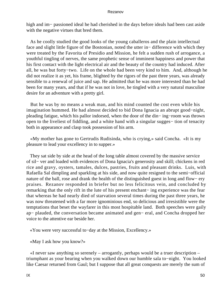high and im− passioned ideal he had cherished in the days before ideals had been cast aside with the negative virtues that bred them.

 As he coolly studied the good looks of the young caballeros and the plain intellectual face and slight little figure of the Bostonian, noted the utter in− difference with which they were treated by the Favorita of Presidio and Mission, he felt a sudden rush of arrogance, a youthful tingling of nerves, the same prophetic sense of imminent happiness and power that his first contact with the light electrical air and the beauty of the country had induced. After all, he was but forty−two. Life on the whole had been very kind to him. And, although he did not realize it as yet, his frame, blighted by the rigors of the past three years, was already sensible to a renewal of juice and sap. He admitted that he was more interested than he had been for many years, and that if he was not in love, he tingled with a very natural masculine desire for an adventure with a pretty girl.

 But he was by no means a weak man, and his mind counted the cost even while his imagination hummed. He had almost decided to bid Dona Ignacia an abrupt good−night, pleading fatigue, which his pallor indorsed, when the door of the din− ing−room was thrown open to the liveliest of fiddling, and a white hand with a singular sugges− tion of tenacity both in appearance and clasp took possession of his arm.

 «My mother has gone to Gertrudis Rudisinda, who is crying,» said Concha. «It is my pleasure to lead your excellency in to supper.»

 They sat side by side at the head of the long table almost covered by the massive service of sil− ver and loaded with evidences of Dona Ignacia's generosity and skill; chickens in red rice and gravy, oysters, tamales, dulces, pastries, fruits and pleasant drinks. Luis, with Rafaella Sal dimpling and sparkling at his side, and now quite resigned to the semi−official nature of the ball, rose and drank the health of the distinguished guest in long and flow− ery praises. Rezanov responded in briefer but no less felicitous vein, and concluded by remarking that the only rift in the lute of his present enchant− ing experience was the fear that whereas he had nearly died of starvation several times during the past three years, he was now threatened with a far more ignominious end, so delicious and irresistible were the temptations that beset the wayfarer in this most hospitable land. Both speeches were gaily ap− plauded, the conversation became animated and gen− eral, and Concha dropped her voice to the attentive ear beside her.

«You were very successful to−day at the Mission, Excellency.»

«May I ask how you know?»

 «I never saw anything so serenely – arrogantly, perhaps would be a truer description – triumphant as your bearing when you walked down our humble sala to−night. You looked like Caesar returned from Gaul; but I suppose that all great conquests are merely the sum of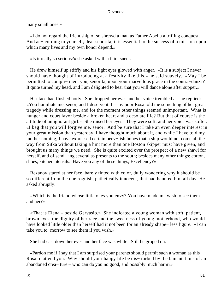many small ones.»

 «I do not regard the friendship of so shrewd a man as Father Abella a trifling conquest. And ac− cording to yourself, dear senorita, it is essential to the success of a mission upon which many lives and my own honor depend.»

«Is it really so serious?» she asked with a faint sneer.

 He drew himself up stiffly and his light eyes glowed with anger. «It is a subject I never should have thought of introducing at a festivity like this,» he said suavely. «May I be permitted to compli− ment you, senorita, upon your marvellous grace in the contra−danza? It quite turned my head, and I am delighted to hear that you will dance alone after supper.»

 Her face had flushed hotly. She dropped her eyes and her voice trembled as she replied: «You humiliate me, senor, and I deserve it. I – my poor Rosa told me something of her great tragedy while dressing me, and for the moment other things seemed unimportant. What is hunger and court favor beside a broken heart and a desolate life? But that of course is the attitude of an ignorant girl.» She raised her eyes. They were soft, and her voice was softer. «I beg that you will forgive me, senor. And be sure that I take an even deeper interest in your great mission than yesterday. I have thought much about it, and while I have told my mother nothing, I have expressed certain peev− ish hopes that a ship would not come all the way from Sitka without taking a hint more than one Boston skipper must have given, and brought us many things we need. She is quite excited over the prospect of a new shawl for herself, and of send− ing several as presents to the south; besides many other things: cotton, shoes, kitchen utensils. Have you any of these things, Excellency?»

 Rezanov stared at her face, barely tinted with color, dully wondering why it should be so different from the one roguish, pathetically innocent, that had haunted him all day. He asked abruptly:

 «Which is the friend whose little ones you envy? You have made me wish to see them and her?»

 «That is Elena – beside Gervasio.» She indicated a young woman with soft, patient, brown eyes, the dignity of her race and the sweetness of young motherhood, who would have looked little older than herself had it not been for an already shape− less figure. «I can take you to−morrow to see them if you wish.»

She had cast down her eyes and her face was white. Still he groped on.

 «Pardon me if I say that I am surprised your parents should permit such a woman as this Rosa to attend you. Why should your happy life be dis− turbed by the lamentations of an abandoned crea− ture – who can do you no good, and possibly much harm?»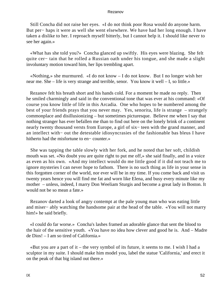Still Concha did not raise her eyes. «I do not think poor Rosa would do anyone harm. But per− haps it were as well she went elsewhere. We have had her long enough. I have taken a dislike to her. I reproach myself bitterly, but I cannot help it. I should like never to see her again.»

 «What has she told you?» Concha glanced up swiftly. His eyes were blazing. She felt quite cer− tain that he rolled a Russian oath under his tongue, and she made a slight involuntary motion toward him, her lips trembling apart.

 «Nothing,» she murmured. «I do not know – I do not know. But I no longer wish her near me. She – life is very strange and terrible, senor. You know it well – I, so little.»

 Rezanov felt his breath short and his hands cold. For a moment he made no reply. Then he smiled charmingly and said in the conventional tone that was ever at his command: «Of course you know little of life in this Arcadia. One who hopes to be numbered among the best of your friends prays that you never may. Yes, senorita, life is strange – strangely commonplace and disillusionizing – but sometimes picturesque. Believe me when I say that nothing stranger has ever befallen me than to find out here on the lonely brink of a continent nearly twenty thousand versts from Europe, a girl of six– teen with the grand manner, and an intellect with− out the detestable idiosyncrasies of the fashionable bas bleus I have hitherto had the misfortune to en− counter.»

 She was tapping the table slowly with her fork, and he noted that her soft, childish mouth was set. «No doubt you are quite right to put me off,» she said finally, and in a voice as even as his own. «And my intellect would do me little good if it did not teach me to ignore mysteries I can never hope to fathom. There is no such thing as life in your sense in this forgotten corner of the world, nor ever will be in my time. If you come back and visit us twenty years hence you will find me fat and worn like Elena, and busy every minute like my mother – unless, indeed, I marry Don Weeliam Sturgis and become a great lady in Boston. It would not be so mean a fate.»

 Rezanov darted a look of angry contempt at the pale young man who was eating little and miser− ably watching the handsome pair at the head of the table. «You will not marry him!» he said briefly.

 «I could do far worse.» Concha's lashes framed an adorable glance that sent the blood to the hair of the sensitive youth. «You have no idea how clever and good he is. And – Madre de Dios! – I am so tired of California.»

«But you are a part of it – the very symbol of its future, it seems to me. I wish I had a sculptor in my suite. I should make him model you, label the statue 'California,' and erect it on the peak of that big island out there.»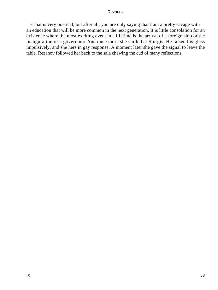«That is very poetical, but after all, you are only saying that I am a pretty savage with an education that will be more common in the next generation. It is little consolation for an existence where the most exciting event in a lifetime is the arrival of a foreign ship or the inauguration of a governor.» And once more she smiled at Sturgis. He raised his glass impulsively, and she hers in gay response. A moment later she gave the signal to leave the table. Rezanov followed her back to the sala chewing the cud of many reflections.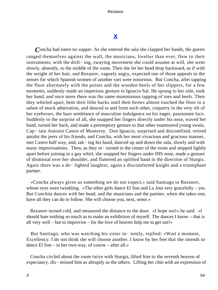# **[X](#page-140-0)**

*C*oncha had eaten no supper. As she entered the sala she clapped her hands, the guests ranged themselves against the wall, the musicians, livelier than ever, flew to their instruments; with the drift− ing, swaying movement she could assume at will, she went slowly, absently, to the middle of the room. Then she let her head drop backward, as if with the weight of her hair, and Rezanov, vaguely angry, expected one of those appeals to the senses for which Spanish women of another sort were notorious. But Concha, after tapping the floor alternately with the points and the wooden heels of her slippers, for a few moments, suddenly made an imperious gesture to Ignacio Sal. He sprang to her side, took her hand, and once more there was the same monotonous tapping of toes and heels. Then they whirled apart, bent their lithe backs until their brows almost touched the floor in a salute of mock admiration, and danced to and from each other, coquetry in the very tilt of her eyebrows, the bare semblance of masculine indulgence on his eager, passionate face. Suddenly to the surprise of all, she snapped her fingers directly under his nose, waved her hand, turned her back, and made a peremptory gesture to that other enamoured young swain, Cap− tain Antonio Castro of Monterey. Don Ignacio, surprised and discomfited, retired amidst the jeers of his friends, and Concha, with her most vivacious and gracious manner, met Castro half way, and, tak− ing his hand, danced up and down the sala, slowly and with many improvisations. Then, as they re– turned to the center of the room and stepped lightly apart before joining in a gay whirl, she snapped her fingers under HIS nose, made a gesture of dismissal over her shoulder, and fluttered an uplifted hand in the direction of Sturgis. Again there was a de− lighted laughter, again a discomforted knight and a triumphant partner.

 «Concha always gives us something we do not expect,» said Santiago to Rezanov, whose eyes were twinkling. «The other girls dance El Son and La Jota very gracefully – yes. But Conchita dances with her head, and the musicians and the partner, when she takes one, have all they can do to follow. She will choose you, next, senor.»

 Rezanov turned cold, and measured the distance to the door. «I hope not!» he said. «I should hate nothing so much as to make an exhibition of myself. The dances I know – that is all very well – but to improvise – for the love of heaven help me to get out!»

 But Santiago, who was watching his sister in− tently, replied: «Wait a moment, Excellency. I do not think she will choose another. I know by her feet that she intends to dance El Son – in her own way, of course – after all.»

 Concha circled about the room twice with Sturgis, lifted him to the seventh heaven of expectancy, dis− missed him as abruptly as the others. Lifting her chin with an expression of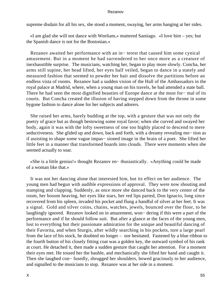supreme disdain for all his sex, she stood a moment, swaying, her arms hanging at her sides.

 «I am glad she will not dance with Weeliam,» muttered Santiago. «I love him – yes; but the Spanish dance is not for the Bostonian.»

 Rezanov awaited her performance with an in− terest that caused him some cynical amusement. But in a moment he had surrendered to her once more as a creature of inexhaustible surprise. The musicians, watching her, began to play more slowly. Concha, her arms still supine, her head lifted, her eyes half veiled, began to dance in a stately and measured fashion that seemed to powder her hair and dissolve the partitions before an endless vista of rooms. Rezanov had a sudden vision of the Hall of the Ambassadors in the royal palace at Madrid, where, when a young man on his travels, he had attended a state ball. There he had seen the most dignified beauties of Europe dance at the most for− mal of its courts. But Concha created the illusion of having stepped down from the throne in some bygone fashion to dance alone for her subjects and adorers.

 She raised her arms, barely budding at the top, with a gesture that was not only the poetry of grace but as though bestowing some royal favor; when she curved and swayed her body, again it was with the lofty sweetness of one too highly placed to descend to mere seductiveness. She glided up and down, back and forth, with a dreamy revealing mo– tion as if assisting to shape some vague impas− sioned image in the brain of a poet. She lifted her little feet in a manner that transformed boards into clouds. There were moments when she seemed actually to soar.

 «She is a little genius!» thought Rezanov en− thusiastically. «Anything could be made of a woman like that.»

 It was not her dancing alone that interested him, but its effect on her audience. The young men had begun with audible expressions of approval. They were now shouting and stamping and clapping. Suddenly, as once more she danced back to the very center of the room, her bosom heaving, her eyes like stars, her red lips parted, Don Ignacio, long since recovered from his spleen, invaded his pocket and flung a handful of silver at her feet. It was a signal. Gold and silver coins, chains, watches, jewels, bounced over the floor, to be laughingly ignored. Rezanov looked on in amazement, won− dering if this were a part of the performance and if he should follow suit. But after a glance at the faces of the young men, lost to everything but their passionate admiration for the unique and beautiful dancing of their Favorita, and when Sturgis, after wildly searching in his pockets, tore a large pearl from the lace of his stock, he doubted no longer – nor hesitated. Fastened by a blue ribbon to the fourth button of his closely fitting coat was a golden key, the outward symbol of his rank at court. He detached it, then made a sudden gesture that caught her attention. For a moment their eyes met. He tossed her the bauble, and mechanically she lifted her hand and caught it. Then she laughed con− fusedly, shrugged her shoulders, bowed graciously to her audience, and signalled to the musicians to stop. Rezanov was at her side in a moment.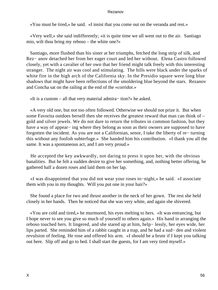«You must be tired,» he said. «I insist that you come out on the veranda and rest.»

 «Very well,» she said indifferently; «it is quite time we all went out to the air. Santiago mio, wilt thou bring my reboso – the white one?»

 Santiago, more flushed than his sister at her triumphs, fetched the long strip of silk, and Rez− anov detached her from her eager court and led her without. Elena Castro followed closely, yet with a cavalier of her own that her friend might talk freely with this interesting stranger. The night air was cool and stimulating. The hills were black under the sparks of white fire in the high arch of the California sky. In the Presidio square were long blue shadows that might have been reflections of the smoldering blue beyond the stars. Rezanov and Concha sat on the railing at the end of the «corridor.»

«It is a custom – all that very material admira− tion?» he asked.

 «A very old one, but not too often followed. Otherwise we should not prize it. But when some Favorita outdoes herself then she receives the greatest reward that man can think of – gold and silver jewels. We do not dare to return the tributes in common fashion, but they have a way of appear− ing where they belong as soon as their owners are supposed to have forgotten the incident. As you are not a Californian, senor, I take the liberty of re− turning this without any foolish subterfuge.» She handed him his contribution. «I thank you all the same. It was a spontaneous act, and I am very proud.»

 He accepted the key awkwardly, not daring to press it upon her, with the obvious banalities. But he felt a sudden desire to give her something, and, nothing better offering, he gathered half a dozen roses and laid them on her lap.

 «I was disappointed that you did not wear your roses to−night,» he said. «I associate them with you in my thoughts. Will you put one in your hair?»

 She found a place for two and thrust another in the neck of her gown. The rest she held closely in her hands. Then he noticed that she was very white, and again she shivered.

 «You are cold and tired,» he murmured, his eyes melting to hers. «It was entrancing, but I hope never to see you give so much of yourself to others again.» His hand in arranging the reboso touched hers. It lingered, and she stared up at him, help− lessly, her eyes wide, her lips parted. She reminded him of a rabbit caught in a trap, and he had a sud− den and violent revulsion of feeling. He rose and offered his arm. «I should be a brute if I kept you talking out here. Slip off and go to bed. I shall start the guests, for I am very tired myself.»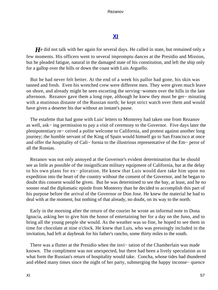# **[XI](#page-140-0)**

*H*e did not talk with her again for several days. He called in state, but remained only a few moments. His officers went to several impromptu dances at the Presidio and Mission, but he pleaded fatigue, natural in the damaged state of his constitution, and left the ship only for a gallop over the hills or down the coast with Luis Arguello.

 But he had never felt better. At the end of a week his pallor had gone, his skin was tanned and fresh. Even his wretched crew were different men. They were given much leave on shore, and already might be seen escorting the serving−women over the hills in the late afternoon. Rezanov gave them a long rope, although he knew they must be ger− minating with a mutinous distaste of the Russian north; he kept strict watch over them and would have given a deserter his due without an instant's pause.

 The estafette that had gone with Luis' letters to Monterey had taken one from Rezanov as well, ask− ing permission to pay a visit of ceremony to the Governor. Five days later the plenipotentiary re− ceived a polite welcome to California, and protest against another long journey; the humble servant of the King of Spain would himself go to San Francisco at once and offer the hospitality of Cali− fornia to the illustrious representative of the Em− peror of all the Russias.

 Rezanov was not only annoyed at the Governor's evident determination that he should see as little as possible of the insignificant military equipment of California, but at the delay to his own plans for ex− ploration. He knew that Luis would dare take him upon no expedition into the heart of the country without the consent of the Governor, and he began to doubt this consent would be given. But he was determined to see the bay, at least, and he no sooner read the diplomatic epistle from Monterey than he decided to accomplish this part of his purpose before the arrival of the Governor or Don Jose. He knew the material he had to deal with at the moment, but nothing of that already, no doubt, on its way to the north.

 Early in the morning after the return of the courier he wrote an informal note to Dona Ignacia, asking her to give him the honor of entertaining her for a day on the Juno, and to bring all the young people she would. As the weather was so fine, he hoped to see them in time for chocolate at nine o'clock. He knew that Luis, who was pressingly included in the invitation, had left at daybreak for his father's rancho, some thirty miles to the south.

 There was a flutter at the Presidio when the invi− tation of the Chamberlain was made known. The compliment was not unexpected, but there had been a lively speculation as to what form the Russian's return of hospitality would take. Concha, whose tides had thundered and ebbed many times since the night of her party, submerging the happy inconse− quence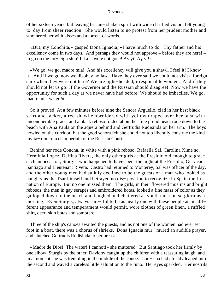of her sixteen years, but leaving her un− shaken spirit with wide clarified vision, felt young to−day from sheer reaction. She would listen to no protest from her prudent mother and smothered her with kisses and a torrent of words.

 «But, my Conchita,» gasped Dona Ignacia, «I have much to do. Thy father and his excellency come in two days. And perhaps they would not approve – before they are here! – to go on the for− eign ship! If Luis were not gone! Ay yi! Ay yi!»

 «We go, we go, madre mia! And his excellency will give you a shawl. I feel it! I know it! And if we go now we disobey no law. Have they ever said we could not visit a foreign ship when they were not here? We are light−headed, irresponsible women. And if they should not let us go! If the Governor and the Russian should disagree! Now we have the opportunity for such a day as we never have had before. We should be imbeciles. We go, madre mia, we go!»

 So it proved. At a few minutes before nine the Senora Arguello, clad in her best black skirt and jacket, a red shawl embroidered with yellow draped over her bust with unconquerable grace, and a black reboso folded about her fine proud head, rode down to the beach with Ana Paula on the aquera behind and Gertrudis Rudisinda on her arm. The boys howled on the corridor, but the good senora felt she could not too liberally construe the kind invita− tion of a chamberlain of the Russian Court.

 Behind her rode Concha, in white with a pink reboso; Rafaella Sal, Carolina Xime'no, Herminia Lopez, Delfina Rivera, the only other girls at the Presidio old enough to grace such an occasion; Sturgis, who happened to have spent the night at the Presidio, Gervasio, Santiago and Lieutenant Rivera. Castro had returned to Monterey, Sal was officer of the day, and the other young men had sulkily declined to be the guests of a man who looked as haughty as the Tsar himself and betrayed no dis− position to recognize in Spain the first nation of Europe. But no one missed them. The girls, in their flowered muslins and bright rebosos, the men in gay serapes and embroidered botas, looked a fine mass of color as they galloped down to the beach and laughed and chattered as youth must on so glorious a morning. Even Sturgis, always care− ful to be as nearly one with these people as his dif− ferent appearance and temperament would permit, wore clothes of green linen, a ruffled shirt, deer−skin botas and sombrero.

 Three of the ship's canoes awaited the guests, and as not one of the women had ever set foot in a boat, there was a chorus of shrieks. Dona Ignacia mur− mured an audible prayer, and clutched Gertrudis Rudisinda to her breast.

 «Madre de Dios! The water! I cannot!» she muttered. But Santiago took her firmly by one elbow, Sturgis by the other, Davidov caught up the children with a reassuring laugh, and in a moment she was trembling in the middle of the canoe. Con− cha had already leaped into the second and waved a careless little salutation to the Juno. Her eyes sparkled. Her nostrils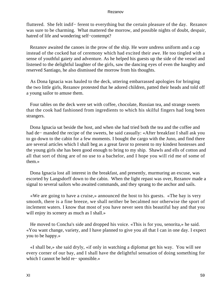fluttered. She felt indif− ferent to everything but the certain pleasure of the day. Rezanov was sure to be charming. What mattered the morrow, and possible nights of doubt, despair, hatred of life and wondering self−contempt?

 Rezanov awaited the canoes in the prow of the ship. He wore undress uniform and a cap instead of the cocked hat of ceremony which had excited their awe. He too tingled with a sense of youthful gaiety and adventure. As he helped his guests up the side of the vessel and listened to the delightful laughter of the girls, saw the dancing eyes of even the haughty and reserved Santiago, he also dismissed the morrow from his thoughts.

 As Dona Ignacia was hauled to the deck, uttering embarrassed apologies for bringing the two little girls, Rezanov protested that he adored children, patted their heads and told off a young sailor to amuse them.

 Four tables on the deck were set with coffee, chocolate, Russian tea, and strange sweets that the cook had fashioned from ingredients to which his skilful fingers had long been strangers.

 Dona Ignacia sat beside the host, and when she had tried both the tea and the coffee and had de− manded the recipe of the sweets, he said casually: «After breakfast I shall ask you to go down to the cabin for a few moments. I bought the cargo with the Juno, and find there are several articles which I shall beg as a great favor to present to my kindest hostesses and the young girls she has been good enough to bring to my ship. Shawls and ells of cotton and all that sort of thing are of no use to a bachelor, and I hope you will rid me of some of them.»

 Dona Ignacia lost all interest in the breakfast, and presently, murmuring an excuse, was escorted by Langsdorff down to the cabin. When the light repast was over, Rezanov made a signal to several sailors who awaited commands, and they sprang to the anchor and sails.

 «We are going to have a cruise,» announced the host to his guests. «The bay is very smooth, there is a fine breeze, we shall neither be becalmed nor otherwise the sport of inclement waters. I know that most of you have never seen this beautiful bay and that you will enjoy its scenery as much as I shall.»

 He moved to Concha's side and dropped his voice. «This is for you, senorita,» he said. «You want change, variety, and I have planned to give you all that I can in one day. I expect you to be happy.»

 «I shall be,» she said dryly, «if only in watching a diplomat get his way. You will see every corner of our bay, and I shall have the delightful sensation of doing something for which I cannot be held re− sponsible.»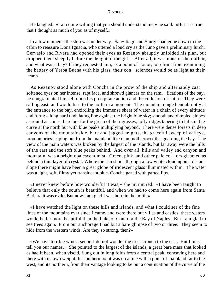He laughed. «I am quite willing that you should understand me,» he said. «But it is true that I thought as much of you as of myself.»

 In a few moments the ship was under way. San− tiago and Sturgis had gone down to the cabin to reassure Dona Ignacia, who uttered a loud cry as the Juno gave a preliminary lurch. Gervasio and Rivera had opened their eyes as Rezanov abruptly unfolded his plan, but dropped them sleepily before the delight of the girls. After all, it was none of their affair, and what was a bay? If they requested him, as a point of honor, to refrain from examining the battery of Yerba Buena with his glass, their con− sciences would be as light as their hearts.

 As Rezanov stood alone with Concha in the prow of the ship and alternately cast softened eyes on her intense, rapt face, and shrewd glances on the rami− fications of the bay, he congratulated himself upon his precipitate action and the collusion of nature. They were sailing east, and would turn to the north in a moment. The mountain range bent abruptly at the entrance to the bay, encircling the immense sheet of water in a chain of every altitude and form: a long hard undulating line against the bright blue sky; smooth and dimpled slopes as round as cones, bare but for the green of their grasses; lofty ridges tapering to hills in the curve at the north but with blue peaks multiplying beyond. There were dense forests in deep canyons on the mountainside, bare and jagged heights, the graceful sweep of valleys, promontories leaping out from the mainland like mammoth crocodiles guarding the bay. The view of the main waters was broken by the largest of the islands, but far away were the hills of the east and the soft blue peaks behind. And over all, hills and valley and canyon and mountain, was a bright opalescent mist. Green, pink, and other pale col− ors gleamed as behind a thin layer of crystal. Where the sun shone through a low white cloud upon a distant slope there might have been a great globe of iridescent glass illuminated within. The water was a light, soft, filmy yet translucent blue. Concha gazed with parted lips.

 «I never knew before how wonderful it was,» she murmured. «I have been taught to believe that only the south is beautiful, and when we had to come here again from Santa Barbara it was exile. But now I am glad I was born in the north.»

 «I have watched the light on these hills and islands, and what I could see of the fine lines of the mountains ever since I came, and were there but villas and castles, these waters would be far more beautiful than the Lake of Como or the Bay of Naples. But I am glad to see trees again. From our anchorage I had but a bare glimpse of two or three. They seem to hide from the western winds. Are they so strong, then?»

 «We have terrible winds, senor. I do not wonder the trees crouch to the east. But I must tell you our names.» She pointed to the largest of the islands, a great bare mass that looked as had it been, when viscid, flung out in long folds from a central peak, concaving here and there with its own weight. Its southern point was on a line with a point of mainland far to the west, and its northern, from their vantage looking to be but a continuation of the curve of the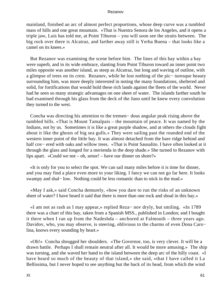mainland, finished an arc of almost perfect proportions, whose deep curve was a tumbled mass of hills and one great mountain. «That is Nuestra Senora de los Angeles, and it opens a triple jaw, Luis has told me, at Point Tiburon – you will soon see the straits between. The big rock over there is Alcatraz, and farther away still is Yerba Buena – that looks like a camel on its knees.»

 But Rezanov was examining the scene before him. The lines of this bay within a bay were superb, and in its wide embrace, slanting from Point Tiburon toward an inner point two miles opposite was another island, as steep as Alcatraz, but long and waving of outline, with a glimpse of trees on its crest. Rezanov, while he lost nothing of the pic− turesque beauty surrounding him, was more deeply interested in noting the many foundations, sheltered and solid, for fortifications that would hold these rich lands against the fleets of the world. Never had he seen so many strategic advantages on one sheet of water. The islands farther south he had examined through his glass from the deck of the Juno until he knew every convolution they turned to the west.

 Concha was directing his attention to the tremen− dous angular peak rising above the tumbled hills. «That is Mount Tamalpais – the mountain of peace. It was named by the Indians, not by us. Sometimes it is like a great purple shadow, and at others the clouds fight about it like the ghosts of big sea gulls.» They were sailing past the rounded end of the western inner point of the little bay. It was almost detached from the bare ridge behind and half cov− ered with oaks and willow trees. «That is Point Sausalito. I have often looked at it through the glass and longed for a merienda in the deep shade.» She turned to Rezanov with lips apart. «Could we not – oh, senor! – have our dinner on shore?»

 «It is only for you to select the spot. We can sail many miles before it is time for dinner, and you may find a place even more to your liking. I fancy we can not go far here. It looks swampy and shal– low. Nothing could be less romantic than to stick in the mud.»

 «May I ask,» said Concha demurely, «how you dare to run the risks of an unknown sheet of water? I have heard it said that there is more than one rock and shoal in this bay.»

 «I am not as rash as I may appear,» replied Reza− nov dryly, but smiling. «In 1789 there was a chart of this bay, taken from a Spanish MSS., published in London; and I bought it there when I ran up from the Nadeshda – anchored at Falmouth – three years ago. Davidov, who, you may observe, is steering, oblivious to the charms of even Dona Caro− lina, knows every sounding by heart.»

 «Oh!» Concha shrugged her shoulders. «The Governor, too, is very clever. It will be a drawn battle. Perhaps I shall remain neutral after all. It would be more amusing.» The ship was turning, and she waved her hand to the island between the deep arc of the hilly coast. «I have heard so much of the beauty of that island,» she said, «that I have called it La Bellissima, but I never hoped to see anything but the back of its head, from which the wind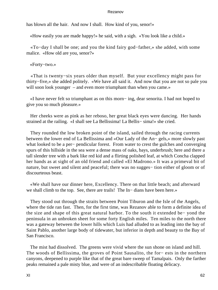has blown all the hair. And now I shall. How kind of you, senor!»

«How easily you are made happy!» he said, with a sigh. «You look like a child.»

 «To−day I shall be one; and you the kind fairy god−father,» she added, with some malice. «How old are you, senor?»

«Forty−two.»

 «That is twenty−six years older than myself. But your excellency might pass for thirty−five,» she added politely. «We have all said it. And now that you are not so pale you will soon look younger – and even more triumphant than when you came.»

 «I have never felt so triumphant as on this morn− ing, dear senorita. I had not hoped to give you so much pleasure.»

 Her cheeks were as pink as her reboso, her great black eyes were dancing. Her hands strained at the railing. «I shall see La Bellissima! La Bellis− sima!» she cried.

 They rounded the low broken point of the island, sailed through the racing currents between the lower end of La Bellissima and «Our Lady of the An− gels,» more slowly past what looked to be a per− pendicular forest. From water to crest the gulches and converging spurs of this hillside in the sea were a dense mass of oaks, bays, underbrush; here and there a tall slender tree with a bark like red kid and a flirting polished leaf, at which Concha clapped her hands as at sight of an old friend and called «El Madrono.» It was a primeval bit of nature, but sweet and silent and peaceful; there was no sugges– tion either of gloom or of discourteous beast.

 «We shall have our dinner here, Excellency. There on that little beach; and afterward we shall climb to the top. See, there are trails! The In− dians have been here.»

 They stood out through the straits between Point Tiburon and the Isle of the Angels, where the tide ran fast. Then, for the first time, was Rezanov able to form a definite idea of the size and shape of this great natural harbor. To the south it extended be− yond the peninsula in an unbroken sheet for some forty English miles. Ten miles to the north there was a gateway between the lower hills which Luis had alluded to as leading into the bay of Saint Pablo, another large body of tidewater, but inferior in depth and beauty to the Bay of San Francisco.

 The mist had dissolved. The greens were vivid where the sun shone on island and hill. The woods of Bellissima, the groves of Point Sausalito, the for− ests in the northern canyons, deepened to purple like that of the great bare sweep of Tamalpais. Only the farther peaks remained a pale misty blue, and were of an indescribable floating delicacy.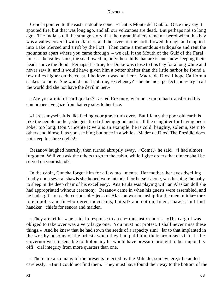Concha pointed to the eastern double cone. «That is Monte del Diablo. Once they say it spouted fire, but that was long ago, and all our volcanoes are dead. But perhaps not so long ago. The Indians tell the strange story that their grandfathers remem− bered when this bay was a valley covered with oak trees, and the rivers of the north flowed through and emptied into Lake Merced and a rift by the Fort. Then came a tremendous earthquake and rent the mountains apart where you came through – we call it the Mouth of the Gulf of the Faral− lones – the valley sank, the sea flowed in, only these hills that are islands now keeping their heads above the flood. Perhaps it is true, for Drake was close to this bay for a long while and never saw it, and it would have given him a better shelter than the little harbor he found a few miles higher on the coast. I believe it was not here. Madre de Dios, I hope California shakes no more. She would – is it not true, Excellency? – be the most perfect coun− try in all the world did she not have the devil in her.»

 «Are you afraid of earthquakes?» asked Rezanov, who once more had transferred his comprehensive gaze from battery sites to her face.

 «I cross myself. It is like feeling your grave turn over. But I fancy the poor old earth is like the people on her; she gets tired of being good and is all the naughtier for having been sober too long. Don Vincente Rivera is an example; he is cold, haughty, solemn, stern to others and himself, as you see him; but once in a while – Madre de Dios! The Presidio does not sleep for three nights!»

 Rezanov laughed heartily, then turned abruptly away. «Come,» he said. «I had almost forgotten. Will you ask the others to go to the cabin, while I give orders that dinner shall be served on your island?»

 In the cabin, Concha forgot him for a few mo− ments. Her mother, her eyes dwelling fondly upon several shawls she hoped were intended for herself alone, was hushing the baby to sleep in the deep chair of his excellency. Ana Paula was playing with an Alaskan doll she had appropriated without ceremony. Rezanov came in when his guests were assembled, and he had a gift for each; curious ob− jects of Alaskan workmanship for the men, minia− ture totem poles and fur−bordered moccasins; but silk and cotton, linen, shawls, and find handker− chiefs for senora and maiden.

 «They are trifles,» he said, in response to an en− thusiastic chorus. «The cargo I was obliged to take over was a very large one. You must not protest. I shall never miss these things.» And he knew that he had sown the seeds of a rapacity simi− lar to that implanted in the worthy bosoms of the priests when they had paid him their promised visit. If the Governor were insensible to diplomacy he would have pressure brought to bear upon his offi− cial integrity from more quarters than one.

 «There are also many of the presents rejected by the Mikado, somewhere,» he added carelessly. «But I could not find them. They must have found their way to the bottom of the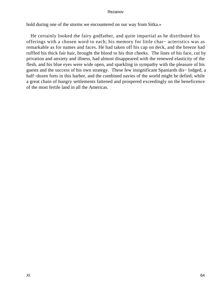hold during one of the storms we encountered on our way from Sitka.»

 He certainly looked the fairy godfather, and quite impartial as he distributed his offerings with a chosen word to each; his memory for little char− acteristics was as remarkable as for names and faces. He had taken off his cap on deck, and the breeze had ruffled his thick fair hair, brought the blood to his thin cheeks. The lines of his face, cut by privation and anxiety and illness, had almost disappeared with the renewed elasticity of the flesh, and his blue eyes were wide open, and sparkling in sympathy with the pleasure of his guests and the success of his own strategy. These few insignificant Spaniards dis− lodged, a half–dozen forts in this harbor, and the combined navies of the world might be defied; while a great chain of hungry settlements fattened and prospered exceedingly on the beneficence of the most fertile land in all the Americas.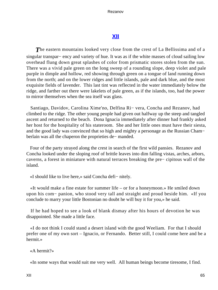# **[XII](#page-140-0)**

**The eastern mountains looked very close from the crest of La Bellissima and of a** singular transpar− ency and variety of hue. It was as if the white masses of cloud sailing low overhead flung down great splashes of color from prismatic stores stolen from the sun. There was a vivid pale green on the long sweep of a rounding slope, deep violet and pale purple in dimple and hollow, red showing through green on a tongue of land running down from the north; and on the lower ridges and little islands, pale and dark blue, and the most exquisite fields of lavender. This last tint was reflected in the water immediately below the ridge, and farther out there were lakelets of pale green, as if the islands, too, had the power to mirror themselves when the sea itself was glass.

 Santiago, Davidov, Carolina Xime'no, Delfina Ri− vera, Concha and Rezanov, had climbed to the ridge. The other young people had given out halfway up the steep and tangled ascent and returned to the beach. Dona Ignacia immediately after dinner had frankly asked her host for the hospitality of his stateroom. She and her little ones must have their siesta, and the good lady was convinced that so high and mighty a personage as the Russian Cham− berlain was all the chaperon the proprieties de− manded.

 Four of the party strayed along the crest in search of the first wild pansies. Rezanov and Concha looked under the sloping roof of brittle leaves into dim falling vistas, arches, arbors, caverns, a forest in miniature with natural terraces breaking the pre− cipitous wall of the island.

«I should like to live here,» said Concha defi− nitely.

 «It would make a fine estate for summer life – or for a honeymoon.» He smiled down upon his com− panion, who stood very tall and straight and proud beside him. «If you conclude to marry your little Bostonian no doubt he will buy it for you,» he said.

 If he had hoped to see a look of blank dismay after his hours of devotion he was disappointed. She made a little face.

 «I do not think I could stand a desert island with the good Weeliam. For that I should prefer one of my own sort – Ignacio, or Fernando. Better still, I could come here and be a hermit.»

«A hermit?»

«In some ways that would suit me very well. All human beings become tiresome, I find.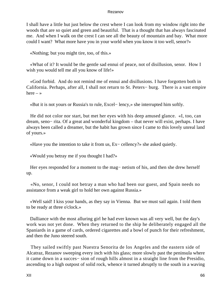I shall have a little hut just below the crest where I can look from my window right into the woods that are so quiet and green and beautiful. That is a thought that has always fascinated me. And when I walk on the crest I can see all the beauty of mountain and bay. What more could I want? What more have you in your world when you know it too well, senor?»

«Nothing; but you might tire, too, of this.»

 «What of it? It would be the gentle sad ennui of peace, not of disillusion, senor. How I wish you would tell me all you know of life!»

 «God forbid. And do not remind me of ennui and disillusions. I have forgotten both in California. Perhaps, after all, I shall not return to St. Peters− burg. There is a vast empire here  $-$  »

«But it is not yours or Russia's to rule, Excel− lency,» she interrupted him softly.

 He did not color nor start, but met her eyes with his deep amused glance. «I, too, can dream, seno− rita. Of a great and wonderful kingdom – that never will exist, perhaps. I have always been called a dreamer, but the habit has grown since I came to this lovely unreal land of yours.»

«Have you the intention to take it from us, Ex− cellency?» she asked quietly.

«Would you betray me if you thought I had?»

Her eyes responded for a moment to the mag– netism of his, and then she drew herself up.

 «No, senor, I could not betray a man who had been our guest, and Spain needs no assistance from a weak girl to hold her own against Russia.»

 «Well said! I kiss your hands, as they say in Vienna. But we must sail again. I told them to be ready at three o'clock.»

 Dalliance with the most alluring girl he had ever known was all very well, but the day's work was not yet done. When they returned to the ship he deliberately engaged all the Spaniards in a game of cards, ordered cigarettes and a bowl of punch for their refreshment, and then the Juno steered south.

 They sailed swiftly past Nuestra Senorita de los Angeles and the eastern side of Alcatraz, Rezanov sweeping every inch with his glass; more slowly past the peninsula where it came down in a succes− sion of rough hills almost in a straight line from the Presidio, ascending to a high outpost of solid rock, whence it turned abruptly to the south in a waving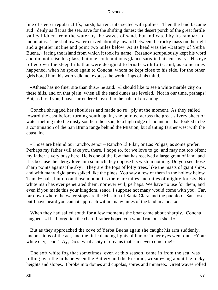line of steep irregular cliffs, harsh, barren, intersected with gullies. Then the land became sud− denly as flat as the sea, save for the shifting dunes: the desert porch of the great fertile valley hidden from the water by the waves of sand, but indicated by its rampart of mountains. The shallow water curved abruptly inward between the rocky mass on the right and a gentler incline and point two miles below. At its head was the «Battery of Yerba Buena,» facing the island from which it took its name. Rezanov scrupulously kept his word and did not raise his glass, but one contemptuous glance satisfied his curiosity. His eye rolled over the steep hills that were designed to bristle with forts, and, as sometimes happened, when he spoke again to Concha, whom he kept close to his side, for the other girls bored him, his words did not express the work− ings of his mind.

 «Athens has no finer site than this,» he said. «I should like to see a white marble city on these hills, and on that plain, when all the sand dunes are leveled. Not in our time, perhaps! But, as I told you, I have surrendered myself to the habit of dreaming.»

 Concha shrugged her shoulders and made no re− ply at the moment. As they sailed toward the east before turning south again, she pointed across the great silvery sheet of water melting into the misty southern horizon, to a high ridge of mountains that looked to be a continuation of the San Bruno range behind the Mission, but slanting farther west with the coast line.

 «Those are behind our rancho, senor – Rancho El Pilar, or Las Pulgas, as some prefer. Perhaps my father will take you there. I hope so, for we love to go, and may not too often; my father is very busy here. He is one of the few that has received a large grant of land, and it is because the clergy love him so much they oppose his wish in nothing. Do you see those sharp points against the sky? They are the tops of lofty trees, like the masts of giant ships, and with many rigid arms spiked like the pines. You saw a few of them in the hollow below Tamal− pais, but up on those mountains there are miles and miles of mighty forests. No white man has ever penetrated them, nor ever will, perhaps. We have no use for them, and even if you made this your kingdom, senor, I suppose not many would come with you. Far, far down where the water stops are the Mission of Santa Clara and the pueblo of San Jose; but I have heard you cannot approach within many miles of the land in a boat.»

 When they had sailed south for a few moments the boat came about sharply. Concha laughed. «I had forgotten the chart. I rather hoped you would run on a shoal.»

 But as they approached the cove of Yerba Buena again she caught his arm suddenly, unconscious of the act, and the little dancing lights of humor in her eyes went out. «Your white city, senor! Ay, Dios! what a city of dreams that can never come true!»

 The soft white fog that sometimes, even at this season, came in from the sea, was rolling over the hills between the Battery and the Presidio, wreath− ing about the rocky heights and slopes. It broke into domes and cupolas, spires and minarets. Great waves rolled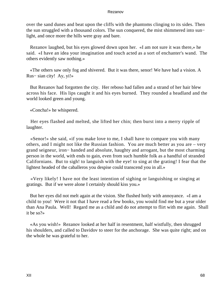over the sand dunes and beat upon the cliffs with the phantoms clinging to its sides. Then the sun struggled with a thousand colors. The sun conquered, the mist shimmered into sun− light, and once more the hills were gray and bare.

 Rezanov laughed, but his eyes glowed down upon her. «I am not sure it was there,» he said. «I have an idea your imagination and touch acted as a sort of enchanter's wand. The others evidently saw nothing.»

 «The others saw only fog and shivered. But it was there, senor! We have had a vision. A Rus− sian city! Ay, yi!»

 But Rezanov had forgotten the city. Her reboso had fallen and a strand of her hair blew across his face. His lips caught it and his eyes burned. They rounded a headland and the world looked green and young.

«Concha!» he whispered.

 Her eyes flashed and melted, she lifted her chin; then burst into a merry ripple of laughter.

 «Senor!» she said, «if you make love to me, I shall have to compare you with many others, and I might not like the Russian fashion. You are much better as you are – very grand seigneur, iron− handed and absolute, haughty and arrogant, but the most charming person in the world, with ends to gain, even from such humble folk as a handful of stranded Californians. But to sigh! to languish with the eye! to sing at the grating! I fear that the lightest headed of the caballeros you despise could transcend you in all.»

 «Very likely! I have not the least intention of sighing or languishing or singing at gratings. But if we were alone I certainly should kiss you.»

 But her eyes did not melt again at the vision. She flushed hotly with annoyance. «I am a child to you! Were it not that I have read a few books, you would find me but a year older than Ana Paula. Well! Regard me as a child and do not attempt to flirt with me again. Shall it be so?»

 «As you wish!» Rezanov looked at her half in resentment, half wistfully, then shrugged his shoulders, and called to Davidov to steer for the anchorage. She was quite right; and on the whole he was grateful to her.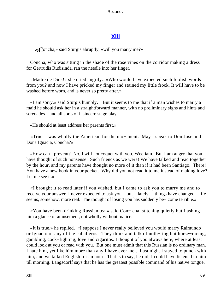# **[XIII](#page-140-0)**

*«C*oncha,» said Sturgis abruptly, «will you marry me?»

 Concha, who was sitting in the shade of the rose vines on the corridor making a dress for Gertrudis Rudisinda, ran the needle into her finger.

 «Madre de Dios!» she cried angrily. «Who would have expected such foolish words from you? and now I have pricked my finger and stained my little frock. It will have to be washed before worn, and is never so pretty after.»

 «I am sorry,» said Sturgis humbly. "But it seems to me that if a man wishes to marry a maid he should ask her in a straightforward manner, with no preliminary sighs and hints and serenades – and all sorts of insincere stage play.

«He should at least address her parents first.»

 «True. I was wholly the American for the mo− ment. May I speak to Don Jose and Dona Ignacia, Concha?»

 «How can I prevent? No, I will not coquet with you, Weeliam. But I am angry that you have thought of such nonsense. Such friends as we were! We have talked and read together by the hour, and my parents have thought no more of it than if it had been Santiago. There! You have a new book in your pocket. Why did you not read it to me instead of making love? Let me see it.»

 «I brought it to read later if you wished, but I came to ask you to marry me and to receive your answer. I never expected to ask you – but – lately – things have changed – life seems, somehow, more real. The thought of losing you has suddenly be– come terrible.»

 «You have been drinking Russian tea,» said Con− cha, stitching quietly but flashing him a glance of amusement, not wholly without malice.

 «It is true,» he replied. «I suppose I never really believed you would marry Raimundo or Ignacio or any of the caballeros. They think and talk of noth− ing but horse−racing, gambling, cock−fighting, love and cigaritos. I thought of you always here, where at least I could look at you or read with you. But one must admit that this Russian is no ordinary man. I hate him, yet like him more than any I have ever met. Last night I stayed to punch with him, and we talked English for an hour. That is to say, he did; I could have listened to him till morning. Langsdorff says that he has the greatest possible command of his native tongue,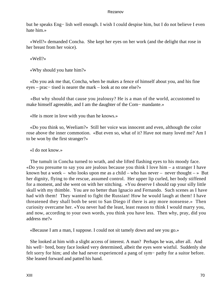but he speaks Eng− lish well enough. I wish I could despise him, but I do not believe I even hate him.»

 «Well?» demanded Concha. She kept her eyes on her work (and the delight that rose in her breast from her voice).

«Well?»

«Why should you hate him?»

 «Do you ask me that, Concha, when he makes a fence of himself about you, and his fine eyes – prac− tised is nearer the mark – look at no one else?»

 «But why should that cause you jealousy? He is a man of the world, accustomed to make himself agreeable, and I am the daughter of the Com− mandante.»

«He is more in love with you than he knows.»

 «Do you think so, Weeliam?» Still her voice was innocent and even, although the color rose above the inner commotion. «But even so, what of it? Have not many loved me? Am I to be won by the first stranger?»

«I do not know.»

 The tumult in Concha turned to wrath, and she lifted flashing eyes to his moody face. «Do you presume to say you are jealous because you think I love him – a stranger I have known but a week – who looks upon me as a child – who has never – never thought – » But her dignity, flying to the rescue, assumed control. Her upper lip curled, her body stiffened for a moment, and she went on with her stitching. «You deserve I should rap your silly little skull with my thimble. You are no better than Ignacio and Fernando. Such scenes as I have had with them! They wanted to fight the Russian! How he would laugh at them! I have threatened they shall both be sent to San Diego if there is any more nonsense.» Then curiosity overcame her. «You never had the least, least reason to think I would marry you, and now, according to your own words, you think you have less. Then why, pray, did you address me?»

«Because I am a man, I suppose. I could not sit tamely down and see you go.»

 She looked at him with a slight access of interest. A man? Perhaps he was, after all. And his well− bred, bony face looked very determined, albeit the eyes were wistful. Suddenly she felt sorry for him; and she had never experienced a pang of sym− pathy for a suitor before. She leaned forward and patted his hand.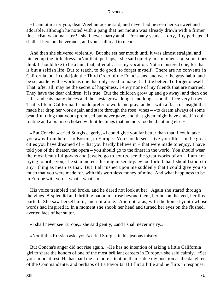«I cannot marry you, dear Weeliam,» she said, and never had he seen her so sweet and adorable, although he noted with a pang that her mouth was already drawn with a firmer line. «But what mat− ter? I shall never marry at all. For many years – forty, fifty perhaps – I shall sit here on the veranda, and you shall read to me.»

 And then she shivered violently. But she set her mouth until it was almost straight, and picked up the little dress. «Not that, perhaps,» she said quietly in a moment. «I sometimes think I should like to be a nun, that, after all, it is my vocation. Not a cloistered one, for that is but a selfish life. But to teach, to do good, to forget myself. There are no convents in California, but I could join the Third Order of the Franciscans, and wear the gray habit, and be set aside by the world as one that only lived to make it a little better. To forget oneself! That, after all, may be the secret of happiness. I envy none of my friends that are married. They have the dear children, it is true. But the children grow up and go away, and then one is fat and eats many dulces and the siesta grows longer and longer and the face very brown. That is life in California. I should prefer to work and pray, and» – with a flash of insight that made her drop her work again and stare through the rose−vines – «to dream always of some beautiful thing that youth promised but never gave, and that given might have ended in dull routine and a brain so choked with little things that memory too held nothing else.»

 «But Concha,» cried Sturgis eagerly, «I could give you far better than that. I could take you away from here – to Boston, to Europe. You should see – live your life – in the great cities you have dreamed of – that you hardly believe in – that were made to enjoy. I have told you of the theater, the opera – you should go to the finest in the world. You should wear the most beautiful gowns and jewels, go to courts, see the great works of art – I am not trying to bribe you,» he stammered, flushing miserably. «God forbid that I should stoop to any− thing as mean as that. But it all rushed upon me suddenly that I could give you so much that you were made for, with this worthless money of mine. And what happiness to be in Europe with you – what – what –  $\ast$ 

 His voice trembled and broke, and he dared not look at her. Again she stared through the vines. A splendid and thrilling panorama rose beyond them, her bosom heaved, her lips parted. She saw herself in it, and not alone. And not, alas, with the honest youth whose words had inspired it. In a moment she shook her head and turned her eyes on the flushed, averted face of her suitor.

«I shall never see Europe,» she said gently, «and I shall never marry.»

«Not if this Russian asks you?» cried Sturgis, in his jealous misery.

 But Concha's anger did not rise again. «He has no intention of asking a little California girl to share the honors of one of the most brilliant careers in Europe,» she said calmly. «Set your mind at rest. He has paid me no more attention than is due my position as the daughter of the Commandante, and perhaps of La Favorita. If I flirt a little and he flirts in response,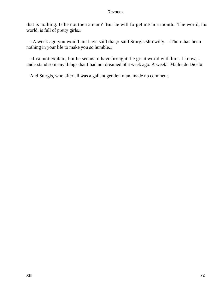that is nothing. Is he not then a man? But he will forget me in a month. The world, his world, is full of pretty girls.»

 «A week ago you would not have said that,» said Sturgis shrewdly. «There has been nothing in your life to make you so humble.»

 «I cannot explain, but he seems to have brought the great world with him. I know, I understand so many things that I had not dreamed of a week ago. A week! Madre de Dios!»

And Sturgis, who after all was a gallant gentle− man, made no comment.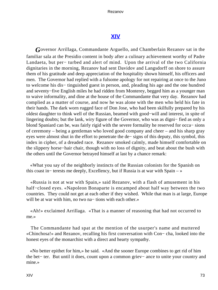# **[XIV](#page-140-0)**

*G*overnor Arrillaga, Commandante Arguello, and Chamberlain Rezanov sat in the familiar sala at the Presidio content in body after a culinary achievement worthy of Padre Landaeta, but per− turbed and alert of mind. Upon the arrival of the two California dignitaries in the morning, Rezanov had sent Davidov and Langsdorff on shore to assure them of his gratitude and deep appreciation of the hospitality shown himself, his officers and men. The Governor had replied with a fulsome apology for not repairing at once to the Juno to welcome his dis− tinguished guest in person, and, pleading his age and the one hundred and seventy−five English miles he had ridden from Monterey, begged him as a younger man to waive informality, and dine at the house of the Commandante that very day. Rezanov had complied as a matter of course, and now he was alone with the men who held his fate in their hands. The dark worn rugged face of Don Jose, who had been skilfully prepared by his oldest daughter to think well of the Russian, beamed with good−will and interest, in spite of lingering doubts; but the lank, wiry figure of the Governor, who was as digni− fied as only a blond Spaniard can be, was fairly rigid with the severe formality he reserved for occa− sions of ceremony – being a gentleman who loved good company and cheer – and his sharp gray eyes were almost shut in the effort to penetrate the de− signs of this deputy, this symbol, this index in cipher, of a dreaded race. Rezanov smoked calmly, made himself comfortable on the slippery horse−hair chair, though with no loss of dignity, and beat about the bush with the others until the Governor betrayed himself at last by a chance remark:

 «What you say of the neighborly instincts of the Russian colonists for the Spanish on this coast in− terests me deeply, Excellency, but if Russia is at war with Spain – »

 «Russia is not at war with Spain,» said Rezanov, with a flash of amusement in his half−closed eyes. «Napoleon Bonaparte is encamped about half way between the two countries. They could not get at each other if they wished. While that man is at large, Europe will be at war with him, no two na− tions with each other.»

 «Ah!» exclaimed Arrillaga. «That is a manner of reasoning that had not occurred to me.»

 The Commandante had spat at the mention of the usurper's name and muttered «Chinchosa!» and Rezanov, recalling his first conversation with Con− cha, looked into the honest eyes of the monarchist with a direct and hearty sympathy.

 «No better epithet for him,» he said. «And the sooner Europe combines to get rid of him the bet− ter. But until it does, count upon a common griev− ance to unite your country and mine.»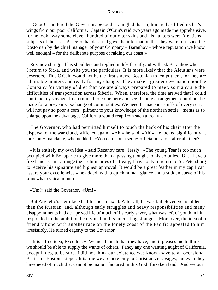«Good!» muttered the Governor. «Good! I am glad that nightmare has lifted its bat's wings from our poor California. Captain O'Cain's raid two years ago made me apprehensive, for he took away some eleven hundred of our otter skins and his hunters were Aleutians – subjects of the Tsar. A negro that deserted gave the information that they were furnished the Bostonian by the chief manager of your Company – Baranhov – whose reputation we know well enough! – for the deliberate purpose of raiding our coast.»

 Rezanov shrugged his shoulders and replied indif− ferently: «I will ask Baranhov when I return to Sitka, and write you the particulars. It is more likely that the Aleutians were deserters. This O'Cain would not be the first shrewd Bostonian to tempt them, for they are admirable hunters and ready for any change. They make a greater de− mand upon the Company for variety of diet than we are always prepared to meet, so many are the difficulties of transportation across Siberia. When, therefore, the time arrived that I could continue my voyage, I determined to come here and see if some arrangement could not be made for a bi−yearly exchange of commodities. We need farinaceous stuffs of every sort. I will not pay so poor a com− pliment to your knowledge of the northern settle− ments as to enlarge upon the advantages California would reap from such a treaty.»

 The Governor, who had permitted himself to touch the back of his chair after the dispersal of the war cloud, stiffened again. «Ah!» he said. «Ah!» He looked significantly at the Com− mandante, who nodded. «You come on a semi− official mission, after all, then?»

 «It is entirely my own idea,» said Rezanov care− lessly. «The young Tsar is too much occupied with Bonaparte to give more than a passing thought to his colonies. But I have a free hand. Can I arrange the preliminaries of a treaty, I have only to return to St. Petersburg to receive his signature and highest approval. It would be a great feather in my cap I can assure your excellencies,» he added, with a quick human glance and a sudden curve of his somewhat cynical mouth.

```
 «Um!» said the Governor. «Um!»
```
 But Arguello's stern face had further relaxed. After all, he was but eleven years older than the Russian, and, although early struggles and heavy responsibilities and many disappointments had de− prived life of much of its early savor, what was left of youth in him responded to the ambition he divined in this interesting stranger. Moreover, the idea of a friendly bond with another race on the lonely coast of the Pacific appealed to him irresistibly. He turned eagerly to the Governor.

 «It is a fine idea, Excellency. We need much that they have, and it pleases me to think we should be able to supply the wants of others. Fancy any one wanting aught of California, except hides, to be sure. I did not think our existence was known save to an occasional British or Boston skipper. It is true we are here only to Christianize savages, but even they have need of much that cannot be manu− factured in this God−forsaken land. And we our−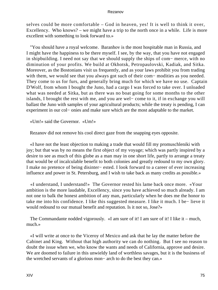selves could be more comfortable – God in heaven, yes! It is well to think it over, Excellency. Who knows? – we might have a trip to the north once in a while. Life is more excellent with something to look forward to.»

 "You should have a royal welcome. Baranhov is the most hospitable man in Russia, and I might have the happiness to be there myself. I see, by the way, that you have not engaged in shipbuilding. I need not say that we should supply the ships of com− merce, with no diminution of your profits. We build at Okhotsk, Petropaulovski, Kadiak, and Sitka. Moreover, as the Bostonians visit us frequently, and as your laws prohibit you from trading with them, we would see that you always got such of their com− modities as you needed. They come to us for furs, and generally bring much for which we have no use. Captain D'Wolf, from whom I bought the Juno, had a cargo I was forced to take over. I unloaded what was needed at Sitka, but as there was no boat going for some months to the other islands, I brought the rest with me, and you are wel− come to it, if in exchange you will ballast the Juno with samples of your agricultural products; while the treaty is pending, I can experiment in our col− onies and make sure which are the most adaptable to the market.

«Um!» said the Governor. «Um!»

Rezanov did not remove his cool direct gaze from the snapping eyes opposite.

 «I have not the least objection to making a trade that would fill my promuschleniki with joy; but that was by no means the first object of my voyage; which was partly inspired by a desire to see as much of this globe as a man may in one short life, partly to arrange a treaty that would be of incalculable benefit to both colonies and greatly redound to my own glory. I make no pretence of being disinter− ested. I look forward to a career of ever increasing influence and power in St. Petersburg, and I wish to take back as many credits as possible.»

 «I understand, I understand!» The Governor rested his lame back once more. «Your ambition is the more laudable, Excellency, since you have achieved so much already. I am not one to balk the honest ambition of any man, particularly when he does me the honor to take me into his confidence. I like this suggested measure. I like it much. I be− lieve it would redound to our mutual benefit and reputation. Is it not so, Jose?»

 The Commandante nodded vigorously. «I am sure of it! I am sure of it! I like it – much, much.»

 «I will write at once to the Viceroy of Mexico and ask that he lay the matter before the Cabinet and King. Without that high authority we can do nothing. But I see no reason to doubt the issue when we, who know the wants and needs of California, approve and desire. We are doomed to failure in this unwieldy land of worthless savages, but it is the business of the wretched servants of a glorious mon− arch to do the best they can.»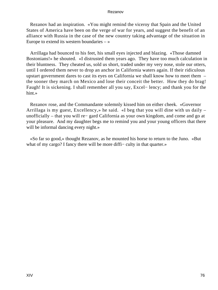Rezanov had an inspiration. «You might remind the viceroy that Spain and the United States of America have been on the verge of war for years, and suggest the benefit of an alliance with Russia in the case of the new country taking advantage of the situation in Europe to extend its western boundaries  $-\infty$ 

 Arrillaga had bounced to his feet, his small eyes injected and blazing. «Those damned Bostonians!» he shouted. «I distrusted them years ago. They have too much calculation in their bluntness. They cheated us, sold us short, traded under my very nose, stole our otters, until I ordered them never to drop an anchor in California waters again. If their ridiculous upstart government dares to cast its eyes on California we shall know how to meet them – the sooner they march on Mexico and lose their conceit the better. How they do brag! Faugh! It is sickening. I shall remember all you say, Excel− lency; and thank you for the hint.»

 Rezanov rose, and the Commandante solemnly kissed him on either cheek. «Governor Arrillaga is my guest, Excellency,» he said. «I beg that you will dine with us daily – unofficially – that you will re− gard California as your own kingdom, and come and go at your pleasure. And my daughter begs me to remind you and your young officers that there will be informal dancing every night.»

 «So far so good,» thought Rezanov, as he mounted his horse to return to the Juno. «But what of my cargo? I fancy there will be more diffi– culty in that quarter.»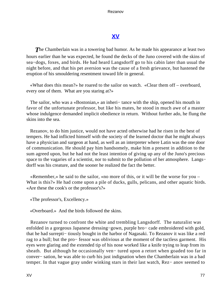# **[XV](#page-140-0)**

**The Chamberlain was in a towering bad humor. As he made his appearance at least two** hours earlier than he was expected, he found the decks of the Juno covered with the skins of sea−dogs, foxes, and birds. He had heard Langsdorff go to his cabin later than usual the night before, and that his pet aversion was the cause of a fresh grievance, but hastened the eruption of his smouldering resentment toward life in general.

 «What does this mean?» he roared to the sailor on watch. «Clear them off – overboard, every one of them. What are you staring at?»

The sailor, who was a «Bostonian,» an inheri– tance with the ship, opened his mouth in favor of the unfortunate professor, but like his mates, he stood in much awe of a master whose indulgence demanded implicit obedience in return. Without further ado, he flung the skins into the sea.

 Rezanov, to do him justice, would not have acted otherwise had he risen in the best of tempers. He had inflicted himself with the society of the learned doctor that he might always have a physician and surgeon at hand, as well as an interpreter where Latin was the one door of communication. He should pay him handsomely, make him a present in addition to the sum agreed upon, but he had not the least intention of giving up any of the Juno's precious space to the vagaries of a scientist, nor to submit to the pollution of her atmosphere. Langs− dorff was his creature, and the sooner he realized the fact the better.

 «Remember,» he said to the sailor, «no more of this, or it will be the worse for you – What is this?» He had come upon a pile of ducks, gulls, pelicans, and other aquatic birds. «Are these the cook's or the professor's?»

«The professor's, Excellency.»

«Overboard.» And the birds followed the skins.

 Rezanov turned to confront the white and trembling Langsdorff. The naturalist was enfolded in a gorgeous Japanese dressing−gown, purple bro− cade embroidered with gold, that he had surrepti− tiously bought in the harbor of Nagasaki. To Rezanov it was like a red rag to a bull; but the pro− fessor was oblivious at the moment of the tactless garment. His eyes were glaring and the extended tip of his nose worked like a knife trying to leap from its sheath. But although he occasionally ven− tured upon a retort when goaded too far in conver− sation, he was able to curb his just indignation when the Chamberlain was in a bad temper. In that vague gray under winking stars in their last watch, Rez− anov seemed to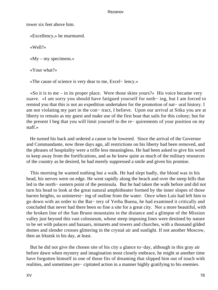tower six feet above him.

«Excellency,» he murmured.

«Well?»

 $\ll Mv$  – my specimens.»

«Your what?»

«The cause of science is very dear to me, Excel− lency.»

 $\ll$ So it is to me – in its proper place. Were those skins yours?» His voice became very suave. «I am sorry you should have fatigued yourself for noth− ing, but I am forced to remind you that this is not an expedition undertaken for the promotion of nat− ural history. I am not violating my part in the con− tract, I believe. Upon our arrival at Sitka you are at liberty to remain as my guest and make use of the first boat that sails for this colony; but for the present I beg that you will limit yourself to the re− quirements of your position on my staff.»

 He turned his back and ordered a canoe to be lowered. Since the arrival of the Governor and Commandante, now three days ago, all restrictions on his liberty had been removed, and the phrases of hospitality were a trifle less meaningless. He had been asked to give his word to keep away from the fortifications, and as he knew quite as much of the military resources of the country as he desired, he had merely suppressed a smile and given his promise.

 This morning he wanted nothing but a walk. He had slept badly, the blood was in his head, his nerves were on edge. He went rapidly along the beach and over the steep hills that led to the north− eastern point of the peninsula. But he had taken the walk before and did not turn his head to look at the great natural amphitheater formed by the inner slopes of those barren heights, so uninterest− ing of outline from the water. Once when Luis had left him to go down with an order to the Bat− tery of Yerba Buena, he had examined it critically and concluded that never had there been so fine a site for a great city. Nor a more beautiful, with the broken line of the San Bruno mountains in the distance and a glimpse of the Mission valley just beyond this vast colosseum, whose steep imposing lines were destined by nature to be set with palaces and bazaars, minarets and towers and churches, with a thousand gilded domes and slender crosses glittering in the crystal air and sunlight. If not another Moscow, then an Irkutsk in his day, at least.

 But he did not give the chosen site of his city a glance to−day, although in this gray air before dawn when mystery and imagination most closely embrace, he might at another time have forgotten himself in one of those fits of dreaming that slipped him out of touch with realities, and sometimes pre− cipitated action in a manner highly gratifying to his enemies.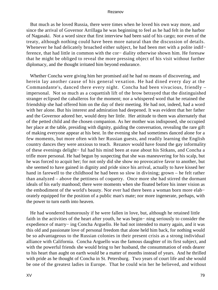But much as he loved Russia, there were times when he loved his own way more, and since the arrival of Governor Arrillaga he was beginning to feel as he had felt in the harbor of Nagasaki. Not a word since that first interview had been said of his cargo; nor even of the treaty, although nothing could have been more natural than the discussion of details. Whenever he had delicately broached either subject, he had been met with a polite indif− ference, that had little in common with the cor− diality otherwise shown him. He foresaw that he might be obliged to reveal the more pressing object of his visit without further diplomacy, and the thought irritated him beyond endurance.

 Whether Concha were giving him her promised aid he had no means of discovering, and herein lay another cause of his general vexation. He had dined every day at the Commandante's, danced there every night. Concha had been vivacious, friendly – impersonal. Not so much as a coquettish lift of the brow betrayed that the distinguished stranger eclipsed the caballeros for the moment; nor a whispered word that he retained the friendship she had offered him on the day of their meeting. He had not, indeed, had a word with her alone. But his interest and admiration had deepened. It was evident that her father and the Governor adored her, would deny her little. Her attitude to them was alternately that of the petted child and the chosen companion. As her mother was indisposed, she occupied her place at the table, presiding with dignity, guiding the conversation, revealing the rare gift of making everyone appear at his best. In the evening she had sometimes danced alone for a few moments, but more often with her Russian guests, and readily learning the English country dances they were anxious to teach. Rezanov would have found the gay informality of these evenings delight− ful had his mind been at ease about his Sitkans, and Concha a trifle more personal. He had begun by suspecting that she was maneuvering for his scalp, but he was forced to acquit her; for not only did she show no provocative favor to another, but she seemed to have gained in dignity and pride since his arrival, actually to have kissed her hand in farewell to the childhood he had been so slow in divining; grown – he felt rather than analyzed – above the pettiness of coquetry. Once more she had stirred the dormant ideals of his early manhood; there were moments when she floated before his inner vision as the embodiment of the world's beauty. Nor ever had there been a woman born more elab− orately equipped for the position of a public man's mate; nor more ingenerate, perhaps, with the power to turn earth into heaven.

 He had wondered humorously if he were fallen in love, but, although he retained little faith in the activities of the heart after youth, he was begin− ning seriously to consider the expedience of marry− ing Concha Arguello. He had not intended to marry again, and it was this old and passionate love of personal freedom that alone held him back, for nothing would be so advantageous to the Russian colonies in their present crisis as a strong individual alliance with California. Concha Arguello was the famous daughter of its first subject, and with the powerful friends she would bring to her husband, the consummation of ends dearer to his heart than aught on earth would be a matter of months instead of years. And he thrilled with pride as he thought of Concha in St. Petersburg. Two years of court life and she would be one of the greatest ladies in Europe. That he could win her he believed, and without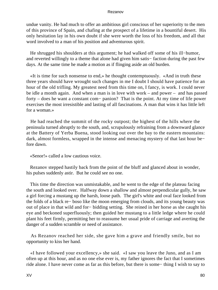undue vanity. He had much to offer an ambitious girl conscious of her superiority to the men of this province of Spain, and chafing at the prospect of a lifetime in a bountiful desert. His only hesitation lay in his own doubt if she were worth the loss of his freedom, and all that word involved to a man of his position and adventurous spirit.

 He shrugged his shoulders at this argument; he had walked off some of his ill−humor, and reverted willingly to a theme that alone had given him satis− faction during the past few days. At the same time he made a motion as if flinging aside an old burden.

 «It is time for such nonsense to end,» he thought contemptuously. «And in truth these three years should have wrought such changes in me I doubt I should have patience for an hour of the old trifling. My greatest need from this time on, I fancy, is work. I could never be idle a month again. And when a man is in love with work – and power – and has passed forty – does he want a constant com− panion? That is the point. At my time of life power exercises the most irresistible and lasting of all fascinations. A man that wins it has little left for a woman.»

 He had reached the summit of the rocky outpost; the highest of the hills where the peninsula turned abruptly to the south, and, scrupulously refraining from a downward glance at the Battery of Yerba Buena, stood looking out over the bay to the eastern mountains: dark, almost formless, wrapped in the intense and menacing mystery of that last hour be− fore dawn.

«Senor!» called a low cautious voice.

 Rezanov stepped hastily back from the point of the bluff and glanced about in wonder, his pulses suddenly astir. But he could see no one.

 This time the direction was unmistakable, and he went to the edge of the plateau facing the south and looked over. Halfway down a shallow and almost perpendicular gully, he saw a girl forcing a mustang up the harsh, loose path. The girl's white and oval face looked from the folds of a black re− boso like the moon emerging from clouds, and its young beauty was out of place in that wild and for− bidding setting. She reined in her horse as she caught his eye and beckoned superfluously; then guided her mustang to a little ledge where he could plant his feet firmly, permitting her to reassume her usual pride of carriage and averting the danger of a sudden scramble or need of assistance.

 As Rezanov reached her side, she gave him a grave and friendly smile, but no opportunity to kiss her hand.

 «I have followed your excellency,» she said. «I saw you leave the Juno, and as I am often up at this hour, and as no one else ever is, my father ignores the fact that I sometimes ride alone. I have never come as far as this before, but there is some− thing I wish to say to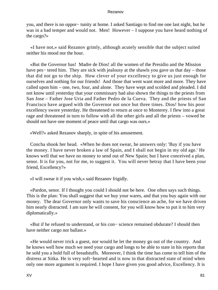you, and there is no oppor− tunity at home. I asked Santiago to find me one last night, but he was in a bad temper and would not. Men! However – I suppose you have heard nothing of the cargo?»

 «I have not,» said Rezanov grimly, although acutely sensible that the subject suited neither his mood nor the hour.

 «But the Governor has! Madre de Dios! all the women of the Presidio and the Mission have pes− tered him. They are sick with jealousy at the shawls you gave us that day – those that did not go to the ship. How clever of your excellency to give us just enough for ourselves and nothing for our friends! And those that went want more and more. They have called upon him – one, two, four, and alone. They have wept and scolded and pleaded. I did not know until yesterday that your commissary had also shown the things to the priests from San Jose – Father Jose Uria and Father Pedro de la Cueva. They and the priests of San Francisco have argued with the Governor not once but three times. Dios! how his poor excellency swore yesterday. He threatened to return at once to Monterey. I flew into a great rage and threatened in turn to follow with all the other girls and all the priests – vowed he should not have one moment of peace until that cargo was ours.»

«Well?» asked Rezanov sharply, in spite of his amusement.

 Concha shook her head. «When he does not swear, he answers only: 'Buy if you have the money. I have never broken a law of Spain, and I shall not begin in my old age.' He knows well that we have no money to send out of New Spain; but I have conceived a plan, senor. It is for you, not for me, to suggest it. You will never betray that I have been your friend, Excellency?»

«I will swear it if you wish,» said Rezanov frigidly.

 «Pardon, senor. If I thought you could I should not be here. One often says such things. This is the plan: You shall suggest that we buy your wares, and that you buy again with our money. The dear Governor only wants to save his conscience an ache, for we have driven him nearly distracted. I am sure he will consent, for you will know how to put it to him very diplomatically.»

 «But if he refused to understand, or his con− science remained obdurate? I should then have neither cargo nor ballast.»

 «He would never trick a guest, nor would he let the money go out of the country. And he knows well how much we need your cargo and longs to be able to state in his reports that he sold you a hold full of breadstuffs. Moreover, I think the time has come to tell him of the distress at Sitka. He is very soft−hearted and is now in that distracted state of mind when only one more argument is required. I hope I have given you good advice, Excellency. It is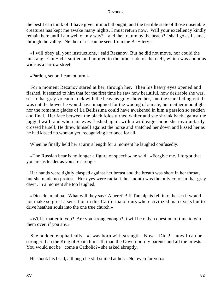the best I can think of. I have given it much thought, and the terrible state of those miserable creatures has kept me awake many nights. I must return now. Will your excellency kindly remain here until I am well on my way? – and then return by the beach? I shall go as I came, through the valley. Neither of us can be seen from the Bat− tery.»

 «I will obey all your instructions,» said Rezanov. But he did not move, nor could the mustang. Con− cha smiled and pointed to the other side of the cleft, which was about as wide as a narrow street.

«Pardon, senor, I cannot turn.»

 For a moment Rezanov stared at her, through her. Then his heavy eyes opened and flashed. It seemed to him that for the first time he saw how beautiful, how desirable she was, set in that gray volcanic rock with the heavens gray above her, and the stars fading out. It was not the bower he would have imagined for the wooing of a mate, but neither moonlight nor the romantic glades of La Bellissima could have awakened in him a passion so sudden and final. Her face between the black folds turned whiter and she shrank back against the jagged wall: and when his eyes flashed again with a wild eager hope she involuntarily crossed herself. He threw himself against the horse and snatched her down and kissed her as he had kissed no woman yet, recognizing her once for all.

When he finally held her at arm's length for a moment he laughed confusedly.

 «The Russian bear is no longer a figure of speech,» he said. «Forgive me. I forgot that you are as tender as you are strong.»

 Her hands were tightly clasped against her breast and the breath was short in her throat, but she made no protest. Her eyes were radiant, her mouth was the only color in that gray dawn. In a moment she too laughed.

 «Dios de mi alma! What will they say? A heretic! If Tamalpais fell into the sea it would not make so great a sensation in this California of ours where civilized man exists but to drive heathen souls into the one true church.»

 «Will it matter to you? Are you strong enough? It will be only a question of time to win them over, if you are.»

She nodded emphatically. «I was born with strength. Now  $-$  Dios!  $-$  now I can be stronger than the King of Spain himself, than the Governor, my parents and all the priests – You would not be− come a Catholic?» she asked abruptly.

He shook his head, although he still smiled at her. «Not even for you.»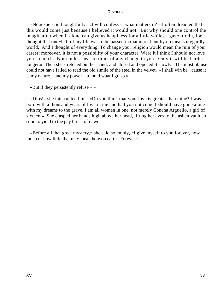$\langle N_0 \rangle$  she said thoughtfully.  $\langle N \rangle$  will confess – what matters it? – I often dreamed that this would come just because I believed it would not. But why should one control the imagination when it alone can give us happiness for a little while? I gave it rein, for I thought that one−half of my life was to be passed in that unreal but by no means niggardly world. And I thought of everything. To change your religion would mean the ruin of your career; moreover, it is not a possibility of your character. Were it I think I should not love you so much. Nor could I bear to think of any change in you. Only it will be harder – longer.» Then she stretched out her hand, and closed and opened it slowly. The most obtuse could not have failed to read the old simile of the steel in the velvet. «I shall win be− cause it is my nature – and my power – to hold what I grasp.»

«But if they persistently refuse  $-\infty$ 

 «Dios!» she interrupted him. «Do you think that your love is greater than mine? I was born with a thousand years of love in me and had you not come I should have gone alone with my dreams to the grave. I am all women in one, not merely Concha Arguello, a girl of sixteen.» She clasped her hands high above her head, lifting her eyes to the ashen vault so soon to yield to the gay brush of dawn.

 «Before all that great mystery,» she said solemnly, «I give myself to you forever, how much or how little that may mean here on earth. Forever.»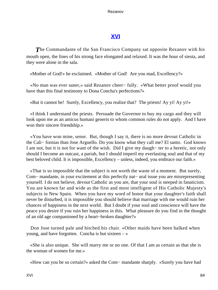# **[XVI](#page-140-0)**

**The Commandante of the San Francisco Company sat opposite Rezanov with his** mouth open, the lines of his strong face elongated and relaxed. It was the hour of siesta, and they were alone in the sala.

«Mother of God!» he exclaimed. «Mother of God! Are you mad, Excellency?»

 «No man was ever saner,» said Rezanov cheer− fully. «What better proof would you have than this final testimony to Dona Concha's perfections?»

«But it cannot be! Surely, Excellency, you realize that? The priests! Ay yi! Ay yi!»

 «I think I understand the priests. Persuade the Governor to buy my cargo and they will look upon me as an amicus humani generis to whom common rules do not apply. And I have won their sincere friendship.»

 «You have won mine, senor. But, though I say it, there is no more devout Catholic in the Cali− fornias than Jose Arguello. Do you know what they call me? El santo. God knows I am not, but it is not for want of the wish. Did I give my daugh− ter to a heretic, not only should I become an outcast, a pariah, but I should imperil my everlasting soul and that of my best beloved child. It is impossible, Excellency – unless, indeed, you embrace our faith.»

 «That is so impossible that the subject is not worth the waste of a moment. But surely, Com− mandante, in your excitement at this perfectly nat− ural issue you are misrepresenting yourself. I do not believe, devout Catholic as you are, that your soul is steeped in fanaticism. You are known far and wide as the first and most intelligent of His Catholic Majesty's subjects in New Spain. When you have my word of honor that your daughter's faith shall never be disturbed, it is impossible you should believe that marriage with me would ruin her chances of happiness in the next world. But I doubt if your soul and conscience will have the peace you desire if you ruin her happiness in this. What pleasure do you find in the thought of an old age companioned by a heart−broken daughter?»

 Don Jose turned pale and hitched his chair. «Other maids have been balked when young, and have forgotten. Concha is but sixteen  $-\infty$ 

 «She is also unique. She will marry me or no one. Of that I am as certain as that she is the woman of women for me.»

«How can you be so certain?» asked the Com− mandante sharply. «Surely you have had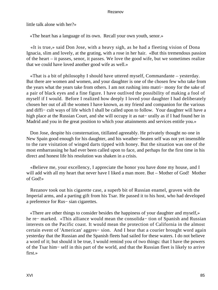little talk alone with her?»

«The heart has a language of its own. Recall your own youth, senor.»

 «It is true,» said Don Jose, with a heavy sigh, as he had a fleeting vision of Dona Ignacia, slim and lovely, at the grating, with a rose in her hair. «But this tremendous passion of the heart – it passes, senor, it passes. We love the good wife, but we sometimes realize that we could have loved another good wife as well.»

 «That is a bit of philosophy I should have uttered myself, Commandante – yesterday. But there are women and women, and your daughter is one of the chosen few who take from the years what the years take from others. I am not rushing into matri− mony for the sake of a pair of black eyes and a fine figure. I have outlived the possibility of making a fool of myself if I would. Before I realized how deeply I loved your daughter I had deliberately chosen her out of all the women I have known, as my friend and companion for the various and diffi− cult ways of life which I shall be called upon to follow. Your daughter will have a high place at the Russian Court, and she will occupy it as nat− urally as if I had found her in Madrid and you in the great position to which your attainments and services entitle you.»

 Don Jose, despite his consternation, titillated agreeably. He privately thought no one in New Spain good enough for his daughter, and his weather−beaten self was not yet insensible to the rare visitation of winged darts tipped with honey. But the situation was one of the most embarrassing he had ever been called upon to face, and perhaps for the first time in his direct and honest life his resolution was shaken in a crisis.

 «Believe me, your excellency, I appreciate the honor you have done my house, and I will add with all my heart that never have I liked a man more. But – Mother of God! Mother of God!»

 Rezanov took out his cigarette case, a superb bit of Russian enamel, graven with the Imperial arms, and a parting gift from his Tsar. He passed it to his host, who had developed a preference for Rus− sian cigarettes.

 «There are other things to consider besides the happiness of your daughter and myself,» he re− marked. «This alliance would mean the consolida− tion of Spanish and Russian interests on the Pacific coast. It would mean the protection of California in the almost certain event of 'American' aggres− sion. And I hear that a courier brought word again yesterday that the Russian and the Spanish fleets had sailed for these waters. I do not believe a word of it; but should it be true, I would remind you of two things: that I have the powers of the Tsar him− self in this part of the world, and that the Russian fleet is likely to arrive first.»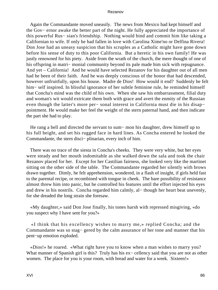Again the Commandante moved uneasily. The news from Mexico had kept himself and the Gov− ernor awake the better part of the night. He fully appreciated the importance of this powerful Rus− sian's friendship. Nothing would bind and commit him like taking a Californian to wife. If only he had fallen in love with Carolina Xime'no or Delfina Rivera! Don Jose had an uneasy suspicion that his scruples as a Catholic might have gone down before his sense of duty to this poor California. But a heretic in his own family! He was justly renowned for his piety. Aside from the wrath of the church, the mere thought of one of his offspring in matri− monial community beyond its pale made him sick with repugnance. And yet – California! And he would have selected Rezanov for his daughter out of all men had he been of their faith. And he was deeply conscious of the honor that had descended, however unfruitfully, upon his house. Madre de Dios! How would it end? Suddenly he felt him− self inspired. In blissful ignorance of her subtle feminine rule, he reminded himself that Concha's mind was the child of his own. When she saw his embarrassment, filial duty and woman's wit would extricate them both with grace and avert the enmity of the Russian even though the latter's more per− sonal interest in California must die in his disap− pointment. He would make her feel the weight of the stern paternal hand, and then indicate the part she had to play.

 He rang a bell and directed the servant to sum− mon his daughter, drew himself up to his full height, and set his rugged face in hard lines. As Concha entered he looked the Commandante, the stern disci− plinarian, every inch of him.

 There was no trace of the siesta in Concha's cheeks. They were very white, but her eyes were steady and her mouth indomitable as she walked down the sala and took the chair Rezanov placed for her. Except for her Castilian fairness, she looked very like the martinet sitting on the other side of the table. The Commandante regarded her silently with brows drawn together. Dimly, he felt apprehension, wondered, in a flash of insight, if girls held fast to the parental recipe, or recombined with tongue in cheek. The bare possibility of resistance almost threw him into panic, but he controlled his features until the effort injected his eyes and drew in his nostrils. Concha regarded him calmly, al− though her heart beat unevenly, for she dreaded the long strain she foresaw.

 «My daughter,» said Don Jose finally, his tones harsh with repressed misgiving, «do you suspect why I have sent for you?»

 «I think that his excellency wishes to marry me,» replied Concha; and the Commandante was so stag− gered by the calm assurance of her tone and manner that his pent−up emotion exploded.

 «Dios!» he roared. «What right have you to know when a man wishes to marry you? What manner of Spanish girl is this? Truly has his ex− cellency said that you are not as other women. The place for you is your room, with bread and water for a week. Sixteen!»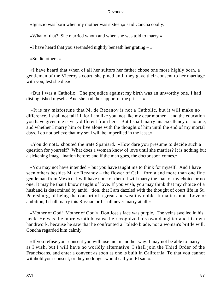«Ignacio was born when my mother was sixteen,» said Concha coolly.

«What of that? She married whom and when she was told to marry.»

«I have heard that you serenaded nightly beneath her grating  $-\infty$ 

«So did others.»

 «I have heard that when of all her suitors her father chose one more highly born, a gentleman of the Viceroy's court, she pined until they gave their consent to her marriage with you, lest she die.»

 «But I was a Catholic! The prejudice against my birth was an unworthy one. I had distinguished myself. And she had the support of the priests.»

 «It is my misfortune that M. de Rezanov is not a Catholic, but it will make no difference. I shall not fall ill, for I am like you, not like my dear mother – and the education you have given me is very different from hers. But I shall marry his excellency or no one, and whether I marry him or live alone with the thought of him until the end of my mortal days, I do not believe that my soul will be imperilled in the least.»

 «You do not!» shouted the irate Spaniard. «How dare you presume to decide such a question for yourself? What does a woman know of love until she marries? It is nothing but a sickening imag− ination before; and if the man goes, the doctor soon comes.»

 «You may not have intended – but you have taught me to think for myself. And I have seen others besides M. de Rezanov – the flower of Cali− fornia and more than one fine gentleman from Mexico. I will have none of them. I will marry the man of my choice or no one. It may be that I know naught of love. If you wish, you may think that my choice of a husband is determined by ambi− tion, that I am dazzled with the thought of court life in St. Petersburg, of being the consort of a great and wealthy noble. It matters not. Love or ambition, I shall marry this Russian or I shall never marry at all.»

 «Mother of God! Mother of God!» Don Jose's face was purple. The veins swelled in his neck. He was the more wroth because he recognized his own daughter and his own handiwork, because he saw that he confronted a Toledo blade, not a woman's brittle will. Concha regarded him calmly.

 «If you refuse your consent you will lose me in another way. I may not be able to marry as I wish, but I will have no worldly alternative. I shall join the Third Order of the Franciscans, and enter a convent as soon as one is built in California. To that you cannot withhold your consent, or they no longer would call you El santo.»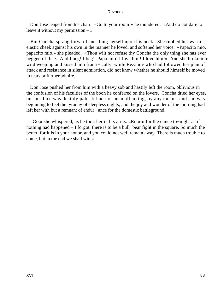Don Jose leaped from his chair. «Go to your room!» he thundered. «And do not dare to leave it without my permission  $-\infty$ 

 But Concha sprang forward and flung herself upon his neck. She rubbed her warm elastic cheek against his own in the manner he loved, and softened her voice. «Papacito mio, papacito mio,» she pleaded. «Thou wilt not refuse thy Concha the only thing she has ever begged of thee. And I beg! I beg! Papa mio! I love him! I love him!» And she broke into wild weeping and kissed him franti– cally, while Rezanov who had followed her plan of attack and resistance in silent admiration, did not know whether he should himself be moved to tears or further admire.

 Don Jose pushed her from him with a heavy sob and hastily left the room, oblivious in the confusion of his faculties of the boon he conferred on the lovers. Concha dried her eyes, but her face was deathly pale. It had not been all acting, by any means, and she was beginning to feel the tyranny of sleepless nights; and the joy and wonder of the morning had left her with but a remnant of endur− ance for the domestic battleground.

 «Go,» she whispered, as he took her in his arms. «Return for the dance to−night as if nothing had happened – I forgot, there is to be a bull−bear fight in the square. So much the better, for it is in your honor, and you could not well remain away. There is much trouble to come, but in the end we shall win.»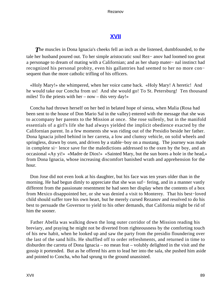# **[XVII](#page-140-0)**

**The muscles in Dona Ignacia's cheeks fell an inch as she listened, dumbfounded, to the** tale her husband poured out. To her simple aristocratic soul Rez− anov had loomed too great a personage to dream of mating with a Californian; and as her sharp mater− nal instinct had recognized his personal probity, even his gallantries had seemed to her no more con− sequent than the more catholic trifling of his officers.

 «Holy Mary!» she whimpered, when her voice came back. «Holy Mary! A heretic! And he would take our Concha from us! And she would go! To St. Petersburg! Ten thousand miles! To the priests with her – now – this very day!»

 Concha had thrown herself on her bed in belated hope of siesta, when Malia (Rosa had been sent to the house of Don Mario Sal in the valley) entered with the message that she was to accompany her parents to the Mission at once. She rose sullenly, but in the manifold essentials of a girl's life she had always yielded the implicit obedience exacted by the Californian parent. In a few moments she was riding out of the Presidio beside her father. Dona Ignacia jolted behind in her carreta, a low and clumsy vehicle, on solid wheels and springless, drawn by oxen, and driven by a stable−boy on a mustang. The journey was made in complete si− lence save for the maledictions addressed to the oxen by the boy, and an occasional «Ay yi!» «Madre de Dios!» «Sainted Mary, but the sun bores a hole in the head,» from Dona Ignacia, whose increasing discomfort banished wrath and apprehension for the hour.

 Don Jose did not even look at his daughter, but his face was ten years older than in the morning. He had begun dimly to appreciate that she was suf– fering, and in a manner vastly different from the passionate resentment he had seen her display when the contents of a box from Mexico disappointed her, or she was denied a visit to Monterey. That his best−loved child should suffer tore his own heart, but he merely cursed Rezanov and resolved to do his best to persuade the Governor to yield to his other demands, that California might be rid of him the sooner.

 Father Abella was walking down the long outer corridor of the Mission reading his breviary, and praying he might not be diverted from righteousness by the comforting touch of his new habit, when he looked up and saw the party from the presidio floundering over the last of the sand hills. He shuffled off to order refreshments, and returned in time to disburden the carreta of Dona Ignacia – no mean feat – volubly delighted in the visit and the gossip it portended. But as he offered his arm to lead her into the sala, she pushed him aside and pointed to Concha, who had sprung to the ground unassisted.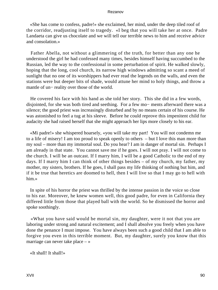«She has come to confess, padre!» she exclaimed, her mind, under the deep tiled roof of the corridor, readjusting itself to tragedy. «I beg that you will take her at once. Padre Landaeta can give us chocolate and we will tell our terrible news to him and receive advice and consolation.»

 Father Abella, not without a glimmering of the truth, for better than any one he understood the girl he had confessed many times, besides himself having succumbed to the Russian, led the way to the confessional in some perturbation of spirit. He walked slowly, hoping that the long, cool church, its narrow high windows admitting so scant a meed of sunlight that no one of its worshippers had ever read the legends on the walls, and even the stations were but deeper bits of shade, would attune her mind to holy things, and throw a mantle of un− reality over those of the world.

 He covered his face with his hand as she told her story. This she did in a few words, disjointed, for she was both tired and seething. For a few mo− ments afterward there was a silence; the good priest was increasingly disturbed and by no means certain of his course. He was astonished to feel a tug at his sleeve. Before he could reprove this impenitent child for audacity she had raised herself that she might approach her lips more closely to his ear.

 «Mi padre!» she whispered hoarsely, «you will take my part! You will not condemn me to a life of misery! I am too proud to speak openly to others – but I love this man more than my soul – more than my immortal soul. Do you hear? I am in danger of mortal sin. Perhaps I am already in that state. You cannot save me if he goes. I will not pray. I will not come to the church. I will be an outcast. If I marry him, I will be a good Catholic to the end of my days. If I marry him I can think of other things besides – of my church, my father, my mother, my sisters, brothers. If he goes, I shall pass my life thinking of nothing but him, and if it be true that heretics are doomed to hell, then I will live so that I may go to hell with him.»

 In spite of his horror the priest was thrilled by the intense passion in the voice so close to his ear. Moreover, he knew women well, this good padre, for even in California they differed little from those that played ball with the world. So he dismissed the horror and spoke soothingly.

 «What you have said would be mortal sin, my daughter, were it not that you are laboring under strong and natural excitement; and I shall absolve you freely when you have done the penance I must impose. You have always been such a good child that I am able to forgive you even in this terrible moment. But, my daughter, surely you know that this marriage can never take place – »

«It shall! It shall!»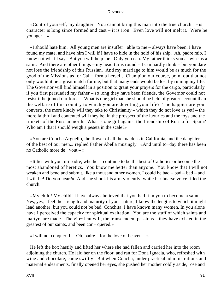«Control yourself, my daughter. You cannot bring this man into the true church. His character is long since formed and cast – it is iron. Even love will not melt it. Were he younger – »

 «I should hate him. All young men are insuffer− able to me – always have been. I have found my mate, and have him I will if I have to hide in the hold of his ship. Ah, padre mio, I know not what I say. But you will help me. Only you can. My father thinks you as wise as a saint. And there are other things – my head turns round – I can hardly think – but you dare not lose the friendship of this Russian. And my marriage to him would be as much for the good of the Missions as for Cali− fornia herself. Champion our course, point out that not only would it be a great match for me, but that many ends would be lost by ruining my life. The Governor will find himself in a position to grant your prayers for the cargo, particularly if you first persuaded my father – so long they have been friends, the Governor could not resist if he joined our forces. What is one girl that she should be held of greater account than the welfare of this country to which you are devoting your life? The happier are your converts, the more kindly will they take to Christianity – which they do not love as yet! – the more faithful and contented will they be, in the prospect of the luxuries and the toys and the trinkets of the Russian north. What is one girl against the friendship of Russia for Spain? Who am I that I should weigh a peseta in the scale?»

 «You are Concha Arguello, the flower of all the maidens in California, and the daughter of the best of our men,» replied Father Abella musingly. «And until to−day there has been no Catholic more de− vout – »

 «It lies with you, mi padre, whether I continue to be the best of Catholics or become the most abandoned of heretics. You know me better than anyone. You know that I will not weaken and bend and submit, like a thousand other women. I could be bad – bad – bad – and I will be! Do you hear?» And she shook his arm violently, while her hoarse voice filled the church.

 «My child! My child! I have always believed that you had it in you to become a saint. Yes, yes, I feel the strength and maturity of your nature, I know the lengths to which it might lead another; but you could not be bad, Conchita. I have known many women. In you alone have I perceived the capacity for spiritual exaltation. You are the stuff of which saints and martyrs are made. The vio− lent will, the transcendent passions – they have existed in the greatest of our saints, and been con− quered.»

«I will not conquer. I – Oh, padre – for the love of heaven  $-\infty$ 

 He left the box hastily and lifted her where she had fallen and carried her into the room adjoining the church. He laid her on the floor, and ran for Dona Ignacia, who, refreshed with wine and chocolate, came swiftly. But when Concha, under practical administrations and maternal endearments, finally opened her eyes, she pushed her mother coldly aside, rose and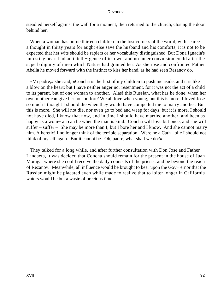steadied herself against the wall for a moment, then returned to the church, closing the door behind her.

 When a woman has borne thirteen children in the lost corners of the world, with scarce a thought in thirty years for aught else save the husband and his comforts, it is not to be expected that her wits should be rapiers or her vocabulary distinguished. But Dona Ignacia's unresting heart had an intelli− gence of its own, and no inner convulsion could alter the superb dignity of mien which Nature had granted her. As she rose and confronted Father Abella he moved forward with the instinct to kiss her hand, as he had seen Rezanov do.

 «Mi padre,» she said, «Concha is the first of my children to push me aside, and it is like a blow on the heart; but I have neither anger nor resentment, for it was not the act of a child to its parent, but of one woman to another. Alas! this Russian, what has he done, when her own mother can give her no comfort? We all love when young, but this is more. I loved Jose so much I thought I should die when they would have compelled me to marry another. But this is more. She will not die, nor even go to bed and weep for days, but it is more. I should not have died, I know that now, and in time I should have married another, and been as happy as a wom− an can be when the man is kind. Concha will love but once, and she will suffer – suffer – She may be more than I, but I bore her and I know. And she cannot marry him. A heretic! I no longer think of the terrible separation. Were he a Cath− olic I should not think of myself again. But it cannot be. Oh, padre, what shall we do?»

 They talked for a long while, and after further consultation with Don Jose and Father Landaeta, it was decided that Concha should remain for the present in the house of Juan Moraga, where she could receive the daily counsels of the priests, and be beyond the reach of Rezanov. Meanwhile, all influence would be brought to bear upon the Gov− ernor that the Russian might be placated even while made to realize that to loiter longer in California waters would be but a waste of precious time.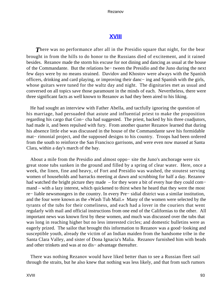# **[XVIII](#page-140-0)**

**There was no performance after all in the Presidio square that night, for the bear** brought in from the hills to do honor to the Russians died of excitement, and it rained besides. Rezanov made the storm his excuse for not dining and dancing as usual at the house of the Commandante. But the relations be− tween the Presidio and the Juno during the next few days were by no means strained. Davidov and Khostov were always with the Spanish officers, drinking and card playing, or improving their danc− ing and Spanish with the girls, whose guitars were tuned for the waltz day and night. The dignitaries met as usual and conversed on all topics save those paramount in the minds of each. Nevertheless, there were three significant facts as well known to Rezanov as had they been aired to his liking.

 He had sought an interview with Father Abella, and tactfully ignoring the question of his marriage, had persuaded that astute and influential priest to make the proposition regarding his cargo that Con− cha had suggested. The priest, backed by his three coadjutors, had made it, and been repulsed with fury. From another quarter Rezanov learned that during his absence little else was discussed in the house of the Commandante save his formidable mat– rimonial project, and the supposed designs to his country. Troops had been ordered from the south to reinforce the San Francisco garrisons, and were even now massed at Santa Clara, within a day's march of the bay.

 About a mile from the Presidio and almost oppo− site the Juno's anchorage were six great stone tubs sunken in the ground and filled by a spring of clear water. Here, once a week, the linen, fine and heavy, of Fort and Presidio was washed, the stoutest serving women of households and barracks meeting at dawn and scrubbing for half a day. Rezanov had watched the bright picture they made – for they wore a bit of every hue they could com− mand – with a lazy interest, which quickened to thirst when he heard that they were the most re− liable newsmongers in the country. In every Pre− sidial district was a similar institution, and the four were known as the «Wash Tub Mail.» Many of the women were selected by the tyrants of the tubs for their comeliness, and each had a lover in the couriers that went regularly with mail and official instructions from one end of the Californias to the other. All important news was known first by these women, and much was discussed over the tubs that was long in reaching higher but no less interested circles; and domestic bulletins were as eagerly prized. The sailor that brought this information to Rezanov was a good−looking and susceptible youth, already the victim of an Indian maiden from the handsome tribe in the Santa Clara Valley, and sister of Dona Ignacia's Malia. Rezanov furnished him with beads and other trinkets and was at no dis− advantage thereafter.

 There was nothing Rezanov would have liked better than to see a Russian fleet sail through the straits, but he also knew that nothing was less likely, and that from such rumors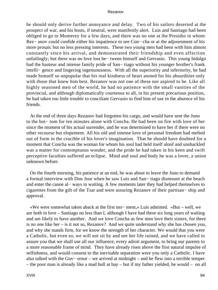he should only derive further annoyance and delay. Two of his sailors deserted at the prospect of war, and his hosts, if neutral, were manifestly alert. Luis and Santiago had been obliged to go to Monterey for a few days, and there was no one at the Presidio in whom Rez− anov could confide either his impatience to see Con− cha or at the adjournment of his more prosaic but no less pressing interests. These two young men had been with him almost constantly since his arrival, and demonstrated their friendship and even affection unfailingly; but there was no love lost be− tween himself and Gervasio. This young hidalgo had the hauteur and intense family pride of San− tiago without his younger brother's frank intelli− gence and lingering ingenuousness. With all the superiority and inferiority, he had made himself so unpopular that his real kindness of heart atoned for his absurdities only with those that knew him best. Rezanov was not one of these nor aspired to be. Like all highly seasoned men of the world, he had no patience with the small vanities of the provincial, and although diplomatically courteous to all, in his present precarious position, he had taken too little trouble to conciliate Gervasio to find him of use in the absence of his friends.

 At the end of three days Rezanov had forgotten his cargo, and would have sent the Juno to the bot− tom for ten minutes alone with Concha. He had been on fire with love of her since the moment of his actual surrender, and he was determined to have her if there were no other recourse but elopement. All his old and intense love of personal freedom had melted out of form in the crucible of his lover's imagination. That he should have doubted for a moment that Concha was the woman for whom his soul had held itself aloof and unshackled was a matter for contemptuous wonder, and the pride he had taken in his keen and swift perceptive faculties suffered an eclipse. Mind and soul and body he was a lover, a union unknown before.

 On the fourth morning, his patience at an end, he was about to leave the Juno to demand a formal interview with Don Jose when he saw Luis and San− tiago dismount at the beach and enter the canoe al− ways in waiting. A few moments later they had helped themselves to cigarettes from the gift of the Tsar and were assuring Rezanov of their partisan− ship and approval.

 «We were somewhat taken aback at the first mo− ment,» Luis admitted. «But – well, we are both in love – Santiago no less than I, although I have had these six long years of waiting and am likely to have another. And we love Concha as few men love their sisters, for there is no one like her – is it not so, Rezanov? And we quite understand why she has chosen you, and why she stands firm, for we know the strength of her character. We would that you were a Catholic, but even so, we will not sit by and see her life ruined, and we have called to assure you that we shall use all our influence, every adroit argument, to bring our parents to a more reasonable frame of mind. They have already risen above the first natural impulse of selfishness, and would consent to the inevitable separation were you only a Catholic. I have also talked with the Gov− ernor – we arrived at midnight – and he flew into a terrible temper – the poor man is already like a mad bull at bay – but if my father yielded, he would – on all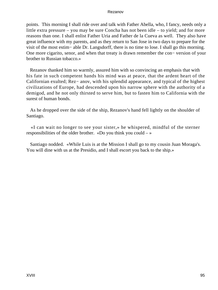points. This morning I shall ride over and talk with Father Abella, who, I fancy, needs only a little extra pressure – you may be sure Concha has not been idle – to yield; and for more reasons than one. I shall enlist Father Uria and Father de la Cueva as well. They also have great influence with my parents, and as they return to San Jose in two days to prepare for the visit of the most estim− able Dr. Langsdorff, there is no time to lose. I shall go this morning. One more cigarito, senor, and when that treaty is drawn remember the con− version of your brother to Russian tobacco.»

 Rezanov thanked him so warmly, assured him with so convincing an emphasis that with his fate in such competent hands his mind was at peace, that the ardent heart of the Californian exulted; Rez− anov, with his splendid appearance, and typical of the highest civilizations of Europe, had descended upon his narrow sphere with the authority of a demigod, and he not only thirsted to serve him, but to fasten him to California with the surest of human bonds.

 As he dropped over the side of the ship, Rezanov's hand fell lightly on the shoulder of Santiago.

 «I can wait no longer to see your sister,» he whispered, mindful of the sterner responsibilities of the older brother. «Do you think you could  $-\infty$ 

 Santiago nodded. «While Luis is at the Mission I shall go to my cousin Juan Moraga's. You will dine with us at the Presidio, and I shall escort you back to the ship.»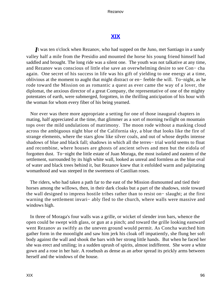# **[XIX](#page-140-0)**

*I*t was ten o'clock when Rezanov, who had supped on the Juno, met Santiago in a sandy valley half a mile from the Presidio and mounted the horse his young friend himself had saddled and brought. The long ride was a silent one. The youth was not talkative at any time, and Rezanov was conscious of little else save an overwhelming desire to see Con− cha again. One secret of his success in life was his gift of yielding to one energy at a time, oblivious at the moment to aught that might distract or en− feeble the will. To−night, as he rode toward the Mission on as romantic a quest as ever came the way of a lover, the diplomat, the anxious director of a great Company, the representative of one of the mighty potentates of earth, were submerged, forgotten, in the thrilling anticipation of his hour with the woman for whom every fiber of his being yearned.

 Nor ever was there more appropriate a setting for one of those inaugural chapters in mating, half appreciated at the time, that glimmer as a sort of morning twilight on mountain tops over the mild undulations of matrimony. The moon rode without a masking cloud across the ambiguous night blue of the California sky, a blue that looks like the fire of strange elements, where the stars glow like silver coals, and out of whose depths intense shadows of blue and black fall; shadows in which all the terres− trial world seems to float and recombine, where houses are ghosts of ancient selves and men but the eidola of forgotten dust. To−night the little estate of Juan Moraga, the most isolated and eastern of the settlement, surrounded by its high white wall, looked as unreal and formless as the blue oval of water and black trees behind it, but Rezanov knew that it enfolded warm and palpitating womanhood and was steeped in the sweetness of Castilian roses.

 The riders, who had taken a path far to the east of the Mission dismounted and tied their horses among the willows, then, in their dark cloaks but a part of the shadows, stole toward the wall designed to impress hostile tribes rather than to resist on− slaught; at the first warning the settlement invari– ably fled to the church, where walls were massive and windows high.

 In three of Moraga's four walls was a grille, or wicket of slender iron bars, whence the open could be swept with glass, or gun at a pinch; and toward the grille looking eastward went Rezanov as swiftly as the uneven ground would permit. As Concha watched him gather form in the moonlight and saw him jerk his cloak off impatiently, she flung her soft body against the wall and shook the bars with her strong little hands. But when he faced her she was erect and smiling; in a sudden uprush of spirits, almost indifferent. She wore a white gown and a rose in her hair. A rosebush as dense as an arbor spread its prickly arms between herself and the windows of the house.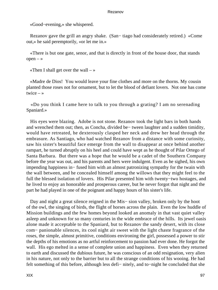«Good−evening,» she whispered.

 Rezanov gave the grill an angry shake. (San− tiago had considerately retired.) «Come out,» he said peremptorily, «or let me in.»

 «There is but one gate, senor, and that is directly in front of the house door, that stands  $open - *»*$ 

«Then I shall get over the wall  $-\infty$ 

 «Madre de Dios! You would leave your fine clothes and more on the thorns. My cousin planted those roses not for ornament, but to let the blood of defiant lovers. Not one has come twice  $-$  »

 «Do you think I came here to talk to you through a grating? I am no serenading Spaniard.»

 His eyes were blazing. Adobe is not stone. Rezanov took the light bars in both hands and wrenched them out; then, as Concha, divided be− tween laughter and a sudden timidity, would have retreated, he dexterously clasped her neck and drew her head through the embrasure. As Santiago, who had watched Rezanov from a distance with some curiosity, saw his sister's beautiful face emerge from the wall to disappear at once behind another rampart, he turned abruptly on his heel and could have wept as he thought of Pilar Ortego of Santa Barbara. But there was a hope that he would be a cadet of the Southern Company before the year was out, and his parents and hers were indulgent. Even as he sighed, his own impending happiness in− fused him with an almost patronizing sympathy for the twain with the wall between, and he concealed himself among the willows that they might feel to the full the blessed isolation of lovers. His Pilar presented him with twenty−two hostages, and he lived to enjoy an honorable and prosperous career, but he never forgot that night and the part he had played in one of the poignant and happy hours of his sister's life.

 Day and night a great silence reigned in the Mis− sion valley, broken only by the hoot of the owl, the singing of birds, the flight of horses across the plain. Even the low huddle of Mission buildings and the few homes beyond looked an anomaly in that vast quiet valley asleep and unknown for so many centuries in the wide embrace of the hills. Its jewel oasis alone made it acceptable to the Spaniard, but to Rezanov the sandy desert, with its close com− panionable silences, its cool night air sweet with the light chaste fragrance of the roses, the simple, almost primitive, conditions environing the girl, possessed a power to stir the depths of his emotions as no artful reinforcement to passion had ever done. He forgot the wall. His ego melted in a sense of complete union and happiness. Even when they returned to earth and discussed the dubious future, he was conscious of an odd resignation, very alien in his nature, not only to the barrier but to all the strange conditions of his wooing. He had felt something of this before, although less defi− nitely, and to−night he concluded that she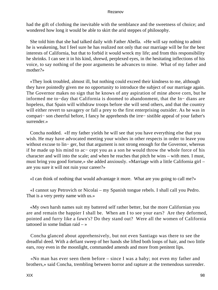had the gift of clothing the inevitable with the semblance and the sweetness of choice; and wondered how long it would be able to skirt the arid steppes of philosophy.

 She told him that she had talked daily with Father Abella. «He will say nothing to admit he is weakening, but I feel sure he has realized not only that our marriage will be for the best interests of California, but that to forbid it would wreck my life; and from this responsibility he shrinks. I can see it in his kind, shrewd, perplexed eyes, in the hesitating inflections of his voice, to say nothing of the poor arguments he advances to mine. What of my father and mother?»

 «They look troubled, almost ill, but nothing could exceed their kindness to me, although they have pointedly given me no opportunity to introduce the subject of our marriage again. The Governor makes no sign that he knows of any aspiration of mine above corn, but he informed me to−day that California is doomed to abandonment, that the In− dians are hopeless, that Spain will withdraw troops before she will send others, and that the country will either revert to savagery or fall a prey to the first enterprising outsider. As he was in compari− son cheerful before, I fancy he apprehends the irre− sistible appeal of your father's surrender.»

 Concha nodded. «If my father yields he will see that you have everything else that you wish. He may have advocated meeting your wishes in other respects in order to leave you without excuse to lin− ger, but that argument is not strong enough for the Governor, whereas if he made up his mind to ac− cept you as a son he would throw the whole force of his character and will into the scale; and when he reaches that pitch he wins – with men. I must, must bring you good fortune,» she added anxiously. «Marriage with a little California girl – are you sure it will not ruin your career?»

«I can think of nothing that would advantage it more. What are you going to call me?»

 «I cannot say Petrovich or Nicolai – my Spanish tongue rebels. I shall call you Pedro. That is a very pretty name with us.»

 «My own harsh names suit my battered self rather better, but the more Californian you are and remain the happier I shall be. When am I to see your ears? Are they deformed, pointed and furry like a fawn's? Do they stand out? Were all the women of California tattooed in some Indian raid – »

 Concha glanced about apprehensively, but not even Santiago was there to see the dreadful deed. With a defiant sweep of her hands she lifted both loops of hair, and two little ears, rosy even in the moonlight, commanded amends and more from penitent lips.

 «No man has ever seen them before – since I was a baby; not even my father and brothers,» said Concha, trembling between horror and rapture at the tremendous surrender.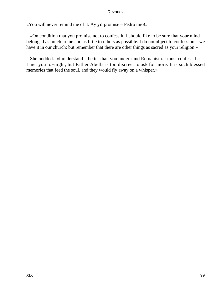«You will never remind me of it. Ay yi! promise – Pedro mio!»

 «On condition that you promise not to confess it. I should like to be sure that your mind belonged as much to me and as little to others as possible. I do not object to confession – we have it in our church; but remember that there are other things as sacred as your religion.»

 She nodded. «I understand – better than you understand Romanism. I must confess that I met you to−night, but Father Abella is too discreet to ask for more. It is such blessed memories that feed the soul, and they would fly away on a whisper.»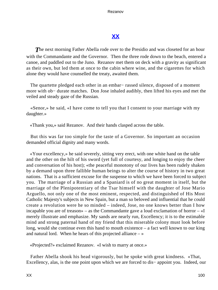# **[XX](#page-141-0)**

**The next morning Father Abella rode over to the Presidio and was closeted for an hour** with the Commandante and the Governor. Then the three rode down to the beach, entered a canoe, and paddled out to the Juno. Rezanov met them on deck with a gravity as significant as their own, but led them at once to the cabin where wine, and the cigarettes for which alone they would have counselled the treaty, awaited them.

 The quartette pledged each other in an embar− rassed silence, disposed of a moment more with ob− durate matches. Don Jose inhaled audibly, then lifted his eyes and met the veiled and steady gaze of the Russian.

 «Senor,» he said, «I have come to tell you that I consent to your marriage with my daughter.»

«Thank you,» said Rezanov. And their hands clasped across the table.

 But this was far too simple for the taste of a Governor. So important an occasion demanded official dignity and many words.

 «Your excellency,» he said severely, sitting very erect, with one white hand on the table and the other on the hilt of his sword (yet full of courtesy, and longing to enjoy the cheer and conversation of his host); «the peaceful monotony of our lives has been rudely shaken by a demand upon three fallible human beings to alter the course of history in two great nations. That is a sufficient excuse for the suspense to which we have been forced to subject you. The marriage of a Russian and a Spaniard is of no great moment in itself, but the marriage of the Plenipotentiary of the Tsar himself with the daughter of Jose Mario Arguello, not only one of the most eminent, respected, and distinguished of His Most Catholic Majesty's subjects in New Spain, but a man so beloved and influential that he could create a revolution were he so minded – indeed, Jose, no one knows better than I how incapable you are of treason» – as the Commandante gave a loud exclamation of horror – «I merely illustrate and emphasize. My sands are nearly run, Excellency; it is to the estimable mind and strong paternal hand of my friend that this miserable colony must look before long, would she continue even this hand to mouth existence – a fact well known to our king and natural lord. When he hears of this projected alliance  $-\infty$ 

«Projected?» exclaimed Rezanov. «I wish to marry at once.»

 Father Abella shook his head vigorously, but he spoke with great kindness. «That, Excellency, alas, is the one point upon which we are forced to dis− appoint you. Indeed, our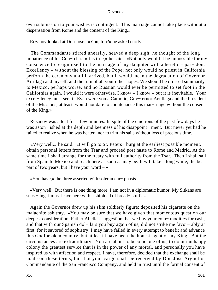own submission to your wishes is contingent. This marriage cannot take place without a dispensation from Rome and the consent of the King.»

Rezanov looked at Don Jose. «You, too?» he asked curtly.

 The Commandante stirred uneasily, heaved a deep sigh; he thought of the long impatience of his Con− cha. «It is true,» he said. «Not only would it be impossible for my conscience to resign itself to the marriage of my daughter with a heretic – par− don, Excellency – without the blessing of the Pope; not only would no priest in California perform the ceremony until it arrived, but it would mean the degradation of Governor Arrillaga and myself, and the ruin of all your other hopes. We should be ordered summarily to Mexico, perhaps worse, and no Russian would ever be permitted to set foot in the Californias again. I would it were otherwise. I know – I know – but it is inevitable. Your excel− lency must see it. Even were you a Catholic, Gov− ernor Arrillaga and the President of the Missions, at least, would not dare to countenance this mar− riage without the consent of the King.»

 Rezanov was silent for a few minutes. In spite of the emotions of the past few days he was aston− ished at the depth and keenness of his disappoint− ment. But never yet had he failed to realize when he was beaten, nor to trim his sails without loss of precious time.

 «Very well,» he said. «I will go to St. Peters− burg at the earliest possible moment, obtain personal letters from the Tsar and proceed post haste to Rome and Madrid. At the same time I shall arrange for the treaty with full authority from the Tsar. Then I shall sail from Spain to Mexico and reach here as soon as may be. It will take a long while, the best part of two years; but I have your word  $-\infty$ 

«You have,» the three asserted with solemn em− phasis.

 «Very well. But there is one thing more. I am not in a diplomatic humor. My Sitkans are starv− ing. I must leave here with a shipload of bread− stuffs.»

 Again the Governor drew up his slim soldierly figure; deposited his cigarette on the malachite ash tray. «You may be sure that we have given that momentous question our deepest consideration. Father Abella's suggestion that we buy your com− modities for cash, and that with our Spanish dol− lars you buy again of us, did not strike me favor− ably at first, for it savored of sophistry. I may have failed in every attempt to benefit and advance this Godforsaken country, but at least I have been the honest agent of my King. But the circumstances are extraordinary. You are about to become one of us, to do our unhappy colony the greatest service that is in the power of any mortal, and personally you have inspired us with affection and respect. I have, therefore, decided that the exchange shall be made on these terms, but that your cargo shall be received by Don Jose Arguello, Commandante of the San Francisco Company, and held in trust until the formal consent of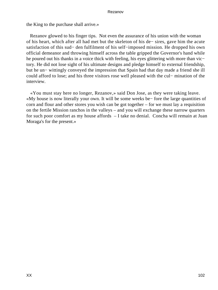the King to the purchase shall arrive.»

 Rezanov glowed to his finger tips. Not even the assurance of his union with the woman of his heart, which after all had met but the skeleton of his de− sires, gave him the acute satisfaction of this sud− den fulfilment of his self−imposed mission. He dropped his own official demeanor and throwing himself across the table gripped the Governor's hand while he poured out his thanks in a voice thick with feeling, his eyes glittering with more than vic− tory. He did not lose sight of his ultimate designs and pledge himself to external friendship, but he un− wittingly conveyed the impression that Spain had that day made a friend she ill could afford to lose; and his three visitors rose well pleased with the cul− mination of the interview.

 «You must stay here no longer, Rezanov,» said Don Jose, as they were taking leave. «My house is now literally your own. It will be some weeks be− fore the large quantities of corn and flour and other stores you wish can be got together – for we must lay a requisition on the fertile Mission ranchos in the valleys – and you will exchange these narrow quarters for such poor comfort as my house affords – I take no denial. Concha will remain at Juan Moraga's for the present.»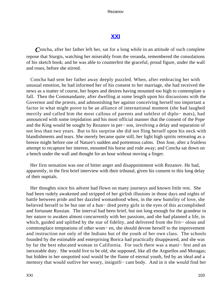# **[XXI](#page-141-0)**

*C*oncha, after her father left her, sat for a long while in an attitude of such complete repose that Sturgis, watching her miserably from the veranda, remembered the consolations of his sketch book; and he was able to counterfeit the graceful, proud figure, under the wall and roses, before she stirred.

 Concha had sent her father away deeply puzzled. When, after embracing her with unusual emotion, he had informed her of his consent to her marriage, she had received the news as a matter of course, her hopes and desires having mounted too high to contemplate a fall. Then the Commandante, after dwelling at some length upon his discussions with the Governor and the priests, and admonishing her against conceiving herself too important a factor in what might prove to be an alliance of international moment (she had laughed merrily and called him the most callous of parents and subtlest of diplo− mats), had announced with some trepidation and his most official manner that the consent of the Pope and the King would be sought by Rezanov in per− son, involving a delay and separation of not less than two years. But to his surprise she did not fling herself upon his neck with blandishments and tears. She merely became quite still, her light high spirits retreating as a breeze might before one of Nature's sudden and portentous calms. Don Jose, after a fruitless attempt to recapture her interest, mounted his horse and rode away; and Concha sat down on a bench under the wall and thought for an hour without moving a finger.

 Her first sensation was one of bitter anger and disappointment with Rezanov. He had, apparently, in the first brief interview with their tribunal, given his consent to this long delay of their nuptials.

 Her thoughts since his advent had flown on many journeys and known little rest. She had been rudely awakened and stripped of her girlish illusions in those days and nights of battle between pride and her dazzled womanhood when, in the new humility of love, she believed herself to be but one of a hun− dred pretty girls in the eyes of this accomplished and fortunate Russian. The interval had been brief, but not long enough for the grandeur in her nature to awaken almost concurrently with her passions, and she had planned a life, in which, guided and uplifted by the star of fidelity, and delivered from the friv− olous and commonplace temptations of other wom− en, she should devote herself to the improvement and instruction not only of the Indians but of the youth of her own class. The schools founded by the estimable and enterprising Borica had practically disappeared, and she was by far the best educated woman in California. For such there was a mani− fest and an inexorable duty. She would live to be old, she supposed, like all the Arguellos and Moragas; but hidden in her unspotted soul would be the flame of eternal youth, fed by an ideal and a memory that would outlive her weary, insignifi– cant body. And in it she would find her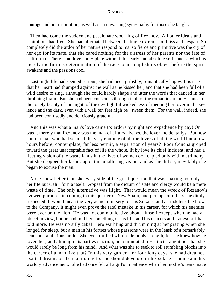courage and her inspiration, as well as an unwasting sym− pathy for those she taught.

Then had come the sudden and passionate woo– ing of Rezanov. All other ideals and aspirations had fled. She had alternated between the tragic extremes of bliss and despair. So completely did the ardor of her nature respond to his, so fierce and primitive was the cry of her ego for its mate, that she cared nothing for the distress of her parents nor the fate of California. There is no love com− plete without this early and absolute selfishness, which is merely the furious determination of the race to accomplish its object before the spirit awakens and the passions cool.

 Last night life had seemed serious; she had been girlishly, romantically happy. It is true that her heart had thumped against the wall as he kissed her, and that she had been full of a wild desire to sing, although she could hardly shape and utter the words that danced in her throbbing brain. But she had been conscious through it all of the romantic circum− stance, of the lonely beauty of the night, of the de− lightful wickedness of meeting her lover in the si− lence and the dark, even with a wall ten feet high be− tween them. For the wall, indeed, she had been confusedly and deliciously grateful.

 And this was what a man's love came to: ardors by night and expedience by day! Or was it merely that Rezanov was the man of affairs always, the lover incidentally? But how could a man who had seemed the very epitome of all the lovers of all the world but a few hours before, contemplate, far less permit, a separation of years? Poor Concha groped toward the great unacceptable fact of life the whole, lit by love its chief incident; and had a fleeting vision of the waste lands in the lives of women oc− cupied only with matrimony. But she dropped her lashes upon this unalluring vision, and as she did so, inevitably she began to excuse the man.

 None knew better than she every side of the great question that was shaking not only her life but Cali− fornia itself. Appeal from the dictum of state and clergy would be a mere waste of time. The only alternative was flight. That would mean the wreck of Rezanov's avowed purposes in coming to this quarter of New Spain, and perhaps of others she dimly suspected. It would mean the very acme of misery for his Sitkans, and an indefensible blow to the Company. It might even prove the fatal mistake in his career, for which his enemies were ever on the alert. He was not communicative about himself except when he had an object in view, but he had told her something of his life, and his officers and Langsdorff had told more. He was no silly cabal− lero warbling and thrumming at her grating when she longed for sleep, but a man in his forties whose passions were in the leash of a remarkably acute and ambitious brain. She even thrilled with pride in his strength, for she knew how he loved her; and although his part was action, her stimulated in− stincts taught her that she would rarely be long from his mind. And what was she to seek to roll stumbling blocks into the career of a man like that? In this very garden, for four long days, she had dreamed exalted dreams of the manifold gifts she should develop for his solace at home and his worldly advancement. She had once felt all a girl's impatience when her mother's tears made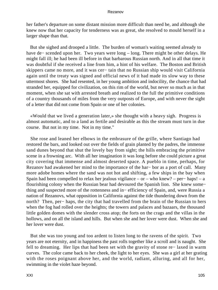her father's departure on some distant mission more difficult than need be, and although she knew now that her capacity for tenderness was as great, she resolved to mould herself in a larger shape than that.

 But she sighed and drooped a little. The burden of woman's waiting seemed already to have de− scended upon her. Two years were long – long. There might be other delays. He might fall ill; he had been ill before in that barbarous Russian north. And in all that time it was doubtful if she received a line from him, a hint of his welfare. The Boston and British skippers came no more, and it was cer− tain that no Russian ship would visit California again until the treaty was signed and official news of it had made its slow way to these uttermost shores. She had resented, in her young ambition and indocility, the chance that had stranded her, equipped for civilization, on this rim of the world, but never so much as in that moment, when she sat with arrested breath and realized to the full the primitive conditions of a country thousands of miles from the very outposts of Europe, and with never the sight of a letter that did not come from Spain or one of her colonies.

 «Would that we lived a generation later,» she thought with a heavy sigh. Progress is almost automatic, and to a land as fertile and desirable as this the stream must turn in due course. But not in my time. Not in my time."

 She rose and leaned her elbows in the embrasure of the grille, where Santiago had restored the bars, and looked out over the fields of grain planted by the padres, the immense sand dunes beyond that shut the lovely bay from sight; the hills embracing the primitive scene in a frowning arc. With all her imagination it was long before she could picture a great city covering that immense and almost deserted space. A pueblo in time, perhaps, for Rezanov had awakened her mind to the importance of the har− bor as a port of call. Many more adobe homes where the sand was not hot and shifting, a few ships in the bay when Spain had been compelled to relax her jealous vigilance – or – who knew? – per− haps! – a flourishing colony when the Russian bear had devoured the Spanish lion. She knew some− thing and suspected more of the rottenness and in− efficiency of Spain, and, were Russia a nation of Rezanovs, what opposition in California against the tide thundering down from the north? Then, per− haps, the city that had travelled from the brain of the Russian to hers when the fog had rolled over the heights; the towers and palaces and bazaars, the thousand little golden domes with the slender cross atop; the forts on the crags and the villas in the hollows, and on all the island and hills. But when she and her lover were dust. When she and her lover were dust.

 But she was too young and too ardent to listen long to the ravens of the spirit. Two years are not eternity, and in happiness the past rolls together like a scroll and is naught. She fell to dreaming. Her lips that had been set with the gravity of stone re− laxed in warm curves. The color came back to her cheek, the light to her eyes. She was a girl at her grating with the roses poignant above her, and the world, radiant, alluring, and all for her, swimming in the violet haze beyond.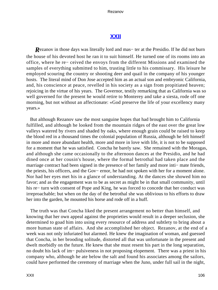# **[XXII](#page-141-0)**

*R*ezanov in those days was literally lord and mas− ter at the Presidio. If he did not burn the house of his devoted host he ran it to suit himself. He turned one of its rooms into an office, where he re− ceived the envoys from the different Missions and examined the samples of everything submitted to him, trusting little to his commissary. His leisure he employed scouring the country or shooting deer and quail in the company of his younger hosts. The literal mind of Don Jose accepted him as an actual son and embryonic California, and, his conscience at peace, revelled in his society as a sign from propitiated heaven; rejoicing in the virtue of his years. The Governor, testily remarking that as California was so well governed for the present he would retire to Monterey and take a siesta, rode off one morning, but not without an affectionate: «God preserve the life of your excellency many years.»

 But although Rezanov saw the most sanguine hopes that had brought him to California fulfilled, and although he looked from the mountain ridges of the east over the great low valleys watered by rivers and shaded by oaks, where enough grain could be raised to keep the blood red in a thousand times the colonial population of Russia, although he felt himself in more and more abundant health, more and more in love with life, it is not to be supposed for a moment that he was satisfied. Concha he barely saw. She remained with the Moragas, and although she came occasionally to the afternoon dances at the Presidio, and he had dined once at her cousin's house, where the formal betrothal had taken place and the marriage contract had been signed in the presence of her family and more inti− mate friends, the priests, his officers, and the Gov− ernor, he had not spoken with her for a moment alone. Nor had her eyes met his in a glance of understanding. At the dances she showed him no favor; and as the engagement was to be as secret as might be in that small community, until his re− turn with consent of Pope and King, he was forced to concede that her conduct was irreproachable; but when on the day of the betrothal she was oblivious to his efforts to draw her into the garden, he mounted his horse and rode off in a huff.

 The truth was that Concha liked the present arrangement no better than himself, and knowing that her own appeal against the proprieties would result in a deeper seclusion, she determined to goad him into using every resource of address and subtlety to bring about a more human state of affairs. And she accomplished her object. Rezanov, at the end of a week was not only infuriated but alarmed. He knew the imagination of woman, and guessed that Concha, in her brooding solitude, distorted all that was unfortunate in the present and dwelt morbidly on the future. He knew that she must resent his part in the long separation, no doubt his lack of im− pulsiveness in not proposing elopement. There was a priest in his company who, although he ate below the salt and found his associates among the sailors, could have performed the ceremony of marriage when the Juno, under full sail in the night,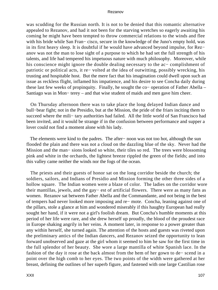was scudding for the Russian north. It is not to be denied that this romantic alternative appealed to Rezanov, and had it not been for the starving wretches so eagerly awaiting his coming he might have been tempted to throw commercial relations to the winds and flee with his bride while San Fran− cisco, secure in the knowledge of the Juno's empty hold, was in its first heavy sleep. It is doubtful if he would have advanced beyond impulse, for Rez− anov was not the man to lose sight of a purpose to which he had set the full strength of his talents, and life had tempered his impetuous nature with much philosophy. Moreover, while his conscience might ignore the double dealing necessary to the ac− complishment of patriotic or political acts, it re− volted at the idea of outwitting, possibly wrecking, his trusting and hospitable host. But the mere fact that his imagination could dwell upon such an issue as reckless flight, inflamed his impatience, and his desire to see Concha daily during these last few weeks of propinquity. Finally, he sought the co− operation of Father Abella – Santiago was in Mon− terey – and that wise student of maids and men gave him cheer.

 On Thursday afternoon there was to take place the long delayed Indian dance and bull−bear fight; not in the Presidio, but at the Mission, the pride of the friars inciting them to succeed where the mili− tary authorities had failed. All the little world of San Francisco had been invited, and it would be strange if in the confusion between performance and supper a lover could not find a moment alone with his lady.

 The elements were kind to the padres. The after− noon was not too hot, although the sun flooded the plain and there was not a cloud on the dazzling blue of the sky. Never had the Mission and the man− sions looked so white, their tiles so red. The trees were blossoming pink and white in the orchards, the lightest breeze rippled the green of the fields; and into this valley came neither the winds nor the fogs of the ocean.

 The priests and their guests of honor sat on the long corridor beside the church; the soldiers, sailors, and Indians of Presidio and Mission forming the other three sides of a hollow square. The Indian women were a blaze of color. The ladies on the corridor wore their mantillas, jewels, and the gay− est of artificial flowers. There were as many fans as women. Rezanov sat between Father Abella and the Commandante, and not being in the best of tempers had never looked more imposing and re− mote. Concha, leaning against one of the pillars, stole a glance at him and wondered miserably if this haughty European had really sought her hand, if it were not a girl's foolish dream. But Concha's humble moments at this period of her life were rare, and she drew herself up proudly, the blood of the proudest race in Europe shaking angrily in her veins. A moment later, in response to a power greater than any within herself, she turned again. The attention of the hosts and guests was riveted upon the preliminary antics of the Indian dancers, and Rezanov seized the opportunity to lean forward unobserved and gaze at the girl whom it seemed to him he saw for the first time in the full splendor of her beauty. She wore a large mantilla of white Spanish lace. In the fashion of the day it rose at the back almost from the hem of her gown to de− scend in a point over the high comb to her eyes. The two points of the width were gathered at her breast, defining the outlines of her superb figure, and fastened with one large Castilian rose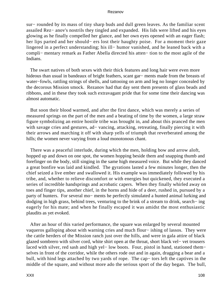sur− rounded by its mass of tiny sharp buds and dull green leaves. As the familiar scent assailed Rez− anov's nostrils they tingled and expanded. His lids were lifted and his eyes glowing as he finally compelled her glance, and her own eyes opened with an eager flash; her lips parted and her should− ers lost their haughty poise. For a moment their gaze lingered in a perfect understanding; his ill− humor vanished, and he leaned back with a compli− mentary remark as Father Abella directed his atten− tion to the most agile of the Indians.

 The swart natives of both sexes with their thick features and long hair were even more hideous than usual in bandeaux of bright feathers, scant gar− ments made from the breasts of water−fowls, rattling strings of shells, and tattooing on arm and leg no longer concealed by the decorous Mission smock. Rezanov had that day sent them presents of glass beads and ribbons, and in these they took such extravagant pride that for some time their dancing was almost automatic.

 But soon their blood warmed, and after the first dance, which was merely a series of measured springs on the part of the men and a beating of time by the women, a large straw figure symbolizing an entire hostile tribe was brought in, and about this pranced the men with savage cries and gestures, ad− vancing, attacking, retreating, finally piercing it with their arrows and marching it off with sharp yells of triumph that reverberated among the hills; the women never varying from a loud monotonous chant.

 There was a peaceful interlude, during which the men, holding bow and arrow aloft, hopped up and down on one spot, the women hopping beside them and snapping thumb and forefinger on the body, still singing in the same high measured voice. But while they danced a great bonfire was laid and kindled. The gyrations lasted a few minutes longer, then the chief seized a live ember and swallowed it. His example was immediately followed by his tribe, and, whether to relieve discomfort or with energies but quickened, they executed a series of incredible handsprings and acrobatic capers. When they finally whirled away on toes and finger tips, another chief, in the horns and hide of a deer, rushed in, pursued by a party of hunters. For several mo− ments he perfectly simulated a hunted animal lurking and dodging in high grass, behind trees, venturing to the brink of a stream to drink, search− ing eagerly for his mate; and when he finally escaped it was amidst the most enthusiastic plaudits as yet evoked.

 After an hour of this varied performance, the square was enlarged by several mounted vaqueros galloping about with warning cries and much flour− ishing of lassos. They were the cattle herders of the Mission ranch just over the hills, and were in gala attire of black glazed sombrero with silver cord, white shirt open at the throat, short black vel− vet trousers laced with silver, red sash and high yel− low boots. Four, pistol in hand, stationed them− selves in front of the corridor, while the others rode out and in again, dragging a bear and a bull, with hind legs attached by two yards of rope. The cap− tors left the captives in the middle of the square, and without more ado the serious sport of the day began. The bull,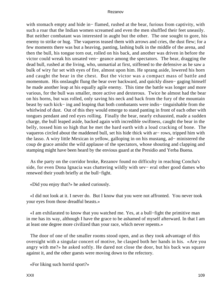with stomach empty and hide in− flamed, rushed at the bear, furious from captivity, with such a roar that the Indian women screamed and even the men shuffled their feet uneasily. But neither combatant was interested in aught but the other. The one sought to gore, his enemy to strike or hug. The vaqueros teased them with arrows and cries, the dust flew; for a few moments there was but a heaving, panting, lashing bulk in the middle of the arena, and then the bull, his tongue torn out, rolled on his back, and another was driven in before the victor could wreak his unsated ven− geance among the spectators. The bear, dragging the dead bull, rushed at the living, who, unmartial at first, stiffened to the defensive as he saw a bulk of wiry fur set with eyes of fire, almost upon him. He sprang aside, lowered his horn and caught the bear in the chest. But the victor was a compact mass of battle and momentum. His onslaught flung the bear over backward, and quickly disen− gaging himself he made another leap at his equally agile enemy. This time the battle was longer and more various, for the bull was smaller, more active and dexterous. Twice he almost had the bear on his horns, but was rolled, only saving his neck and back from the fury of the mountain beast by such kick− ing and leaping that both combatants were indis− tinguishable from the whirlwind of dust. Out of this they would emerge to stand panting in front of each other with tongues pendant and red eyes rolling. Finally the bear, nearly exhausted, made a sudden charge, the bull leaped aside, backed again with incredible swiftness, caught the bear in the belly, tossed him so high that he met the hard earth with a loud cracking of bone. The vaqueros circled about the maddened bull, set his hide thick with ar− rows, tripped him with the lasso. A wiry little Mexican in yellow, galloping in on his mustang, ad− ministered the coup de grace amidst the wild applause of the spectators, whose shouting and clapping and stamping might have been heard by the envious guard at the Presidio and Yerba Buena.

 As the party on the corridor broke, Rezanov found no difficulty in reaching Concha's side, for even Dona Ignacia was chattering wildly with sev− eral other good dames who renewed their youth briefly at the bull−fight.

«Did you enjoy that?» he asked curiously.

 «I did not look at it. I never do. But I know that you were not affronted. You never took your eyes from those dreadful beasts.»

 «I am exhilarated to know that you watched me. Yes, at a bull−fight the primitive man in me has its way, although I have the grace to be ashamed of myself afterward. In that I am at least one degree more civilized than your race, which never repents.»

 The door of one of the smaller rooms stood open, and as they took advantage of this oversight with a singular concert of motive, he clasped both her hands in his. «Are you angry with me?» he asked softly. He dared not close the door, but his back was square against it, and the other guests were moving down to the refectory.

«For liking such horrid sport?»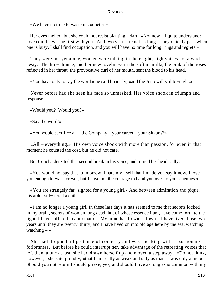«We have no time to waste in coquetry.»

Her eyes melted, but she could not resist planting a dart. «Not now – I quite understand: love could never be first with you. And two years are not so long. They quickly pass when one is busy. I shall find occupation, and you will have no time for long− ings and regrets.»

 They were not yet alone, women were talking in their light, high voices not a yard away. The hin− drance, and her new loveliness in the soft mantilla, the pink of the roses reflected in her throat, the provocative curl of her mouth, sent the blood to his head.

«You have only to say the word,» he said hoarsely, «and the Juno will sail to−night.»

 Never before had she seen his face so unmasked. Her voice shook in triumph and response.

«Would you? Would you?»

«Say the word!»

«You would sacrifice all – the Company – your career – your Sitkans?»

 «All – everything.» His own voice shook with more than passion, for even in that moment he counted the cost, but he did not care.

But Concha detected that second break in his voice, and turned her head sadly.

 «You would not say that to−morrow. I hate my− self that I made you say it now. I love you enough to wait forever, but I have not the courage to hand you over to your enemies.»

 «You are strangely far−sighted for a young girl.» And between admiration and pique, his ardor suf− fered a chill.

 «I am no longer a young girl. In these last days it has seemed to me that secrets locked in my brain, secrets of women long dead, but of whose essence I am, have come forth to the light. I have suffered in anticipation. My mind has flown – flown – I have lived those two years until they are twenty, thirty, and I have lived on into old age here by the sea, watching, watching  $-\infty$ 

 She had dropped all pretence of coquetry and was speaking with a passionate forlornness. But before he could interrupt her, take advantage of the retreating voices that left them alone at last, she had drawn herself up and moved a step away. «Do not think, however,» she said proudly, «that I am really as weak and silly as that. It was only a mood. Should you not return I should grieve, yes; and should I live as long as is common with my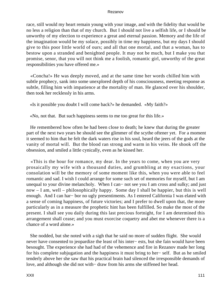race, still would my heart remain young with your image, and with the fidelity that would be no less a religion than that of my church. But I should not live a selfish life, or I should be unworthy of my election to experience a great and eternal passion. Memory and the life of the imagination would be my solace, possibly in time my happiness, but my days I should give to this poor little world of ours; and all that one mortal, and that a woman, has to bestow upon a stranded and benighted people. It may not be much, but I make you that promise, senor, that you will not think me a foolish, romantic girl, unworthy of the great responsibilities you have offered me.»

 «Concha!» He was deeply moved, and at the same time her words chilled him with subtle prophecy, sank into some unexplored depth of his consciousness, meeting response as subtle, filling him with impatience at the mortality of man. He glanced over his shoulder, then took her recklessly in his arms.

«Is it possible you doubt I will come back?» he demanded. «My faith?»

«No, not that. But such happiness seems to me too great for this life.»

 He remembered how often he had been close to death; he knew that during the greater part of the next two years he should see the glimmer of the scythe oftener yet. For a moment it seemed to him that he felt the dark waters rise in his soul, heard the jeers of the gods at the vanity of mortal will. But the blood ran strong and warm in his veins. He shook off the obsession, and smiled a little cynically, even as he kissed her.

 «This is the hour for romance, my dear. In the years to come, when you are very prosaically my wife with a thousand duties, and grumbling at my exactions, your consolation will be the memory of some moment like this, when you were able to feel romantic and sad. I wish I could arrange for some such set of memories for myself, but I am unequal to your divine melancholy. When I can− not see you I am cross and sulky; and just now – I am, well – philosophically happy. Some day I shall be happier, but this is well enough. And I can har− bor no ugly presentiments. As I entered California I was elated with a sense of coming happiness, of future victories; and I prefer to dwell upon that, the more particularly as in a measure the prophetic hint has been fulfilled. So make the most of the present. I shall see you daily during this last precious fortnight, for I am determined this arrangement shall cease; and you must exorcise coquetry and abet me whenever there is a chance of a word alone.»

 She nodded, but she noted with a sigh that he said no more of sudden flight. She would never have consented to jeopardize the least of his inter− ests, but she fain would have been besought. The experience she had had of the vehemence and fire in Rezanov made her long for his complete subjugation and the happiness it must bring to her− self. But as he smiled tenderly above her she saw that his practical brain had silenced the irresponsible demands of love, and although she did not with− draw from his arms she stiffened her head.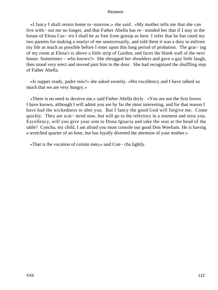«I fancy I shall return home to−morrow,» she said. «My mother tells me that she can live with− out me no longer, and that Father Abella has re− minded her that if I stay in the house of Elena Cas− tro I shall be as free from gossip as here. I infer that he has rated my two parents for making a martyr of me unnecessarily, and told them it was a duty to enliven my life as much as possible before I enter upon this long period of probation. The grat− ing of my room at Elena's is above a little strip of Garden, and faces the blank wall of the next house. Sometimes – who knows?» She shrugged her shoulders and gave a gay little laugh, then stood very erect and moved past him to the door. She had recognized the shuffling step of Father Abella.

 «Is supper ready, padre mio?» she asked sweetly. «His excellency and I have talked so much that we are very hungry.»

 «There is no need to deceive me,» said Father Abella dryly. «You are not the first lovers I have known, although I will admit you are by far the most interesting, and for that reason I have had the wickedness to abet you. But I fancy the good God will forgive me. Come quickly. They are scat– tered now, but will go to the refectory in a moment and miss you. Excellency, will you give your arm to Dona Ignacia and take the seat at the head of the table? Concha, my child, I am afraid you must console our good Don Weeliam. He is having a wretched quarter of an hour, but has loyally diverted the attention of your mother.»

«That is the vocation of certain men,» said Con− cha lightly.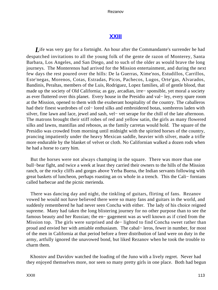## **[XXIII](#page-141-0)**

<span id="page-113-0"></span>*L*ife was very gay for a fortnight. An hour after the Commandante's surrender he had despatched invitations to all the young folk of the gente de razon of Monterey, Santa Barbara, Los Angeles, and San Diego, and to such of the older as would brave the long journeys. The Monterenos had arrived for the Mission entertainment, and during the next few days the rest poured over the hills: De la Guerras, Xime'nos, Estudillos, Carrillos, Este'negas, Morenos, Cotas, Estradas, Picos, Pachecos, Lugos, Orte'gas, Alvarados, Bandinis, Peraltas, members of the Luis, Rodriguez, Lopez families, all of gentle blood, that made up the society of Old California; as gay, arcadian, irre− sponsible, yet moral a society as ever fluttered over this planet. Every house in the Presidio and val− ley, every spare room at the Mission, opened to them with the exuberant hospitality of the country. The caballeros had their finest wardrobes of col− lored silks and embroidered botas, sombreros laden with silver, fine lawn and lace, jewel and sash, vel− vet serape for the chill of the late afternoon. The matrons brought their stiff robes of red and yellow satin, the girls as many flowered silks and lawns, mantillas and rebosos, as the family carretas would hold. The square of the Presidio was crowded from morning until midnight with the spirited horses of the country, prancing impatiently under the heavy Mexican saddle, heavier with silver, made a trifle more endurable by the blanket of velvet or cloth. No Californian walked a dozen rods when he had a horse to carry him.

 But the horses were not always champing in the square. There was more than one bull−bear fight, and twice a week at least they carried their owners to the hills of the Mission ranch, or the rocky cliffs and gorges above Yerba Buena, the Indian servants following with great baskets of luncheon, perhaps roasting an ox whole in a trench. This the Cali− fornians called barbecue and the picnic merienda.

 There was dancing day and night, the tinkling of guitars, flirting of fans. Rezanov vowed he would not have believed there were so many fans and guitars in the world, and suddenly remembered he had never seen Concha with either. The lady of his choice reigned supreme. Many had taken the long blistering journey for no other purpose than to see the famous beauty and her Russian; the en− gagement was as well known as if cried from the Mission top. The girls were surprised and de− lighted to find Concha sweet rather than proud and envied her with amiable enthusiasm. The cabal− leros, fewer in number, for most of the men in California at that period before a freer distribution of land were on duty in the army, artfully ignored the unavowed bond, but liked Rezanov when he took the trouble to charm them.

 Khostov and Davidov watched the loading of the Juno with a lively regret. Never had they enjoyed themselves more, nor seen so many pretty girls in one place. Both had begun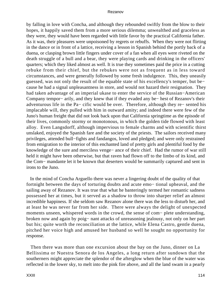by falling in love with Concha, and although they rebounded swiftly from the blow to their hopes, it happily saved them from a more serious dilemma; unwealthed and graceless as they were, they would have been regarded with little favor by the practical California father. As it was, their pleasures were unpoisoned by regrets or rebuffs. When they were not flirting in the dance or in front of a lattice, receiving a lesson in Spanish behind the portly back of a duena, or clasping brown little fingers under cover of a fan when all eyes were riveted on the death struggle of a bull and a bear, they were playing cards and drinking in the officers' quarters; which they liked almost as well. It is true they sometimes paid the price in a cutting rebuke from their chief, but the rebukes were not as frequent as in less toward circumstances, and were generally followed by some fresh indulgence. This, they uneasily guessed, was not only the result of the equable state of his excellency's temper, but be− cause he had a signal unpleasantness in store, and would not hazard their resignation. They had taken advantage of an imperial ukase to enter the service of the Russian−American Company tempor− arily, and they knew that if they evaded any be− hest of Rezanov's their adventurous life in the Pa− cific would be over. Therefore, although they re− sented his implacable will, they pulled with him in outward amity; and indeed there were few of the Juno's human freight that did not look back upon that California springtime as the episode of their lives, commonly stormy or monotonous, in which the golden tide flowed with least alloy. Even Langsdorff, although impervious to female charms and with scientific thirst unslaked, enjoyed the Spanish fare and the society of the priests. The sailors received many privileges, attended bull−fights and fandangos, loved and pledged; and were only restrained from emigration to the interior of this enchanted land of pretty girls and plentiful food by the knowledge of the sure and merciless venge− ance of their chief. Had the rumor of war still held it might have been otherwise, but that raven had flown off to the limbo of its kind, and the Com− mandante let it be known that deserters would be summarily captured and sent in irons to the Juno.

 In the mind of Concha Arguello there was never a lingering doubt of the quality of that fortnight between the days of torturing doubts and acute emo− tional upheaval, and the sailing away of Rezanov. It was true that what he banteringly termed her romantic sadness possessed her at times, but it served as a shadow to throw into sharper relief an almost incredible happiness. If she seldom saw Rezanov alone there was the less to disturb her, and at least he was never far from her side. There were always the delight of unexpected moments unseen, whispered words in the crowd, the sense of com− plete understanding, broken now and again by poig− nant attacks of unreasoning jealousy, not only on her part but his; quite worth the reconciliation at the lattice, while Elena Castro, gentle duena, pitched her voice high and amused her husband so well he sought no opportunity for response.

 Then there was more than one excursion about the bay on the Juno, dinner on La Bellissima or Nuestra Senora de los Angeles, a long return after sundown that the southerners might appreciate the splendor of the afterglow when the blue of the water was reflected in the lower sky, to melt into the pink fire above, and all the land swam in a pearly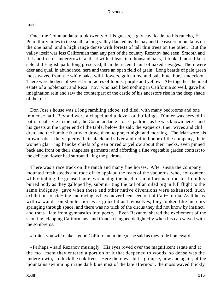mist.

 Once the Commandante took twenty of his guests, a gay cavalcade, to his rancho, El Pilar, thirty miles to the south: a long valley flanked by the bay and the eastern mountains on the one hand, and a high range dense with forests of tall thin trees on the other. But the valley itself was less Californian than any part of the country Rezanov had seen. Smooth and flat and free of undergrowth and set with at least ten thousand oaks, it looked more like a splendid English park, long preserved, than the recent haunt of naked savages. There were deer and quail in abundance, here and there an open field of grain. Long beards of pale green moss waved from the white oaks, wild flowers, golden red and pale blue, burst underfoot. There were hedges of sweet briar, acres of lupins, purple and yellow. Al− together the ideal estate of a nobleman; and Reza− nov, who had liked nothing in California so well, gave his imagination rein and saw the counterpart of the castle of his ancestors rise in the deep shade of the trees.

 Don Jose's house was a long rambling adobe, red tiled, with many bedrooms and one immense hall. Beyond were a chapel and a dozen outbuildings. Dinner was served in patriarchal style in the hall, the Commandante – or El padrone as he was known here – and his guests at the upper end of the table; below the salt, the vaqueros, their wives and chil− dren, and the humble friar who drove them to prayer night and morning. The friar wore his brown robes, the vaqueros their black and silver and red in honor of the company, their women glar− ing handkerchiefs of green or red or yellow about their necks, even pinned back and front on their shapeless garments; and affording a fine vegetable garden contrast to the delicate flower bed surround− ing the padrone.

 There was a race track on the ranch and many fine horses. After siesta the company mounted fresh steeds and rode off to applaud the feats of the vaqueros, who, not content with climbing the greased pole, wrenching the head of an unfortunate rooster from his buried body as they galloped by, submit− ting the tail of an oiled pig in full flight to the same indignity, gave when these and other native diversions were exhausted, such exhibitions of rid− ing and racing as have never been seen out of Cali− fornia. As lithe as willow wands, on slender horses as graceful as themselves, they looked like meteors springing through space, and there was no trick of the circus they did not know by instinct, and trans− late from gymnastics into poetry. Even Rezanov shared the excitement of the shouting, clapping Californians, and Concha laughed delightedly when his cap waved with the sombreros.

«I think you will make a good Californian in time,» she said as they rode homeward.

 «Perhaps,» said Rezanov musingly. His eyes roved over the magnificent estate and at the mo− ment they entered a portion of it that deepened to woods, so dense was the undergrowth, so thick the oak trees. Here there was but a glimpse, now and again, of the mountains swimming in the dark blue mist of the late afternoon, the moss waved thickly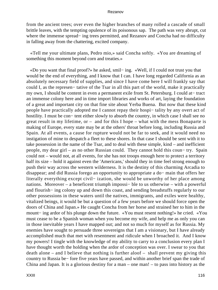from the ancient trees; over even the higher branches of many rolled a cascade of small brittle leaves, with the tempting opulence of its poisonous sap. The path was very abrupt, cut where the immense spread− ing trees permitted, and Rezanov and Concha had no difficulty in falling away from the chattering, excited company.

 «Tell me your ultimate plans, Pedro mio,» said Concha softly. «You are dreaming of something this moment beyond corn and treaties.»

 «Do you want that final proof?» he asked, smil− ing. «Well, if I could not trust you that would be the end of everything, and I know that I can. I have long regarded California as an absolutely necessary field of supplies, and since I have come here I will frankly say that could I, as the represen− tative of the Tsar in all this part of the world, make it practically my own, I should be content in even a permanent exile from St. Petersburg. I could at− tract an immense colony here and in time import libraries and works of art, laying the foundation of a great and important city on that fine site about Yerba Buena. But now that these kind people have practically adopted me I cannot repay their hospi− tality by any overt act of hostility. I must be con− tent either slowly to absorb the country, in which case I shall see no great result in my lifetime, or – and for this I hope – what with the mess Bonaparte is making of Europe, every state may be at the others' throat before long, including Russia and Spain. At all events, a cause for rupture would not be far to seek, and it would need no instigation of mine to despatch a fleet to these shores. In that case I should be sent with it to take possession in the name of the Tsar, and to deal with these simple, kind – and inefficient people, my dear girl – as no other Russian could. They cannot hold this coun− try. Spain could not – would not, at all events, for she has not troops enough here to protect a territory half its size – hold it against even the 'Americans,' should they in time feel strong enough to push their way across the western wilderness. It is the destiny of this charming Arcadia to disappear; and did Russia forego an opportunity to appropriate a do− main that offers her literally everything except civil− ization, she would be unworthy of her place among nations. Moreover – a beneficent triumph impossi– ble to us otherwise – with a powerful and flourish− ing colony up and down this coast, and sending breadstuffs regularly to our other possessions in these waters until the natives, immigrants, and exiles were healthy, vitalized beings, it would be but a question of a few years before we should force open the doors of China and Japan.» He caught Concha from her horse and strained her to him in the mount− ing ardor of his plunge down the future. «You must resent nothing!» he cried. «You must cease to be a Spanish woman when you become my wife, and help me as only you can in those inevitable years I have mapped out; and not so much for myself as for Russia. My enemies have sought to persuade three sovereigns that I am a visionary, but I have already accomplished much that met with resentment and ridicule when I broached it. And I know my powers! I tingle with the knowledge of my ability to carry to a conclusion every plan I have thought worth the holding when the ardor of conception was over. I swear to you that death alone – and I believe that nothing is further aloof – shall prevent my giving this country to Russia be− fore five years have passed, and within another brief span the trade of China and Japan. It is a glorious destiny for a man – one man! – to pass into history as the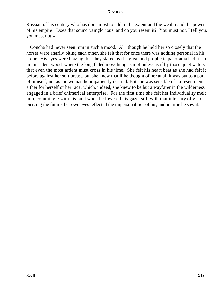Russian of his century who has done most to add to the extent and the wealth and the power of his empire! Does that sound vainglorious, and do you resent it? You must not, I tell you, you must not!»

 Concha had never seen him in such a mood. Al− though he held her so closely that the horses were angrily biting each other, she felt that for once there was nothing personal in his ardor. His eyes were blazing, but they stared as if a great and prophetic panorama had risen in this silent wood, where the long faded moss hung as motionless as if by those quiet waters that even the most ardent must cross in his time. She felt his heart beat as she had felt it before against her soft breast, but she knew that if he thought of her at all it was but as a part of himself, not as the woman he impatiently desired. But she was sensible of no resentment, either for herself or her race, which, indeed, she knew to be but a wayfarer in the wilderness engaged in a brief chimerical enterprise. For the first time she felt her individuality melt into, commingle with his: and when he lowered his gaze, still with that intensity of vision piercing the future, her own eyes reflected the impersonalities of his; and in time he saw it.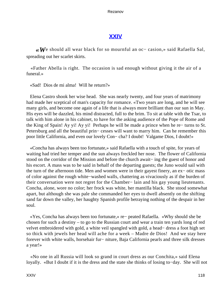## **[XXIV](#page-141-0)**

<span id="page-118-0"></span>*«W*e should all wear black for so mournful an oc− casion,» said Rafaella Sal, spreading out her scarlet skirts.

 «Father Abella is right. The occasion is sad enough without giving it the air of a funeral.»

«Sad! Dios de mi alma! Will he return?»

 Elena Castro shook her wise head. She was nearly twenty, and four years of matrimony had made her sceptical of man's capacity for romance. «Two years are long, and he will see many girls, and become one again of a life that is always more brilliant than our sun in May. His eyes will be dazzled, his mind distracted, full to the brim. To sit at table with the Tsar, to talk with him alone in his cabinet, to have for the asking audience of the Pope of Rome and the King of Spain! Ay yi! Ay yi! Perhaps he will be made a prince when he re− turns to St. Petersburg and all the beautiful prin− cesses will want to marry him. Can he remember this poor little California, and even our lovely Con− cha? I doubt! Valgame Dios, I doubt!»

 «Concha has always been too fortunate,» said Rafaella with a touch of spite, for years of waiting had tried her temper and the sun always freckled her nose. The flower of California stood on the corridor of the Mission and before the church await− ing the guest of honor and his escort. A mass was to be said in behalf of the departing guests; the Juno would sail with the turn of the afternoon tide. Men and women were in their gayest finery, an ex− otic mass of color against the rough white−washed walls, chattering as vivaciously as if the burden of their conversation were not regret for the Chamber− lain and his gay young lieutenants. Concha, alone, wore no color; her frock was white, her mantilla black. She stood somewhat apart, but although she was pale she commanded her eyes to dwell absently on the shifting sand far down the valley, her haughty Spanish profile betraying nothing of the despair in her soul.

 «Yes, Concha has always been too fortunate,» re− peated Rafaella. «Why should she be chosen for such a destiny – to go to the Russian court and wear a train ten yards long of red velvet embroidered with gold, a white veil spangled with gold, a head− dress a foot high set so thick with jewels her head will ache for a week – Madre de Dios! And we stay here forever with white walls, horsehair fur− niture, Baja California pearls and three silk dresses a year!»

 «No one in all Russia will look so grand in court dress as our Conchita,» said Elena loyally. «But I doubt if it is the dress and the state she thinks of losing to−day. She will not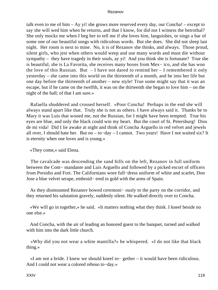talk even to me of him – Ay yi! she grows more reserved every day, our Concha! – except to say she will wed him when he returns, and that I know, for did not I witness the betrothal? She only mocks me when I beg her to tell me if she loves him, languishes, or sings a bar of some one of our beautiful songs with ridiculous words. But she does. She did not sleep last night. Her room is next to mine. No, it is of Rezanov she thinks, and always. Those proud, silent girls, who jest when others would weep and use many words and must die without sympathy – they have tragedy in their souls, ay yi! And you think she is fortunate? True she is beautiful, she is La Favorita, she receives many boxes from Mex− ico, and she has won the love of this Russian. But  $-$  I have not dared to remind her  $-$  I remembered it only yesterday – she came into this world on the thirteenth of a month, and he into her life but one day before the thirteenth of another – new style! True some might say that it was an escape, but if he came on the twelfth, it was on the thirteenth she began to love him – on the night of the ball; of that I am sure.»

 Rafaella shuddered and crossed herself. «Poor Concha! Perhaps in the end she will always stand apart like that. Truly she is not as others. I have always said it. Thanks be to Mary it was Luis that wooed me, not the Russian, for I might have been tempted. True his eyes are blue, and only the black could win my heart. But the court of St. Petersburg! Dios de mi vida! Did I lie awake at night and think of Concha Arguello in red velvet and jewels all over, I should hate her. But no – to−day – I cannot. Two years! Have I not waited six? It is eternity when one loves and is young.»

«They come,» said Elena.

 The cavalcade was descending the sand hills on the left, Rezanov in full uniform between the Com− mandante and Luis Arguello and followed by a picked escort of officers from Presidio and Fort. The Californians wore full−dress uniform of white and scarlet, Don Jose a blue velvet serape, embroid− ered in gold with the arms of Spain.

 As they dismounted Rezanov bowed ceremoni− ously to the party on the corridor, and they returned his salutation gravely, suddenly silent. He walked directly over to Concha.

 «We will go in together,» he said. «It matters nothing what they think. I kneel beside no one else.»

 And Concha, with the air of leading an honored guest to the banquet, turned and walked with him into the dark little church.

 «Why did you not wear a white mantilla?» he whispered. «I do not like that black thing.»

 «I am not a bride. I knew we should kneel to− gether – it would have been ridiculous. And I could not wear a colored reboso to−day.»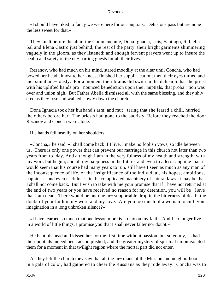«I should have liked to fancy we were here for our nuptials. Delusions pass but are none the less sweet for that.»

 They knelt before the altar, the Commandante, Dona Ignacia, Luis, Santiago, Rafaella Sal and Elena Castro just behind; the rest of the party, their bright garments shimmering vaguely in the gloom, as they listened; and enough fervent prayers went up to insure the health and safety of the de− parting guests for all their lives.

 Rezanov, who had much on his mind, stared moodily at the altar until Concha, who had bowed her head almost to her knees, finished her suppli− cation; then their eyes turned and met simultane− ously. For a moment their brains did swim in the delusion that the priest with his uplifted hands pro− nounced benediction upon their nuptials, that proba– tion was over and union nigh. But Father Abella dismissed all with the same blessing, and they shiv− ered as they rose and walked slowly down the church.

 Dona Ignacia took her husband's arm, and mut− tering that she feared a chill, hurried the others before her. The priests had gone to the sacristy. Before they reached the door Rezanov and Concha were alone.

His hands fell heavily on her shoulders.

 «Concha,» he said, «I shall come back if I live. I make no foolish vows, so idle between us. There is only one power that can prevent our marriage in this church not later than two years from to−day. And although I am in the very fulness of my health and strength, with my work but begun, and all my happiness in the future, and even to a less sanguine man it would seem that his course had many years to run, still have I seen as much as any man of the inconsequence of life, of the insignificance of the individual, his hopes, ambitions, happiness, and even usefulness, in the complicated machinery of natural laws. It may be that I shall not come back. But I wish to take with me your promise that if I have not returned at the end of two years or you have received no reason for my detention, you will be− lieve that I am dead. There would be but one in− supportable drop in the bitterness of death, the doubt of your faith in my word and my love. Are you too much of a woman to curb your imagination in a long unbroken silence?»

 «I have learned so much that one lesson more is no tax on my faith. And I no longer live in a world of little things. I promise you that I shall never falter nor doubt.»

 He bent his head and kissed her for the first time without passion, but solemnly, as had their nuptials indeed been accomplished, and the greater mystery of spiritual union isolated them for a moment in that twilight region where the mortal part did not enter.

 As they left the church they saw that all the In− dians of the Mission and neighborhood, in a gala of color, had gathered to cheer the Russians as they rode away. Concha was to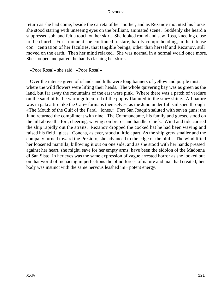return as she had come, beside the carreta of her mother, and as Rezanov mounted his horse she stood staring with unseeing eyes on the brilliant, animated scene. Suddenly she heard a suppressed sob, and felt a touch on her skirt. She looked round and saw Rosa, kneeling close to the church. For a moment she continued to stare, hardly comprehending, in the intense con− centration of her faculties, that tangible beings, other than herself and Rezanov, still moved on the earth. Then her mind relaxed. She was normal in a normal world once more. She stooped and patted the hands clasping her skirts.

«Poor Rosa!» she said. «Poor Rosa!»

 Over the intense green of islands and hills were long banners of yellow and purple mist, where the wild flowers were lifting their heads. The whole quivering bay was as green as the land, but far away the mountains of the east were pink. Where there was a patch of verdure on the sand hills the warm golden red of the poppy flaunted in the sun− shine. All nature was in gala attire like the Cali− fornians themselves, as the Juno under full sail sped through «The Mouth of the Gulf of the Faral− lones.» Fort San Joaquin saluted with seven guns; the Juno returned the compliment with nine. The Commandante, his family and guests, stood on the hill above the fort, cheering, waving sombreros and handkerchiefs. Wind and tide carried the ship rapidly out the straits. Rezanov dropped the cocked hat he had been waving and raised his field− glass. Concha, as ever, stood a little apart. As the ship grew smaller and the company turned toward the Presidio, she advanced to the edge of the bluff. The wind lifted her loosened mantilla, billowing it out on one side, and as she stood with her hands pressed against her heart, she might, save for her empty arms, have been the eidolon of the Madonna di San Sisto. In her eyes was the same expression of vague arrested horror as she looked out on that world of menacing imperfections the blind forces of nature and man had created; her body was instinct with the same nervous leashed im− potent energy.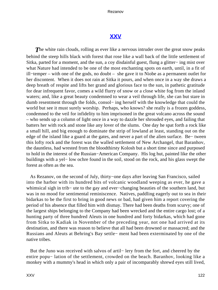## **[XXV](#page-141-0)**

<span id="page-122-0"></span>**The white rain clouds, rolling as ever like a nervous intruder over the great snow peaks** behind the steep hills black with forest that rose like a wall back of the little settlement of Sitka, parted for a moment, and the sun, a coy disdainful guest, flung a glitter− ing mist over what Nature had intended to be one of the most enchanting spots on earth, until, in a fit of ill−temper – with one of the gods, no doubt – she gave it to Niobe as a permanent outlet for her discontent. When it does not rain at Sitka it pours, and when once in a way she draws a deep breath of respite and lifts her grand and glorious face to the sun, in pathetic gratitude for dear infrequent favor, comes a wild flurry of snow or a close white fog from the inland waters; and, like a great beauty condemned to wear a veil through life, she can but stare in dumb resentment through the folds, consol− ing herself with the knowledge that could the world but see it must surely worship. Perhaps, who knows? she really is a frozen goddess, condemned to the veil for infidelity to him imprisoned in the great volcano across the sound – who sends up a column of light once in a way to dazzle her shrouded eyes, and failing that batters her with rock and stone like any lover of the slums. One day he spat forth a rock like a small hill, and big enough to dominate the strip of lowland at least, standing out on the edge of the island like a guard at the gates, and never a part of the alien surface. Be− tween this lofty rock and the forest was the walled settlement of New Archangel, that Baranhov, the dauntless, had wrested from the bloodthirsty Kolosh but a short time since and purposed to hold in the interest of the Russian−American Company. His log hut, painted like the other buildings with a yel− low ochre found in the soil, stood on the rock, and his glass swept the forest as often as the sea.

 As Rezanov, on the second of July, thirty−one days after leaving San Francisco, sailed into the harbor with its hundred bits of volcanic woodland weeping as ever, he gave a whimsical sigh in trib− ute to the gay and ever−changing beauties of the southern land, but was in no mood for sentimental reminiscence. Natives, paddling eagerly out to sea in their bidarkas to be the first to bring in good news or bad, had given him a report covering the period of his absence that filled him with dismay. There had been deaths from scurvy; one of the largest ships belonging to the Company had been wrecked and the entire cargo lost; of a hunting party of three hundred Aleuts in one hundred and forty bidarkas, which had gone from Sitka to Kadiak in November of the preceding year, not one had arrived at its destination, and there was reason to believe that all had been drowned or massacred; and the Russians and Aleuts at Behring's Bay settle− ment had been exterminated by one of the native tribes.

 But the Juno was received with salvos of artil− lery from the fort, and cheered by the entire popu− lation of the settlement, crowded on the beach. Baranhov, looking like a monkey with a mummy's head in which only a pair of incomparably shrewd eyes still lived,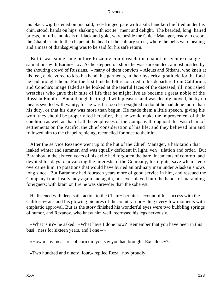his black wig fastened on his bald, red−fringed pate with a silk handkerchief tied under his chin, stood, hands on hips, shaking with excite− ment and delight. The bearded, long−haired priests, in full canonicals of black and gold, were beside the Chief−Manager, ready to escort the Chamberlain to the chapel at the head of the solitary street, where the bells were pealing and a mass of thanksgiving was to be said for his safe return.

 But it was some time before Rezanov could reach the chapel or even exchange salutations with Baran− hov. As he stepped on shore he was surrounded, almost hustled by the shouting crowd of Russians, – many of them convicts – Aleuts and Sitkans, who knelt at his feet, endeavored to kiss his hand, his garments, in their hysterical gratitude for the food he had brought them. For the first time he felt reconciled to his departure from California, and Concha's image faded as he looked at the tearful faces of the diseased, ill−nourished wretches who gave their mite of life that he might live as became a great noble of the Russian Empire. But although he tingled with pleasure and was deeply moved, he by no means swelled with vanity, for he was far too clear−sighted to doubt he had done more than his duty, or that his duty was more than begun. He made them a little speech, giving his word they should be properly fed hereafter, that he would make the improvement of their condition as well as that of all the employees of the Company throughout this vast chain of settlements on the Pacific, the chief consideration of his life; and they believed him and followed him to the chapel rejoicing, reconciled for once to their lot.

 After the service Rezanov went up to the hut of the Chief−Manager, a habitation that leaked winter and summer, and was equally deficient in light, ven− tilation and order. But Baranhov in the sixteen years of his exile had forgotten the bare lineaments of comfort, and devoted his days to advancing the interests of the Company, his nights, save when sleep overcame him, to potations that would have buried an ordinary man under Alaskan snows long since. But Baranhov had fourteen years more of good service in him, and rescued the Company from insolvency again and again, nor ever played into the hands of marauding foreigners; with brain on fire he was shrewder than the soberest.

 He listened with deep satisfaction to the Cham− berlain's account of his success with the Californi− ans and his glowing pictures of the country, nod− ding every few moments with emphatic approval. But as the story finished his wonderful eyes were two bubbling springs of humor, and Rezanov, who knew him well, recrossed his legs nervously.

 «What is it?» he asked. «What have I done now? Remember that you have been in this busi− ness for sixteen years, and I one – »

«How many measures of corn did you say you had brought, Excellency?»

«Two hundred and ninety−four,» replied Reza− nov proudly.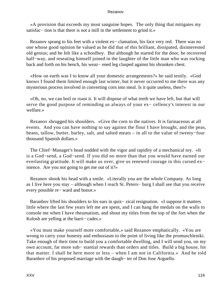«A provision that exceeds my most sanguine hopes. The only thing that mitigates my satisfac– tion is that there is not a mill in the settlement to grind it.»

 Rezanov sprang to his feet with a violent ex− clamation, his face very red. There was no one whose good opinion he valued as he did that of this brilliant, dissipated, disinterested old genius; and he felt like a schoolboy. But although he started for the door, he recovered half−way, and reseating himself joined in the laughter of the little man who was rocking back and forth on his bench, his weaz− ened leg clasped against his shrunken chest.

 «How on earth was I to know all your domestic arrangements?» he said testily. «God knows I found them limited enough last winter, but it never occurred to me there was any mysterious process involved in converting corn into meal. Is it quite useless, then?»

 «Oh, no, we can boil or roast it. It will dispose of what teeth we have left, but that will serve the good purpose of reminding us always of your ex− cellency's interest in our welfare.»

 Rezanov shrugged his shoulders. «Give the corn to the natives. It is farinaceous at all events. And you can have nothing to say against the flour I have brought, and the peas, beans, tallow, butter, barley, salt, and salted meats – in all to the value of twenty−four thousand Spanish dollars.»

 The Chief−Manager's head nodded with the vigor and rapidity of a mechanical toy. «It is a God−send, a God−send. If you did no more than that you would have earned our everlasting gratitude. It will make us over, give us renewed courage in this cursed ex− istence. Are you not going to get me out of it?»

 Rezanov shook his head with a smile. «Literally you are the whole Company. As long as I live here you stay – although when I reach St. Peters− burg I shall see that you receive every possible re− ward and honor.»

 Baranhov lifted his shoulders to his ears in quiz− zical resignation. «I suppose it matters little where the last few years left me are spent, and I can hang the medals on the walls to console me when I have rheumatism, and shout my titles from the top of the fort when the Kolosh are yelling at the barri− cades.»

 «You must make yourself more comfortable,» said Rezanov emphatically. «You are wrong to carry your honesty and enthusiasm to the point of living like the promuschleniki. Take enough of their time to build you a comfortable dwelling, and I will send you, on my own account, far more sub− stantial rewards than orders and titles. Build a big house, for that matter. I shall be here more or less – when I am not in California.» And he told Baranhov of his proposed marriage with the daugh− ter of Don Jose Arguello.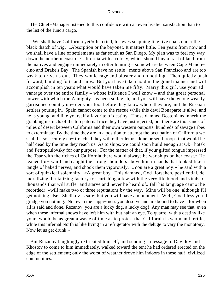The Chief−Manager listened to this confidence with an even livelier satisfaction than to the list of the Juno's cargo.

 «We shall have California yet!» he cried, his eyes snapping like live coals under the black thatch of wig. «Absorption or the bayonet. It matters little. Ten years from now and we shall have a line of settlements as far south as San Diego. My plan was to feel my way down the northern coast of California with a colony, which should buy a tract of land from the natives and engage immediately in otter hunting – somewhere between Cape Mendo− cino and Drake's Bay. The Spanish have no settle− ments above San Francisco and are too weak to drive us out. They would rage and bluster and do nothing. Then quietly push forward, building forts and ships. But you have taken hold in the grand manner and will accomplish in ten years what would have taken me fifty. Marry this girl, use your ad− vantage over the entire family – whose influence I well know – and that great personal power with which the Almighty has been so lavish, and you will have the whole weakly garrisoned country un− der your foot before they know where they are, and the Russian settlers pouring in. Spain cannot come to the rescue while this devil Bonaparte is alive, and he is young, and like yourself a favorite of destiny. Those damned Bostonians inherit the grabbing instincts of the too paternal race they have just rejected, but there are thousands of miles of desert between California and their own western outposts, hundreds of savage tribes to exterminate. By the time they are in a position to attempt the occupation of California we shall be so securely en− trenched they will either let us alone or send troops that would be half dead by the time they reach us. As to ships, we could soon build enough at Ok− hotsk and Petropaulovsky for our purpose. For the matter of that, if your gifted tongue impressed the Tsar with the riches of California there would always be war ships on her coast.» He leaned for− ward and caught the strong shoulders above him in hands that looked like a tangle of baked nerves, and shook them vigorously. «You are a great boy!» he said with a sort of quizzical solemnity. «A great boy. This damned, God−forsaken, pestilential, de− moralizing, brutalizing factory for enriching a few with the very life blood and vitals of thousands that will suffer and starve and never be heard of» (all his language cannot be recorded), «will make two or three reputations by the way. Mine will be one, although I'll get nothing else. Shelikov is safe; but you will have a monument. Well, God bless you. I grudge you nothing. Not even the happi− ness you deserve and are bound to have – for when all is said and done, Rezanov, you are a lucky dog, a lucky dog! Any man may see that, even when these infernal snows have left him with but half an eye. To quarrel with a destiny like yours would be as great a waste of time as to protest that California is warm and fertile, while this infernal North is like living in a refrigerator with the deluge to vary the monotony. Now let us get drunk!»

 But Rezanov laughingly extricated himself, and sending a message to Davidov and Khostov to come to him immediately, walked toward the tent he had ordered erected on the edge of the settlement; only the worst of weather drove him indoors in these half−civilized communities.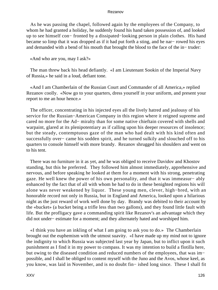As he was passing the chapel, followed again by the employees of the Company, to whom he had granted a holiday, he suddenly found his hand taken possession of, and looked up to see himself con− fronted by a dissipated−looking person in plain clothes. His hand became so limp that it was dropped as if it had put forth a sting, and he nar− rowed his eyes and demanded with a bend of his mouth that brought the blood to the face of the in− truder:

«And who are you, may I ask?»

 The man threw back his head defiantly. «I am Lieutenant Sookin of the Imperial Navy of Russia,» he said in a loud, defiant tone.

 «And I am Chamberlain of the Russian Court and Commander of all America,» replied Rezanov coolly. «Now go to your quarters, dress yourself in your uniform, and present your report to me an hour hence.»

 The officer, concentrating in his injected eyes all the lively hatred and jealousy of his service for the Russian−American Company in this region where it reigned supreme and cared no more for the Ad− miralty than for some native chieftain covered with shells and warpaint, glared at its plenipotentiary as if calling upon his deeper resources of insolence; but the steady, contemptuous gaze of the man who had dealt with his kind often and successfully over− came his sodden spirit, and he turned sulkily and slouched off to his quarters to console himself with more brandy. Rezanov shrugged his shoulders and went on to his tent.

 There was no furniture in it as yet, and he was obliged to receive Davidov and Khostov standing, but this he preferred. They followed him almost immediately, apprehensive and nervous, and before speaking he looked at them for a moment with his strong, penetrating gaze. He well knew the power of his own personality, and that it was immeasur− ably enhanced by the fact that of all with whom he had to do in these benighted regions his will alone was never weakened by liquor. These young men, clever, high−bred, with an honorable record not only in Russia, but in England and America, looked upon a hilarious night as the just reward of work well done by day. Brandy was debited to their account by the «bucket» (a bucket being a trifle less than two gallons), and they found little fault with life. But the profligacy gave a commanding spirit like Rezanov's an advantage which they did not under− estimate for a moment; and they alternately hated and worshiped him.

 «I think you have an inkling of what I am going to ask you to do.» The Chamberlain brought out the euphemism with the utmost suavity. «I have made up my mind not to ignore the indignity to which Russia was subjected last year by Japan, but to inflict upon it such punishment as I find it in my power to compass. It was my intention to build a flotilla here, but owing to the diseased condition and reduced numbers of the employees, that was im− possible, and I shall be obliged to content myself with the Juno and the Avos, whose keel, as you know, was laid in November, and is no doubt fin− ished long since. These I shall fit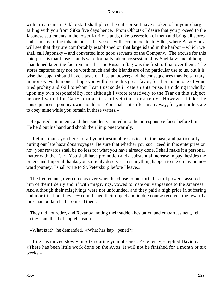with armaments in Okhotsk. I shall place the enterprise I have spoken of in your charge, sailing with you from Sitka five days hence. From Okhotsk I desire that you proceed to the Japanese settlements in the lower Kurile Islands, take possession of them and bring all stores and as many of the inhabitants as the vessels will accommodate, to Sitka, where Baran− hov will see that they are comfortably established on that large island in the harbor – which we shall call Japonsky – and converted into good servants of the Company. The excuse for this enterprise is that those islands were formally taken possession of by Shelikov; and although abandoned later, the fact remains that the Russian flag was the first to float over them. The stores captured may not be worth much and the islands are of no particular use to us, but it is wise that Japan should have a taste of Russian power; and the consequences may be salutary in more ways than one. I hope you will do me this great favor, for there is no one of your tried probity and skill to whom I can trust so deli− cate an enterprise. I am doing it wholly upon my own responsibility, for although I wrote tentatively to the Tsar on this subject before I sailed for Cali− fornia, it is not yet time for a reply. However, I take the consequences upon my own shoulders. You shall not suffer in any way, for your orders are to obey mine while you remain in these waters.»

 He paused a moment, and then suddenly smiled into the unresponsive faces before him. He held out his hand and shook their limp ones warmly.

 «Let me thank you here for all your inestimable services in the past, and particularly during our late hazardous voyages. Be sure that whether you suc− ceed in this enterprise or not, your rewards shall be no less for what you have already done. I shall make it a personal matter with the Tsar. You shall have promotion and a substantial increase in pay, besides the orders and Imperial thanks you so richly deserve. Lest anything happen to me on my home− ward journey, I shall write to St. Petersburg before I leave.»

 The lieutenants, overcome as ever when he chose to put forth his full powers, assured him of their fidelity and, if with misgivings, vowed to mete out vengeance to the Japanese. And although their misgivings were not unfounded, and they paid a high price in suffering and mortification, they ac− complished their object and in due course received the rewards the Chamberlain had promised them.

 They did not retire, and Rezanov, noting their sudden hesitation and embarrassment, felt an in− stant thrill of apprehension.

«What is it?» he demanded. «What has hap− pened?»

 «Life has moved slowly in Sitka during your absence, Excellency,» replied Davidov. «There has been little work done on the Avos. It will not be finished for a month or six weeks.»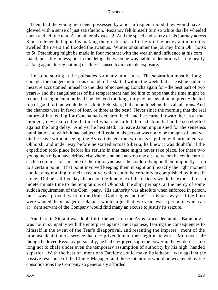Then, had the young men been possessed by a not infrequent mood, they would have glowed with a sense of just satisfaction. Rezanov felt himself turn so white that he wheeled about and left the tent. A month or six weeks! And the speed and safety of his journey across Siberia depended upon his making the greater part of it before the heavy autumn rains swelled the rivers and flooded the swamps. Winter or summer the journey from Ok− hotsk to St. Petersburg might be made in four months; with the wealth and influence at his com− mand, possibly in less; but in the deluge between he was liable to detentions lasting nearly as long again, to say nothing of illness caused by inevitable exposure.

 He stood staring at the palisades for many min− utes. The separation must be long enough, the dangers numerous enough if he started within the week, but at least he had in a measure accustomed himself to the idea of not seeing Concha again for «the best part of two years,» and the sanguineness of his temperament had led him to hope that the time might be reduced to eighteen months. If he delayed too long, only by means of an unprece− dented run of good fortune would he reach St. Petersburg but a month behind his calculations. And the chances were in favor of four, or three at the best! Never since the morning that the real nature of his feeling for Concha had declared itself had he yearned toward her as at that moment; never since the dictum of what she called their «tribunal» had he so rebelled against the long delay. And yet he hesitated. To leave Japan unpunished for the senseless humiliations to which it had subjected Russia in his person was not to be thought of, and yet did he leave without seeing the Avos finished, the two boats supplied with armaments at Okhotsk, and under way before he started across Siberia, he knew it was doubtful if the expedition took place before his return; in that case might never take place, for these two young men might have drifted elsewhere, and he knew no one else to whom he could entrust such a commission. In spite of their idiosyncrasies he could rely upon them implicitly – up to a certain point. That point involved keeping them in sight until exactly the right moment and leaving nothing to their executive which could be certainly accomplished by himself alone. Did he sail five days hence on the Juno one of the officers would be exposed for an indeterminate time to the temptations of Okhotsk, the ship, perhaps, at the mercy of some sudden requirement of the Com− pany. His authority was absolute when enforced in person, but it was a proverb west of the Ural: «God reigns and the Tsar is far away.» If the Juno were wanted the manager of Okhotsk would argue that two years was a period in which an ar− dent servant of the Company would find many an excuse to justify its seizure.

 And here in Sitka it was doubtful if the work on the Avos proceeded at all. Baranhov was not in sympathy with the enterprise against the Japanese, fearing the consequences to himself in the event of the Tsar's disapproval, and resenting the impress− ment of the promuschleniki into a service that de− prived him of their legitimate work. Moreover, al− though he loved Rezanov personally, he had en− joyed supreme power in the wilderness too long not to chafe under even the temporary assumption of authority by his high−handed superior. With the best of intentions Davidov could make little head− way against the passive resistance of the Chief− Manager, and those intentions would be weakened by the consolidations the Company so generously afforded.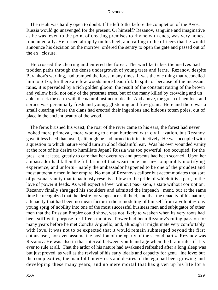The result was hardly open to doubt. If he left Sitka before the completion of the Avos, Russia would go unavenged for the present. Or himself? Rezanov, sanguine and imaginative as he was, even to the point of creating premises to rhyme with ends, was very honest fundamentally. He turned abruptly on his heel, and calling to the officers that he would announce his decision on the morrow, ordered the sentry to open the gate and passed out of the en− closure.

 He crossed the clearing and entered the forest. The warlike tribes themselves had trodden paths through the dense undergrowth of young trees and ferns. Rezanov, despite Baranhov's warning, had tramped the forest many times. It was the one thing that reconciled him to Sitka, for there are few woods more beautiful. In spite or because of the incessant rains, it is pervaded by a rich golden gloom, the result of the constant rotting of the brown and yellow bark, not only of the prostrate trees, but of the many killed by crowding and un− able to seek the earth with the natural instinct of death. And above, the green of hemlock and spruce was perennially fresh and young, glistening and fra− grant. Here and there was a small clearing where the clans had erected their ingenious and hideous totem poles, out of place in the ancient beauty of the wood.

 The ferns brushed his waist, the roar of the river came to his ears, the forest had never looked more primeval, more wooing to a man burdened with civil− ization, but Rezanov gave it less heed than usual, although he had turned to it instinctively. He was occupied with a question to which nature would turn an aloof disdainful ear. Was his own wounded vanity at the root of his desire to humiliate Japan? Russia was too powerful, too occupied, for the pres− ent at least, greatly to care that her overtures and presents had been scorned. Upon her ambassador had fallen the full brunt of that wearisome and in− comparably mortifying experience, and unfortu− nately the ambassador happened to be one of the proudest and most autocratic men in her empire. No man of Rezanov's caliber but accommodates that sort of personal vanity that tenaciously resents a blow to the pride of which it is a part, to the love of power it feeds. As well expect a lover without pas− sion, a state without corruption. Rezanov finally shrugged his shoulders and admitted the impeach− ment, but at the same time he recognized that the desire for vengeance still held, and that the tenacity of his nature, a tenacity that had been no mean factor in the remodeling of himself from a voluptu− ous young sprig of nobility into one of the most successful business men and subjugator of other men that the Russian Empire could show, was not likely to weaken when its very roots had been stiff with purpose for fifteen months. Power had been Rezanov's ruling passion for many years before he met Concha Arguello, and, although it might mate very comfortably with love, it was not to be expected that it would remain submerged beyond the first enthusiasm, nor even assume the position of the «party of the second part.» Rezanov was Rezanov. He was also in that interval between youth and age when the brain rules if it is ever to rule at all. That the ardor of his nature had awakened refreshed after a long sleep was but just proved, as well as the revival of his early ideals and capacity for genu− ine love; but the complexities, the manifold inter− ests and desires of the ego had been growing and developing these many years; and no mere mortal that has given up his life for a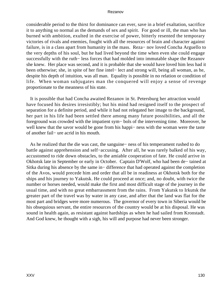considerable period to the thirst for dominance can ever, save in a brief exaltation, sacrifice it to anything so normal as the demands of sex and spirit. For good or ill, the man who has burned with ambition, exulted in the exercise of power, bitterly resented the temporary victories of rivals and enemies, fought with all the resources of brain and character against failure, is in a class apart from humanity in the mass. Reza− nov loved Concha Arguello to the very depths of his soul, but he had lived beyond the time when even she could engage successfully with the ruth− less forces that had molded into immutable shape the Rezanov she knew. Her place was second, and it is probable that she would have loved him less had it been otherwise; she, in spite of her fine intel− lect and strong will, being all woman, as he, despite his depth of intuition, was all man. Equality is possible in no relation or condition of life. When woman subjugates man the conquered will enjoy a sense of revenge proportionate to the meanness of his state.

 It is possible that had Concha awaited Rezanov in St. Petersburg her attraction would have focused his desires irresistibly; but his mind had resigned itself to the prospect of separation for a definite period, and while it had not relegated her image to the background, her part in his life had been settled there among many future possibilities, and all the foreground was crowded with the impatient sym− bols of the intervening time. Moreover, he well knew that the savor would be gone from his happi− ness with the woman were the taste of another fail− ure acrid in his mouth.

 As he realized that the die was cast, the sanguine− ness of his temperament rushed to do battle against apprehension and self−accusing. After all, he was rarely balked of his way, accustomed to ride down obstacles, to the amiable cooperation of fate. He could arrive in Okhotsk late in September or early in October. Captain D'Wolf, who had been de− tained at Sitka during his absence by the same in− difference that had operated against the completion of the Avos, would precede him and order that all be in readiness at Okhotsk both for the ships and his journey to Yakutsk. He could proceed at once; and, no doubt, with twice the number or horses needed, would make the first and most difficult stage of the journey in the usual time, and with no great embarrassment from the rains. From Yakutsk to Irkutsk the greater part of the travel was by water in any case, and after that the land was flat for the most part and bridges were more numerous. The governor of every town in Siberia would be his obsequious servant, the entire resources of the country would be at his disposal. He was sound in health again, as resistant against hardships as when he had sailed from Kronstadt. And God knew, he thought with a sigh, his will and purpose had never been stronger.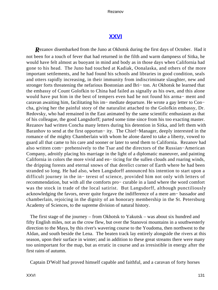## **[XXVI](#page-141-0)**

<span id="page-131-0"></span>**R**ezanov disembarked from the Juno at Okhotsk during the first days of October. Had it not been for a touch of fever that had returned in the filth and warm dampness of Sitka, he would have felt almost as buoyant in mind and body as in those days when California had gone to his head. The Juno had touched at Kadiak, Oonalaska, and others of the more important settlements, and he had found his schools and libraries in good condition, seals and otters rapidly increasing, in their immunity from indiscriminate slaughter, new and stronger forts threatening the nefarious Bostonian and Bri− ton. At Okhotsk he learned that the embassy of Count Golofkin to China had failed as signally as his own, and this alone would have put him in the best of tempers even had he not found his arma− ment and caravan awaiting him, facilitating his im− mediate departure. He wrote a gay letter to Con− cha, giving her the painful story of the naturalist attached to the Golofkin embassy, Dr. Redovsky, who had remained in the East animated by the same scientific enthusiasm as that of his colleague, the good Langsdorff; parted some time since from his too exacting master. Rezanov had written Concha many letters during his detention in Sitka, and left them with Baranhov to send at the first opportun− ity. The Chief−Manager, deeply interested in the romance of the mighty Chamberlain with whom he alone dared to take a liberty, vowed to guard all that came to his care and sooner or later to send them to California. Rezanov had also written com− prehensively to the Tsar and the directors of the Russian−American Company, adroitly placing his marriage in the light of a diplomatic maneuver, and painting California in colors the more vivid and en− ticing for the sullen clouds and roaring winds, the dripping forests and eternal snows of that derelict corner of Earth where he had been stranded so long. He had also, when Langsdorff announced his intention to start upon a difficult journey in the in− terest of science, provided him not only with letters of recommendation, but with all the comforts pro− curable in a land where the word comfort was the stock in trade of the local satirist. But Langsdorff, although punctiliously acknowledging the favors, never quite forgave the indifference of a mere am− bassador and chamberlain, rejoicing in the dignity of an honorary membership in the St. Petersburg Academy of Sciences, to the supreme division of natural history.

 The first stage of the journey – from Okhotsk to Yakutsk – was about six hundred and fifty English miles, not as the crow flew, but over the Stanovoi mountains in a southwesterly direction to the Maya, by this river's wavering course to the Youdoma, then northwest to the Aldan, and south beside the Lena. The beaten track lay entirely alongside the rivers at this season, upon their surface in winter; and in addition to these great streams there were many too unimportant for the map, but as erratic in course and as irresistible in energy after the first rains of autumn.

Captain D'Wolf had proved himself capable and faithful, and a caravan of forty horses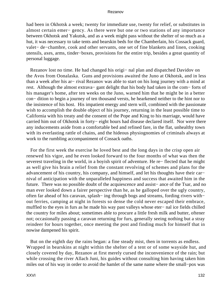had been in Okhotsk a week; twenty for immediate use, twenty for relief, or substitutes in almost certain emer− gency. As there were but one or two stations of any importance between Okhotsk and Yakutsk, and as a week might pass without the shelter of so much as a hut, it was necessary to take tents and bearskin beds for the Chamberlain, his Cossack guard, valet− de−chambre, cook and other servants, one set of fine blankets and linen, cooking utensils, axes, arms, tinder−boxes, provisions for the entire trip, besides a great quantity of personal luggage.

 Rezanov lost no time. He had changed his origi− nal plan and dispatched Davidov on the Avos from Oonalaska. Guns and provisions awaited the Juno at Okhotsk, and in less than a week after his ar− rival Rezanov was able to start on his long journey with a mind at rest. Although the almost extrava− gant delight that his body had taken in the com− forts of his manager's home, after ten weeks on the Juno, warned him that he might be in a better con− dition to begin a journey of ten thousand versts, he hearkened neither to the hint nor to the insistence of his host. His impatient energy and stern will, combined with the passionate wish to accomplish the double object of his journey, returning in the least possible time to California with his treaty and the consent of the Pope and King to his marriage, would have carried him out of Okhotsk in forty− eight hours had disease declared itself. Nor were there any inducements aside from a comfortable bed and refined fare, in the flat, unhealthy town with its everlasting rattle of chains, and the hideous physiognomies of criminals always at work to the rumbling accompaniment of Cossack oaths.

 For the first week the exercise he loved best and the long days in the crisp open air renewed his vigor, and he even looked forward to the four months of what was then the severest traveling in the world, in a boyish spirit of adventure. He re− flected that he might as well give his brain a relief from the constant revolving of schemes and plans for the advancement of his country, his company, and himself, and let his thoughts have their car− nival of anticipation with the unparalleled happiness and success that awaited him in the future. There was no possible doubt of the acquiescence and assist− ance of the Tsar, and no man ever looked down a fairer perspective than he, as he galloped over the ugly country, often far ahead of his caravan, splash− ing through bogs and streams, fording rivers with− out ferries, camping at night in forests so dense the cold never escaped their embrace, muffled to the eyes in furs as he made his way past valleys whose eter− nal ice fields chilled the country for miles about; sometimes able to procure a little fresh milk and butter, oftener not; occasionally passing a caravan returning for furs, generally seeing nothing but a stray reindeer for hours together, once meeting the post and finding much for himself that in nowise dampened his spirit.

 But on the eighth day the rains began: a fine steady mist, then in torrents as endless. Wrapped in bearskins at night within the shelter of a tent or of some wayside hut, and closely covered by day, Rezanov at first merely cursed the inconvenience of the rain; but while crossing the river Allach Juni, his guides without consulting him having taken him miles out of his way in order to avoid the hamlet of the same name where the small−pox was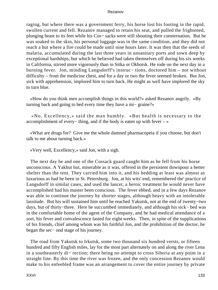raging, but where there was a government ferry, his horse lost his footing in the rapid, swollen current and fell. Rezanov managed to retain his seat, and pulled the frightened, plunging beast to its feet while his Cos− sacks were still shouting their consternation. But he was soaked to the skin, his personal luggage was in the same condition, and they did not reach a hut where a fire could be made until nine hours later. It was then that the seeds of malaria, accumulated during the last three years in unsanitary ports and sown deep by exceptional hardships, but which he believed had taken themselves off during his six weeks in California, stirred more vigorously than in Sitka or Okhotsk. He rode on the next day in a burning fever. Jon, minding Langsdorff's instruc− tions, doctored him – not without difficulty – from the medicine chest, and for a day or two the fever seemed broken. But Jon, sick with apprehension, implored him to turn back. He might as well have implored the sky to turn blue.

 «How do you think men accomplish things in this world?» asked Rezanov angrily. «By turning back and going to bed every time they have a mi− graine?»

 «No, Excellency,» said the man humbly. «But health is necessary to the accomplishment of every− thing, and if the body is eaten up with fever – »

 «What are drugs for? Give me the whole damned pharmacopeia if you choose, but don't talk to me about turning back.»

«Very well, Excellency,» said Jon, with a sigh.

 The next day he and one of the Cossack guard caught him as he fell from his horse unconscious. A Yakhut hut, miserable as it was, offered in the persistent downpour a better shelter than the tent. They carried him into it, and his bedding at least was almost as luxurious as had he been in St. Petersburg. Jon, at his wits' end, remembered the' practice of Langsdorff in similar cases, and used the lancet, a heroic treatment he would never have accomplished had his master been conscious. The fever ebbed, and in a few days Rezanov was able to continue the journey by shorter stages, although heavy with an intolerable lassitude. But his will sustained him until he reached Yakutsk, not at the end of twenty−two days, but of thirty−three. Here he succumbed immediately, and although his sick− bed was in the comfortable home of the agent of the Company, and he had medical attendance of a sort, his fever and convalescence lasted for eight weeks. Then, in spite of the supplications of his friends, chief among whom was his faithful Jon, and the prohibition of the doctor, he began the sec− ond stage of his journey.

 The road from Yakutsk to Irkutsk, some two thousand six hundred versts, or fifteen hundred and fifty English miles, lay for the most part alternately on and along the river Lena in a southeasterly di− rection; there being no attempt to cross Siberia at any point in a straight line. By this time the river was frozen, and the only concession Rezanov would make to his enfeebled frame was an arrangement to cover the entire journey by private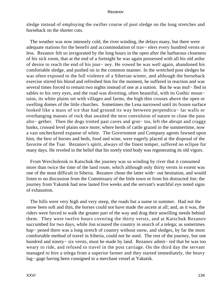sledge instead of employing the swifter course of post sledge on the long stretches and horseback on the shorter cuts.

 The weather was now intensely cold, the river winding, the delays many, but there were adequate stations for the benefit and accommodation of trav− elers every hundred versts or less. Rezanov felt so invigorated by the long hours in the open after the barbarous closeness of his sick room, that at the end of a fortnight he was again possessed with all his old ardor of desire to reach the end of his jour− ney. He vowed he was well again, abandoned his comfortable sledge, and pushed on in the common manner. In the wretched post sledges he was often exposed to the full violence of a Siberian winter, and although the horseback exercise stirred his blood and refreshed him for the moment, he suffered in reaction and was several times forced to remain two nights instead of one at a station. But he was muf– fled in sables to his very eyes, and the road was diverting, often beautiful, with its Gothic moun− tains, its white plains set with villages and farms, the high thin crosses above the open or swelling domes of the little churches. Sometimes the Lena narrowed until its frozen surface looked like a mass of ice that had ground its way between perpendicu− lar walls or overhanging masses of rock that awaited the next convulsion of nature to close the pass alto− gether. Then the dogs trotted past caves and grot− tos, left the abrupt and craggy banks, crossed level plains once more; where herds of cattle grazed in the summertime, now a vast uncheckered expanse of white. The Government and Company agents fawned upon him, the best of horses and beds, food and wine, were eagerly placed at the disposal of the favorite of the Tsar. Rezanov's spirit, always of the finest temper, suffered no eclipse for many days. He reveled in the belief that his sorely tried body was regenerating its old vigors.

 From Wercholensk to Katschuk the journey was so winding by river that it consumed more than twice the time of the land route, which although only thirty versts in extent was one of the most difficult in Siberia. Rezanov chose the latter with− out hesitation, and would listen to no discussion from the Commissary of the little town or from his distracted Jon: the journey from Yakutsk had now lasted five weeks and the servant's watchful eye noted signs of exhaustion.

 The hills were very high and very steep, the roads but a name in summer. Had not the snow been soft and thin, the horses could not have made the ascent at all; and, as it was, the riders were forced to walk the greater part of the way and drag their unwilling steeds behind them. They were twelve hours covering the thirty versts, and at Katschuk Rezanov succumbed for two days, while Jon scoured the country in search of a telega; as sometimes hap− pened there was a long stretch of country without snow, and sledges, by far the most comfortable method of travel in Siberia, could not be used. The rest of the journey, but one hundred and ninety− six versts, must be made by land. Rezanov admit− ted that he was too weary to ride, and refused to travel in the post carriage. On the third day the servant managed to hire a telega from a superior farmer and they started immediately, the heavy lug− gage having been consigned to a merchant vessel at Yakutsk.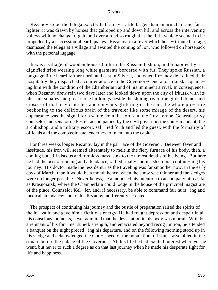Rezanov stood the telega exactly half a day. Little larger than an armchair and far lighter, it was drawn by horses that galloped up and down hill and across the intervening valleys with no change of gait, and over a road so rough that the little vehicle seemed to be propelled by a succession of earthquakes. Rezanov, in a fever which he at− tributed to rage, dismissed the telega at a village and awaited the coming of Jon, who followed on horseback with the personal luggage.

 It was a village of wooden houses built in the Russian fashion, and inhabited by a dignified tribe wearing long white garments bordered with fur. They spoke Russian, a language little heard farther north and east in Siberia, and when Rezanov de− clined their hospitality they dispatched a courier at once to the Governor−General of Irkutsk acquaint− ing him with the condition of the Chamberlain and of his imminent arrival. In consequence, when Rezanov drew rein two days later and looked down upon the city of Irkutsk with its pleasant squares and great stone buildings beside the shining river, the gilded domes and crosses of its thirty churches and convents glittering in the sun, the whole pic− ture beckoning to the delirious brain of the traveler like some mirage of the desert, his appearance was the signal for a salute from the fort; and the Gov− ernor−General, privy counselor and senator de Pestel, accompanied by the civil governor, the com− mandant, the archbishop, and a military escort, sal− lied forth and led the guest, with the formality of officials and the compassionate tenderness of men, into the capital.

 For three weeks longer Rezanov lay in the pal− ace of the Governor. Between fever and lassitude, his iron will seemed alternately to melt in the fiery furnace of his body, then, a cooling but still viscous and formless mass, sink to the utmost depths of his being. But here he had the best of nursing and attendance, rallied finally and insisted upon continu− ing his journey. His doctor made the less demur as the traveling was far smoother now, in the early days of March, than it would be a month hence, when the snow was thinner and the sledges were no longer possible. Nevertheless, he announced his intention to accompany him as far as Krasnoiarsk, where the Chamberlain could lodge in the house of the principal magistrate of the place, Counselor Kel− ler, and, if necessary, be able to command fair nurs− ing and medical attendance; and to this Rezanov indifferently assented.

 The prospect of continuing his journey and the bustle of preparation raised the spirits of the in− valid and gave him a fictitious energy. He had fought depression and despair in all his conscious moments, never admitted that the devastation in his body was mortal. With but a remnant of his for− mer superb strength, and emaciated beyond recog− nition, he attended a banquet on the night preced− ing his departure, and on the following morning stood up in his sledge and acknowledged the God− speed of the population of Irkutsk assembled in the square before the palace of the Governor. All his life he had excited interest wherever he went, but never to such a degree as on that last journey when he made his desperate fight for life and happiness.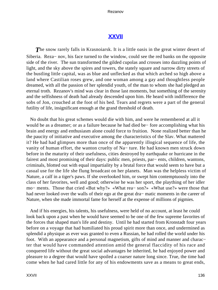## **[XXVII](#page-141-0)**

<span id="page-136-0"></span>**The snow rarely falls in Krasnoiarsk. It is a little oasis in the great winter desert of** Siberia. Reza− nov, his face turned to the window, could see the red banks on the opposite side of the river. The sun transformed the gilded cupolas and crosses into dazzling points of light, and the sky above the spires and towers, the stately square and narrow dirty streets of the bustling little capital, was as blue and unflecked as that which arched so high above a land where Castilian roses grew, and one woman among a gay and thoughtless people dreamed, with all the passion of her splendid youth, of the man to whom she had pledged an eternal troth. Rezanov's mind was clear in those last moments, but something of the serenity and the selfishness of death had already descended upon him. He heard with indifference the sobs of Jon, crouched at the foot of his bed. Tears and regrets were a part of the general futility of life, insignificant enough at the grand threshold of death.

 No doubt that his great schemes would die with him, and were he remembered at all it would be as a dreamer; or as a failure because he had died be− fore accomplishing what his brain and energy and enthusiasm alone could force to fruition. None realized better than he the paucity of initiative and executive among the characteristics of the Slav. What mattered it? He had had glimpses more than once of the apparently illogical sequence of life, the vanity of human effort, the wanton cruelty of Na− ture. He had known men struck down before in the maturity of their usefulness, cities destroyed by earthquake or hurricane in the fairest and most promising of their days: public men, priests, par− ents, children, wantons, criminals, blotted out with equal impartiality by a brutal force that would seem to have but a casual use for the life she flung broadcast on her planets. Man was the helpless victim of Nature, a calf in a tiger's paws. If she overlooked him, or swept him contemptuously into the class of her favorites, well and good; otherwise he was her sport, the plaything of her idler mo− ments. Those that cried «But why?» «What rea− son?» «What use?» were those that had never looked over the walls of their ego at the great dra− matic moments in the career of Nature, when she made immortal fame for herself at the expense of millions of pigmies.

 And if his energies, his talents, his usefulness, were held of no account, at least he could look back upon a past when he would have seemed to be one of the few supreme favorites of the forces that shaped man's life and destiny. Until he had started from Kronstadt four years before on a voyage that had humiliated his proud spirit more than once, and undermined as splendid a physique as ever was granted to even a Russian, he had rolled the world under his foot. With an appearance and a personal magnetism, gifts of mind and manner and charac− ter that would have commanded attention amid the general flaccidity of his race and conquered life without the great social advantages he inherited, he had enjoyed power and pleasure to a degree that would have spoiled a coarser nature long since. True, the time had come when he had cared little for any of his endowments save as a means to great ends,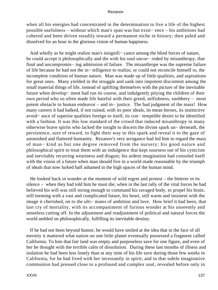when all his energies had concentrated in the determination to live a life of the highest possible usefulness – without which man's span was but exist− ence – his ambitions had cohered and been driven steadily toward a permanent niche in history; then paled and dissolved for an hour in the glorious vision of human happiness.

 And wholly as he might realize man's insignifi− cance among the blind forces of nature, he could accept it philosophically and die with his soul uncor− roded by misanthropy, that final and uncompromis− ing admission of failure. The misanthrope was the supreme failure of life because he had not the in− telligence to realize, or could not reconcile himself to, the incomplete condition of human nature. Man was made up of little qualities, and aspirations for great ones. Many yielded in the struggle and sank into impotent discontent among the small material things of life, instead of uplifting themselves with the picture of the inevitable future when develop− ment had run its course, and indulgently pitying the children of their own period who so often made life hateful with their greed, selfishness, snobbery – most potent obstacle to human endeavor – and in− justice. The bad judgment of the mass! How many careers it had balked, if not ruined, with its poor ideals, its mean heroes, its instinctive avoid− ance of superior qualities foreign to itself, its con− temptible desire to be identified with a fashion. It was this low standard of the crowd that induced misanthropy in many otherwise brave spirits who lacked the insight to discern the divine spark un− derneath, the persistence, sure of reward, to fight their way to this spark and reveal it to the gaze of astonished and flattered humanity. Rezanov's very arrogance had led him to regard the mass of man− kind as but one degree removed from the nursery; his good nature and philosophical spirit to treat them with an indulgence that kept sourness out of his cynicism and inevitably recurring weariness and disgust; his ardent imagination had consoled itself with the vision of a future when man should live in a world made reasonable by the triumph of ideals that now lurked half ashamed in the high spaces of the human mind.

 He looked back in wonder at the moment of wild regret and protest – the bitterer in its silence – when they had told him he must die; when in the last rally of the vital forces he had believed his will was still strong enough to command his ravaged body, to propel his brain, still teeming with a vast and complicated future, his heart, still warm and insistent with the image it cherished, on to the ulti− mates of ambition and love. How brief it had been, that last cry of mortality, with its accompaniment of furious wonder at his unseemly and senseless cutting off. In the adjustment and readjustment of political and natural forces the world ambled on philosophically, fulfilling its inevitable destiny.

 If he had not been beyond humor, he would have smiled at the idea that in the face of all eternity it mattered what nation on one little planet eventually possessed a fragment called California. To him that fair land was empty and purposeless save for one figure, and even of her he thought with the terrible calm of dissolution. During these last months of illness and isolation he had been less lonely than at any time of his life save during those few weeks in California, for he had lived with her incessantly in spirit; and in that subtle imaginative communion had pressed close to a profound and complex soul, revealed before only in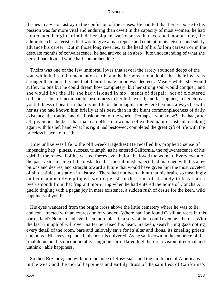flashes to a vision astray in the confusion of the senses. He had felt that her response to his passion was far more vital and enduring than dwelt in the capacity of most women; he had appreciated her gifts of mind, her piquant variousness that scotched monot− ony, the admirable characteristics that would give a man repose and content in his leisure, and subtly advance his career. But in those long reveries, at the head of his forlorn caravan or in the desolate months of convalescence, he had arrived at an abso− lute understanding of what she herself had divined while half comprehending.

 Theirs was one of the few immortal loves that reveal the rarely sounded deeps of the soul while in its frail tenement on earth; and he harbored not a doubt that their love was stronger than mortality and that their ultimate union was decreed. Mean− while, she would suffer, no one but he could dream how completely, but her strong soul would conquer, and she would live the life she had visioned in mo− ments of despair; not of cloistered selfishness, but of incomparable usefulness to her little world; and far happier, in her eternal youthfulness of heart, in that divine life of the imagination where he must always be with her as she had known him briefly at his best, than in the blunt commonplaceness of daily existence, the routine and disillusionment of the world. Perhaps – who knew? – he had, after all, given her the best that man can offer to a woman of exalted nature; instead of taking again with his left hand what his right had bestowed; completed the great gift of life with the priceless beacon of death.

 How unlike was life to the old Greek tragedies! He recalled his prophetic sense of impending hap− piness, success, triumph, as he entered California, the rejuvenescence of his spirit in the renewal of his wasted forces even before he loved the woman. Every event of the past year, in spite of the obstacles that mortal must expect, had marched with his am− bitions and desires, and straight toward a future that would have given him the most coveted of all destinies, a station in history. There had not been a hint that his brain, so meaningly and consummately equipped, would perish in the ruins of his body in less than a twelvemonth from that fragrant morn− ing when he had entered the home of Concha Ar− guello tingling with a pagan joy in mere existence, a sudden rush of desire for the keen, wild happiness of youth –

 His eyes wandered from the bright cross above the little cemetery where he was to lie, and con− tracted with an expression of wonder. Where had Jon found Castilian roses in this barren land? No man had ever been more blest in a servant, but could even he – here – With the last triumph of will over matter he raised his head, his keen, search− ing gaze noting every detail of the room, bare and unlovely save for its altar and ikons, its kneeling priests and nuns. His eyes expanded, his nostrils quivered. As he sank down in the embrace of that final delusion, his unconquerably sanguine spirit flared high before a vision of eternal and unthink− able happiness.

 So died Rezanov; and with him the hope of Rus− sians and the hindrance of Americans in the west; and the mortal happiness and earthly dross of the saintliest of California's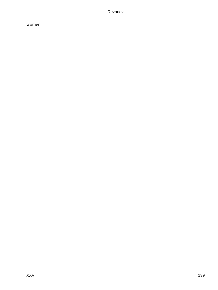women.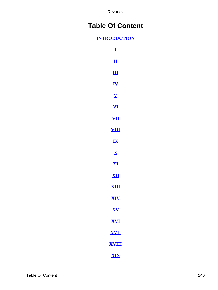# **Table Of Content**

### **[INTRODUCTION](#page-3-0)**

| I                                      |
|----------------------------------------|
| $\mathbf{\underline{\mathbf{u}}}$      |
| $\mathbf{H}$                           |
| <u>IV</u>                              |
| $\overline{\mathbf{V}}$                |
| <u>VI</u>                              |
| <u>VII</u>                             |
| $\boldsymbol{\mathsf{V}}$<br><u>іЦ</u> |
| $\mathbf{K}$                           |
| $\overline{\mathbf{X}}$                |
| $\mathbf{X}$                           |
| <u>ХII</u>                             |
| <b>XIII</b>                            |
| <b>XIV</b>                             |
| XV                                     |
| <u>XVI</u>                             |
| <u>XVII</u>                            |
| <u>XVIII</u>                           |
| <b>XIX</b>                             |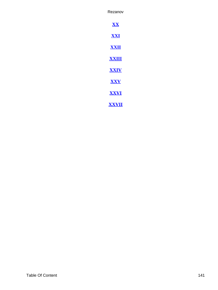<span id="page-141-0"></span>**[XX](#page-100-0) [XXI](#page-103-0) [XXII](#page-106-0) [XXIII](#page-113-0) [XXIV](#page-118-0) [XXV](#page-122-0) [XXVI](#page-131-0) [XXVII](#page-136-0)**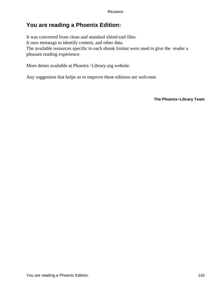## **You are reading a Phoenix Edition:**

It was converted from clean and standard xhtml/xml files. It uses metatags to identify content, and other data. The available resources specific to each ebook format were used to give the reader a pleasant reading experience.

More detais available at Phoenix−Library.org website.

Any suggestion that helps us to improve these editions are welcome.

**The Phoenix−Library Team**